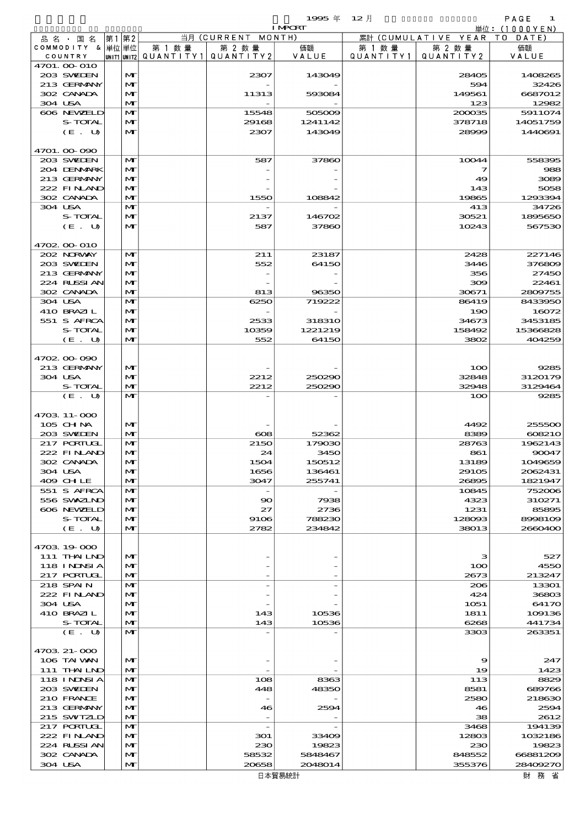$1995 \ncong 12 \nparallel$  PAGE 1

|                           |              |        |                                       | <b>I MPORT</b> |           |                              | 単位: (1000YEN)    |
|---------------------------|--------------|--------|---------------------------------------|----------------|-----------|------------------------------|------------------|
| 品名・国名                     | 第1 第2        |        | 当月 (CURRENT MONTH)                    |                |           | 累計 (CUMULATIVE YEAR TO DATE) |                  |
| COMMODITY & 単位単位          |              | 第 1 数量 | 第 2 数量                                | 価額             | 第 1 数 量   | 第 2 数量                       | 価額               |
| COUNTRY                   |              |        | UNIT1 UNIT2  QUANT   TY1  QUANT   TY2 | VALUE          | QUANTITY1 | QUANTITY 2                   | VALUE            |
| 4701. 00-010              |              |        |                                       |                |           |                              |                  |
| 203 SWIEN                 | M            |        | 2307                                  | 143049         |           | 28405                        | 1408265          |
| 213 GERMANY<br>302 CANADA | M<br>M       |        | 11313                                 | 593084         |           | 594<br>149561                | 32426<br>6687012 |
| 304 USA                   | M            |        |                                       |                |           | 123                          | 12982            |
| 606 NEWELD                | M            |        | 15548                                 | 505009         |           | 200035                       | 5911074          |
| S-TOTAL                   | M            |        | 29168                                 | 1241142        |           | 378718                       | 14051759         |
| (E. U)                    | M            |        | 2307                                  | 143049         |           | 28999                        | 1440691          |
|                           |              |        |                                       |                |           |                              |                  |
| 4701.00-090               |              |        |                                       |                |           |                              |                  |
| 203 SWIEN                 | M            |        | 587                                   | 37860          |           | 10044                        | 558395           |
| 204 DENMARK               | M            |        |                                       |                |           | 7                            | 988              |
| 213 GERMANY               | M            |        |                                       |                |           | 49                           | 3089             |
| 222 FINAND                | M            |        |                                       |                |           | 143                          | 5058             |
| 302 CANADA                | M            |        | 1550                                  | 108842         |           | 19865                        | 1293394          |
| 304 USA                   | $\mathbf{M}$ |        |                                       |                |           | 413                          | 34726            |
| S-TOTAL                   | M            |        | 2137                                  | 146702         |           | 30521                        | 1895650          |
| (E. U)                    | M            |        | 587                                   | 37860          |           | 10243                        | 567530           |
|                           |              |        |                                       |                |           |                              |                  |
| 4702 00 010               |              |        |                                       |                |           |                              |                  |
| 202 NORWAY                | M            |        | 211                                   | 23187          |           | 2428                         | 227146           |
| 203 SWIEN                 | M            |        | 552                                   | 64150          |           | 3446                         | 376809           |
| 213 GERMANY               | M            |        |                                       |                |           | 356                          | 27450            |
| 224 RUSSIAN               | M            |        |                                       |                |           | 309                          | 22461            |
| 302 CANADA                | M            |        | 813                                   | 96350          |           | 30671                        | 2809755          |
| 304 USA                   | $\mathbf{M}$ |        | 6250                                  | 719222         |           | 86419                        | 8433950          |
| 410 BRAZIL                | M            |        |                                       |                |           | 190                          | 16072            |
| 551 S AFRCA               | M            |        | 2533                                  | 318310         |           | 34673                        | 3453185          |
| S-TOTAL                   | M            |        | 10359                                 | 1221219        |           | 158492                       | 15366828         |
| (E. U)                    | M            |        | 552                                   | 64150          |           | 3802                         | 404259           |
|                           |              |        |                                       |                |           |                              |                  |
| 4702.00-090               |              |        |                                       |                |           |                              |                  |
| 213 GERMANY               | M            |        |                                       |                |           | 100                          | 9285             |
| 304 USA                   | M            |        | 2212                                  | 250290         |           | 32848                        | 3120179          |
| S-TOTAL                   | M            |        | 2212                                  | 250290         |           | 32948                        | 3129464          |
| (E. U)                    | $\mathbf{M}$ |        |                                       |                |           | 100                          | 9285             |
|                           |              |        |                                       |                |           |                              |                  |
| 4703 11-000               |              |        |                                       |                |           |                              |                  |
| 105 CH NA                 | M            |        |                                       |                |           | 4492                         | 255500           |
| 203 SWIEN                 | M            |        | $\infty$                              | 52362          |           | 8389                         | 608210           |
| 217 PORTUGL               | M            |        | 2150                                  | 179030         |           | 28763                        | 1962143          |
| 222 FINAND                | M            |        | 24                                    | 3450           |           | 861                          | 90047            |
| 302 CANADA                | M            |        | 1504                                  | 150512         |           | 13189                        | 1049659          |
| 304 USA                   | M            |        | 1656                                  | 136461         |           | 29105                        | 2062431          |
| 409 CHLE                  | M            |        | 3047                                  | 255741         |           | 26895                        | 1821947          |
| 551 S AFRCA               | M            |        |                                       |                |           | 10845                        | 752006           |
| 556 SWXZIND               | M            |        | $\infty$                              | 7938           |           | 4323                         | 310271           |
| 606 NEWELD<br>S-TOTAL     | M            |        | 27                                    | 2736           |           | 1231                         | 85895            |
|                           | M            |        | 9106                                  | 788230         |           | 128093                       | 8998109          |
| (E. U)                    | M            |        | 2782                                  | 234842         |           | 38013                        | 2660400          |
| 4703 19 000               |              |        |                                       |                |           |                              |                  |
| $111$ THAILND             | M            |        |                                       |                |           | з                            | 527              |
| 118 I NJNSI A             | M            |        |                                       |                |           | 100                          | 4550             |
| 217 PORTUGL               | M            |        |                                       |                |           | 2673                         | 213247           |
| 218 SPAIN                 | M            |        |                                       |                |           | 206                          | 13301            |
| 222 FINAND                | M            |        |                                       |                |           | 424                          | 36803            |
| 304 USA                   | M            |        |                                       |                |           | 1051                         | 64170            |
| 410 BRAZIL                | M            |        | 143                                   | 10536          |           | 1811                         | 109136           |
| S-TOTAL                   | M            |        | 143                                   | 10536          |           | 6268                         | 441734           |
| (E. U)                    | M            |        |                                       |                |           | 3303                         | 263351           |
|                           |              |        |                                       |                |           |                              |                  |
| 4703 21-000               |              |        |                                       |                |           |                              |                  |
| 106 TAI VAN               | M            |        |                                       |                |           | 9                            | 247              |
| 111 THAILND               | M            |        |                                       |                |           | 19                           | 1423             |
| 118 I NJNSI A             | M            |        | 108                                   | 8363           |           | 113                          | 8829             |
| 203 SWIDEN                | M            |        | 448                                   | 48350          |           | 8581                         | 689766           |
| 210 FRANCE                | M            |        |                                       |                |           | 2580                         | 218630           |
| 213 GERMANY               | M            |        | 46                                    | 2594           |           | 46                           | 2594             |
| 215 SWIZLD                | M            |        |                                       |                |           | 38                           | 2612             |
| 217 PORTUGL               | M            |        |                                       |                |           | 3468                         | 194139           |
| 222 FINAND                | M            |        | 301                                   | 33409          |           | 12803                        | 1032186          |
| 224 RUSSI AN              | M            |        | 230                                   | 19823          |           | 230                          | 19823            |
| 302 CANADA                | M            |        | 58532                                 | 5848467        |           | 848552                       | 66881209         |
| 304 USA                   | M            |        | 20658                                 | 2048014        |           | 355376                       | 28409270         |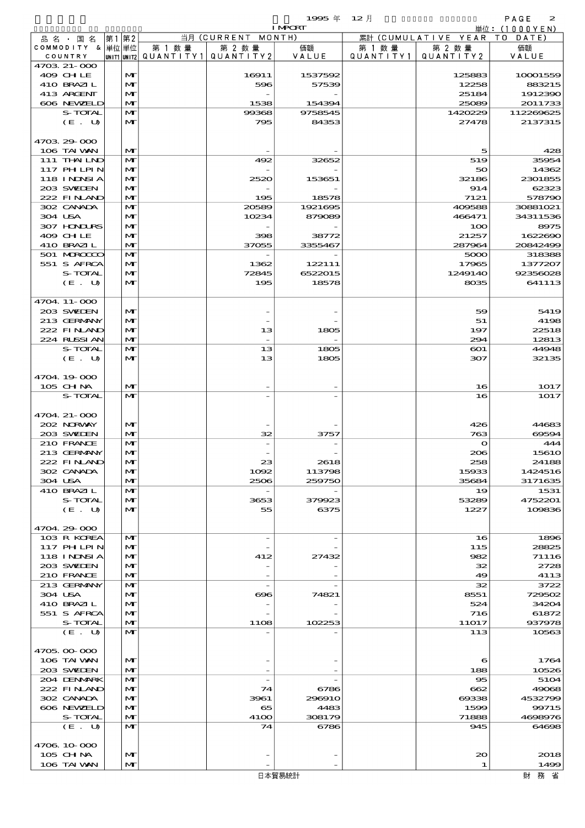|                               |                              |         |                                                                                                                    | 1995 $#$                 | $12$ 月  |                                 | PAGE<br>$\mathbf{z}$       |
|-------------------------------|------------------------------|---------|--------------------------------------------------------------------------------------------------------------------|--------------------------|---------|---------------------------------|----------------------------|
|                               |                              |         | 当月 (CURRENT MONTH)                                                                                                 | <b>I MPORT</b>           |         |                                 | 単位: (1000 Y E N )          |
| 品 名 ・ 国 名<br>COMMODITY & 単位単位 | 第1第2                         |         |                                                                                                                    |                          |         | 累計 (CUMULATIVE YEAR TO DATE)    |                            |
| COUNTRY                       |                              | 第 1 数 量 | 第 2 数量<br>$\lvert \textsf{UNIT1} \rvert \textsf{UNIT2} \rvert \texttt{QUANTITY1} \rvert \texttt{QUANTITY2} \rvert$ | 価額<br>VALUE              | 第 1 数 量 | 第 2 数量<br>QUANTITY1   QUANTITY2 | 価額<br>VALUE                |
| 4703 21-000                   |                              |         |                                                                                                                    |                          |         |                                 |                            |
| 409 CHLE                      | $\mathbf{M}$                 |         | 16911                                                                                                              | 1537592                  |         | 125883                          | 100001559                  |
| 410 BRAZIL                    | $\mathbf{M}$                 |         | 596                                                                                                                | 57539                    |         | 12258                           | 883215                     |
| 413 ARGENT                    | $\mathbf{M}$                 |         |                                                                                                                    |                          |         | 25184                           | 1912390                    |
| 606 NEWELD                    | $\mathbf{M}$                 |         | 1538                                                                                                               | 154394                   |         | 25089                           | 2011733                    |
| S-TOTAL                       | M                            |         | 99368                                                                                                              | 9758545                  |         | 1420229                         | 112269625                  |
| (E. U)                        | M                            |         | 795                                                                                                                | 84353                    |         | 27478                           | 2137315                    |
| 4703 29 000                   |                              |         |                                                                                                                    |                          |         |                                 |                            |
| 106 TAI WAN                   | $\mathbf{M}$                 |         |                                                                                                                    |                          |         | 5                               | 425                        |
| 111 THAILND                   | M                            |         | 492                                                                                                                | 32652                    |         | 519                             | 35954                      |
| 117 PHLPIN                    | $\mathbf{M}$                 |         |                                                                                                                    |                          |         | 50                              | 14362                      |
| <b>118 INNSIA</b>             | M                            |         | 2520                                                                                                               | 153651                   |         | 32186                           | 2301855                    |
| 203 SWIEN                     | $\mathbf{M}$                 |         |                                                                                                                    |                          |         | 914                             | 62323                      |
| 222 FINAND                    | $\mathbf{M}$                 |         | 195                                                                                                                | 18578                    |         | 7121                            | 578790                     |
| 302 CANADA<br>304 USA         | $\mathbf{M}$<br>$\mathbf{M}$ |         | 20589<br>10234                                                                                                     | 1921695<br>879089        |         | 409588<br>466471                | 30881021<br>34311536       |
| 307 HONDURS                   | $\mathbf{M}$                 |         |                                                                                                                    |                          |         | 100                             | 8975                       |
| 409 CHLE                      | $\mathbf{M}$                 |         | 398                                                                                                                | 38772                    |         | 21257                           | 1622690                    |
| 410 BRAZIL                    | $\mathbf{M}$                 |         | 37055                                                                                                              | 3355467                  |         | 287964                          | 20842499                   |
| 501 MROCCO                    | M                            |         |                                                                                                                    |                          |         | 5000                            | 318385                     |
| 551 S AFRCA                   | $\mathbf{M}$                 |         | 1362                                                                                                               | 122111                   |         | 17965                           | 1377207                    |
| S-TOTAL                       | $\mathbf{M}$                 |         | 72845                                                                                                              | 6522015                  |         | 1249140                         | 92356028                   |
| (E. U)                        | $\mathbf{M}$                 |         | 195                                                                                                                | 18578                    |         | 8035                            | 641113                     |
| 4704.11-000                   |                              |         |                                                                                                                    |                          |         |                                 |                            |
| 203 SVELEN                    | MГ                           |         |                                                                                                                    |                          |         | 59                              | 5419                       |
| 213 GERMANY                   | $\mathbf{M}$                 |         |                                                                                                                    |                          |         | 51                              | 4198                       |
| 222 FINAND                    | $\mathbf{M}$                 |         | 13                                                                                                                 | 1805                     |         | 197                             | 22518                      |
| 224 RUSSIAN                   | $\mathbf{M}$                 |         |                                                                                                                    |                          |         | 294                             | 12813                      |
| S-TOTAL                       | M                            |         | 13                                                                                                                 | 1805                     |         | $\bf{601}$                      | 44948                      |
| $(E_\cdot U)$                 | $\mathbf{M}$                 |         | 13                                                                                                                 | 1805                     |         | 307                             | 32135                      |
|                               |                              |         |                                                                                                                    |                          |         |                                 |                            |
| 4704.19-000<br>$105$ CHNA     | M                            |         |                                                                                                                    |                          |         | 16                              | 1017                       |
| S-TOTAL                       | $\mathbf{M}$                 |         |                                                                                                                    |                          |         | 16                              | 1017                       |
|                               |                              |         |                                                                                                                    |                          |         |                                 |                            |
| 4704. 21-000                  |                              |         |                                                                                                                    |                          |         |                                 |                            |
| 202 NORWAY                    | $\mathbf{M}$                 |         |                                                                                                                    |                          |         | 426                             | 44683                      |
| 203 SWIDEN                    | M                            |         | 32                                                                                                                 | 3757                     |         | 763                             | 69594                      |
| 210 FRANCE                    | $\mathbf{M}$                 |         |                                                                                                                    |                          |         | $\mathbf{\Omega}$               | 444                        |
| 213 GERMANY<br>222 FINAND     | MГ                           |         |                                                                                                                    |                          |         | 206<br>258                      | 1561 <sub>C</sub><br>24188 |
| 302 CANADA                    | MГ<br>M                      |         | 23<br>1002                                                                                                         | 2618<br>113798           |         | 15933                           | 1424516                    |
| 304 USA                       | M                            |         | 2506                                                                                                               | 259750                   |         | 35684                           | 3171635                    |
| 410 BRAZIL                    | M                            |         |                                                                                                                    |                          |         | 19                              | 1531                       |
| S-TOTAL                       | MГ                           |         | 3653                                                                                                               | 379923                   |         | 53289                           | 4752201                    |
| (E U)                         | $\mathbf{M}$                 |         | 55                                                                                                                 | 6375                     |         | 1227                            | 109836                     |
|                               |                              |         |                                                                                                                    |                          |         |                                 |                            |
| 4704.29-000                   |                              |         |                                                                                                                    |                          |         |                                 |                            |
| 103 R KOREA<br>117 PH LPIN    | $\mathbf{M}$<br>MГ           |         | $\overline{\phantom{a}}$                                                                                           | $\overline{\phantom{a}}$ |         | 16<br>115                       | 1896<br>28825              |
| 118 I NJNSI A                 | MГ                           |         | 412                                                                                                                | 27432                    |         | 982                             | 71116                      |
| 203 SWILEN                    | M                            |         |                                                                                                                    |                          |         | 32                              | 2728                       |
| 210 FRANCE                    | $\mathbf{M}$                 |         |                                                                                                                    |                          |         | 49                              | 4113                       |
| 213 GERMANY                   | $\mathbf{M}$                 |         | $\overline{\phantom{a}}$                                                                                           |                          |         | 32                              | 3722                       |
| 304 USA                       | MГ                           |         | $\infty$                                                                                                           | 74821                    |         | 8551                            | 729502                     |
| 410 BRAZIL                    | MГ                           |         |                                                                                                                    |                          |         | 524                             | 34204                      |
| 551 S AFRCA                   | M                            |         |                                                                                                                    |                          |         | 716                             | 61872                      |
| S-TOTAL<br>(E. U)             | $\mathbf{M}$<br>$\mathbf{M}$ |         | 1108                                                                                                               | 102253                   |         | 11017<br>113                    | 937978<br>10563            |
|                               |                              |         |                                                                                                                    |                          |         |                                 |                            |
| 4705.00-000                   |                              |         |                                                                                                                    |                          |         |                                 |                            |
| 106 TAI VAN                   | $\mathbf{M}$                 |         |                                                                                                                    |                          |         | 6                               | 1764                       |
| 203 SVELEN                    | $ \mathbf{M} $               |         |                                                                                                                    |                          |         | 188                             | 10526                      |

4706.10-000

204 DENMARK MT - 95 5104 222 FINAND  $|M|$  74 6786 662 49068  $302 \text{ CANDA}$   $\boxed{M}$   $303 \text{ CANDA}$   $\boxed{3961}$   $3961 \text{ CSDA}$   $396910$   $3961 \text{ CSDA}$ 606 NEWELD MT 65 4483 1599 99715 S-TOTAL  $|\mathbf{M}|$  4100 308179 71888 4698976 (E . U) MT 74 6786 945 64698

 $105 \text{ GHM}$   $\text{MT}$   $\text{MT}$   $\text{MT}$   $\text{MT}$   $\text{MT}$   $\text{MT}$   $\text{MT}$   $\text{MT}$   $\text{MT}$   $\text{MT}$   $\text{MT}$   $\text{MT}$   $\text{MT}$   $\text{MT}$   $\text{MT}$   $\text{MT}$   $\text{MT}$   $\text{MT}$   $\text{MT}$   $\text{MT}$   $\text{MT}$   $\text{MT}$   $\text{MT}$   $\text{MT}$   $\text{MT}$   $\text{MT}$   $106$  TAI WAN  $\begin{vmatrix} 1 \end{vmatrix}$   $\begin{vmatrix} 1 \end{vmatrix}$  1498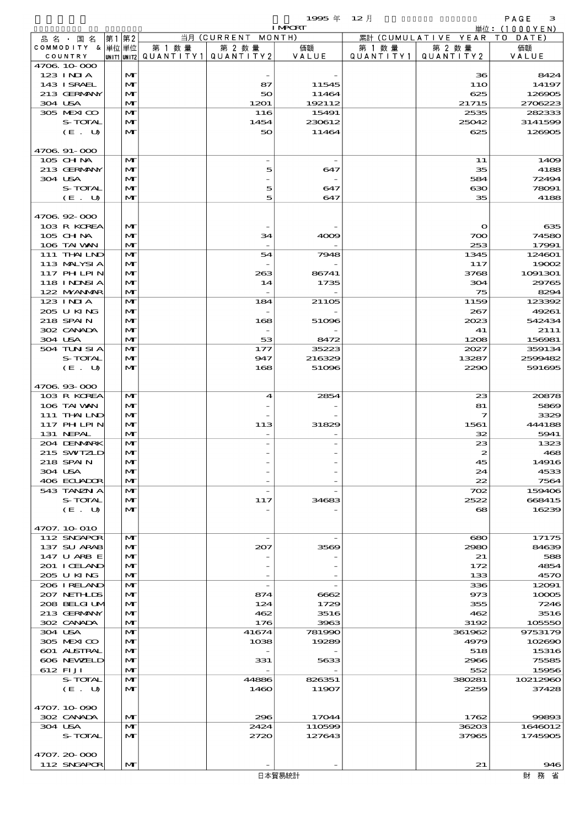|                                  |       |                   |                          |                               | 1995 $#$<br><b>I MPCRT</b> | $12$ 月    |                      | PAGE<br>з                                       |
|----------------------------------|-------|-------------------|--------------------------|-------------------------------|----------------------------|-----------|----------------------|-------------------------------------------------|
| 品 名 ・ 国 名                        | 第1 第2 |                   |                          | 当月 (CURRENT MONTH)            |                            |           | 累計 (CUMULATIVE YEAR) | $\dot{\mathbb{H}}$ 位: (1000YEN)<br>T O<br>DATE) |
| COMMODITY & 単位単位                 |       |                   | 第 1 数 量                  | 第 2 数量                        | 価額                         | 第 1 数 量   | 第 2 数量               | 価額                                              |
| COUNTRY                          |       |                   | unit1 unit2  Q∪ANT   TY1 | QUANTITY 2                    | VALUE                      | QUANTITY1 | QUANTITY2            | VALUE                                           |
| 4706 10 000<br>123 INIA          |       | $\mathbf{M}$      |                          |                               |                            |           | 36                   | 8424                                            |
| 143 I SRAEL                      |       | $\mathbf{M}$      |                          | 87                            | 11545                      |           | <b>11O</b>           | 14197                                           |
| 213 GERMANY                      |       | M                 |                          | 50                            | 11464                      |           | 625                  | 126905                                          |
| 304 USA                          |       | M                 |                          | 1201                          | 192112                     |           | 21715                | 2706223                                         |
| 305 MEXICO<br>S-TOTAL            |       | $\mathbf{M}$<br>M |                          | 116<br>1454                   | 15491<br>230612            |           | 2535<br>25042        | 282333<br>3141599                               |
| (E. U)                           |       | $\mathbf{M}$      |                          | 50                            | 11464                      |           | 625                  | 126905                                          |
|                                  |       |                   |                          |                               |                            |           |                      |                                                 |
| 4706 91-000                      |       |                   |                          |                               |                            |           |                      |                                                 |
| 105 CHNA<br>213 GERMANY          |       | M<br>$\mathbf{M}$ |                          | $\overline{\phantom{a}}$<br>5 | 647                        |           | 11<br>35             | 1409<br>4188                                    |
| 304 USA                          |       | $\mathbf{M}$      |                          |                               |                            |           | 584                  | 72494                                           |
| S-TOTAL                          |       | M                 |                          | 5                             | 647                        |           | ഓ                    | 78091                                           |
| (E. U)                           |       | M                 |                          | 5                             | 647                        |           | 35                   | 4188                                            |
| 4706.92-000                      |       |                   |                          |                               |                            |           |                      |                                                 |
| 103 R KOREA                      |       | M                 |                          |                               |                            |           | $\mathbf o$          | 635                                             |
| 105 CH NA                        |       | M                 |                          | 34                            | 4009                       |           | 700                  | 74580                                           |
| 106 TAI VAN                      |       | $\mathbf{M}$      |                          |                               |                            |           | 253                  | 17991                                           |
| 111 THAILND                      |       | M                 |                          | 54                            | 7948                       |           | 1345                 | 124601                                          |
| 113 MALYSIA<br>117 PHLPIN        |       | M<br>$\mathbf{M}$ |                          | 263                           | 86741                      |           | 117<br>3768          | 19002<br>1091301                                |
| 118 I NJNSI A                    |       | M                 |                          | 14                            | 1735                       |           | 304                  | 29765                                           |
| 122 MYANAR                       |       | $\mathbf{M}$      |                          |                               |                            |           | 75                   | 8294                                            |
| 123 INIA                         |       | M                 |                          | 184                           | 21105                      |           | 1159                 | 123392                                          |
| 205 U KING<br>218 SPAIN          |       | M<br>$\mathbf{M}$ |                          | 168                           | 51096                      |           | 267<br>2023          | 49261<br>542434                                 |
| 302 CANADA                       |       | M                 |                          | $\overline{\phantom{a}}$      |                            |           | 41                   | 2111                                            |
| 304 USA                          |       | $\mathbf{M}$      |                          | 53                            | 8472                       |           | 1208                 | 156981                                          |
| 504 TUN SI A                     |       | M                 |                          | 177                           | 35223                      |           | 2027                 | 359134                                          |
| S-TOTAL                          |       | M                 |                          | 947                           | 216329                     |           | 13287                | 2599482                                         |
| (E. U)                           |       | $\mathbf{M}$      |                          | 168                           | 51096                      |           | 2290                 | 591695                                          |
| 4706.93-000                      |       |                   |                          |                               |                            |           |                      |                                                 |
| 103 R KOREA                      |       | M                 |                          | 4                             | 2854                       |           | 23                   | 20878                                           |
| 106 TAI VAN                      |       | M                 |                          |                               |                            |           | 81                   | 5869                                            |
| 111 THAILND<br><b>117 PHLPIN</b> |       | M<br>M            |                          | 113                           | 31829                      |           | 7<br>1561            | 3329<br>444188                                  |
| 131 NEPAL                        |       | $\mathbf{M}$      |                          |                               |                            |           | 32                   | 5941                                            |
| 204 DENMARK                      |       | $\mathbf{M}$      |                          |                               |                            |           | 23                   | 1323                                            |
| 215 SWIZLD                       |       | $\mathbf{M}$      |                          |                               |                            |           | $\mathbf{z}$         | 468                                             |
| 218 SPAIN<br>304 USA             |       | M                 |                          |                               |                            |           | 45<br>24             | 14916                                           |
| 406 ECUADOR                      |       | M<br>M            |                          |                               |                            |           | 22                   | 4533<br>7564                                    |
| 543 TANZN A                      |       | M                 |                          |                               |                            |           | 702                  | 159406                                          |
| S-TOTAL                          |       | $\mathbf{M}$      |                          | 117                           | 34683                      |           | 2522                 | 668415                                          |
| (E. U)                           |       | $\mathbf{M}$      |                          |                               |                            |           | 68                   | 16239                                           |
| 4707.10.010                      |       |                   |                          |                               |                            |           |                      |                                                 |
| 112 SNGAPOR                      |       | M                 |                          |                               |                            |           | 680                  | 17175                                           |
| 137 SU ARAB                      |       | $\mathbf{M}$      |                          | 207                           | 3569                       |           | 2980                 | 84639                                           |
| 147 U ARB E                      |       | M                 |                          |                               |                            |           | 21                   | 588                                             |
| 201 I CELAND<br>205 U KING       |       | M<br>$\mathbf{M}$ |                          |                               |                            |           | 172<br>133           | 4854<br>4570                                    |
| 206 IRELAND                      |       | M                 |                          |                               |                            |           | 336                  | 12091                                           |
| 207 NETHLIS                      |       | $\mathbf{M}$      |                          | 874                           | 6662                       |           | 973                  | 10005                                           |
| 208 BELGI UM                     |       | M                 |                          | 124                           | 1729                       |           | 355                  | 7246                                            |
| 213 GERMANY<br>302 CANADA        |       | M<br>$\mathbf{M}$ |                          | 462<br>176                    | 3516<br>3963               |           | 462<br>3192          | 3516                                            |
| 304 USA                          |       | M                 |                          | 41674                         | 781990                     |           | 361962               | 105550<br>9753179                               |
| 305 MEXICO                       |       | $\mathbf{M}$      |                          | 1038                          | 19289                      |           | 4979                 | 102690                                          |
| 601 ALSTRAL                      |       | M                 |                          |                               |                            |           | 518                  | 15316                                           |
| 606 NEWELD                       |       | M                 |                          | 331                           | 5633                       |           | 2966                 | 75585                                           |
| 612 FIJI<br>S-TOTAL              |       | $\mathbf{M}$<br>M |                          | 44886                         | 826351                     |           | 552<br>380281        | 15956<br>10212960                               |
| (E. U)                           |       | $\mathbf{M}$      |                          | 1460                          | 11907                      |           | 2259                 | 37428                                           |
|                                  |       |                   |                          |                               |                            |           |                      |                                                 |
| 4707.10-090                      |       |                   |                          |                               |                            |           |                      |                                                 |
| 302 CANADA<br>304 USA            |       | $\mathbf{M}$<br>M |                          | 296<br>2424                   | 17044<br>110599            |           | 1762<br>36203        | 99893<br>1646012                                |
| S-TOTAL                          |       | $\mathbf{M}$      |                          | 2720                          | 127643                     |           | 37965                | 1745905                                         |
|                                  |       |                   |                          |                               |                            |           |                      |                                                 |
| 4707.20-000                      |       |                   |                          |                               |                            |           |                      |                                                 |
| 112 SNGAPOR                      |       | $\mathbf{M}$      |                          |                               |                            |           | 21                   | 946                                             |
|                                  |       |                   |                          |                               | 日本貿易統計                     |           |                      | 財務省                                             |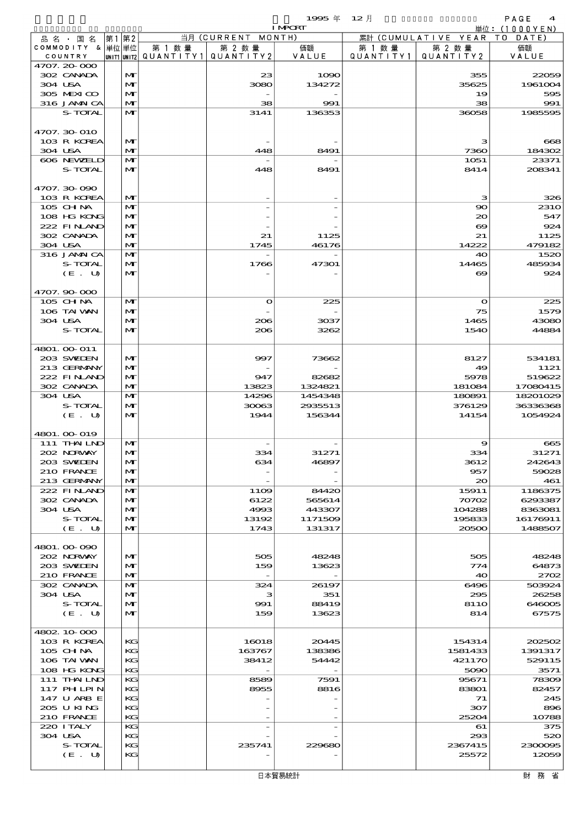$1995 \nless 12 \nless 12$ 

|                             |      |              |        |                                                  | <b>I MPORT</b>    |                      |                              | 単位: (1000YEN)       |
|-----------------------------|------|--------------|--------|--------------------------------------------------|-------------------|----------------------|------------------------------|---------------------|
| 品名・国名                       | 第1第2 |              |        | 当月 (CURRENT MONTH)                               |                   |                      | 累計 (CUMULATIVE YEAR TO DATE) |                     |
| COMMODITY & 単位単位<br>COUNTRY |      |              | 第 1 数量 | 第 2 数量<br> UNIT1 UNIT2  QUANT   TY1  QUANT   TY2 | 価額<br>VALUE       | 第 1 数 量<br>QUANTITY1 | 第 2 数量<br>QUANTITY 2         | 価額<br>VALUE         |
| 4707.20-000                 |      |              |        |                                                  |                   |                      |                              |                     |
| 302 CANADA                  |      | M            |        | 23                                               | 1090              |                      | 355                          | 22059               |
| 304 USA                     |      | M            |        | 3080                                             | 134272            |                      | 35625                        | 1961004             |
| 305 MEXICO                  |      | M            |        |                                                  |                   |                      | 19                           | 595                 |
| 316 JAMAICA                 |      | M            |        | 38                                               | 991               |                      | 38                           | 991                 |
| S-TOTAL                     |      | M            |        | 3141                                             | 136353            |                      | 36058                        | 1985595             |
| 4707.30 010                 |      |              |        |                                                  |                   |                      |                              |                     |
| 103 R KOREA                 |      | M            |        |                                                  |                   |                      | з                            | 668                 |
| 304 USA                     |      | M            |        | 448                                              | 8491              |                      | 7360                         | 184302              |
| 606 NEWELD                  |      | M            |        |                                                  |                   |                      | 1051                         | 23371               |
| S-TOTAL                     |      | M            |        | 448                                              | 8491              |                      | 8414                         | 208341              |
|                             |      |              |        |                                                  |                   |                      |                              |                     |
| 4707.30-090<br>103 R KOREA  |      | M            |        |                                                  |                   |                      | з                            | 326                 |
| 105 CHNA                    |      | M            |        |                                                  |                   |                      | $\infty$                     | <b>2310</b>         |
| 108 HG KONG                 |      | M            |        |                                                  |                   |                      | $\infty$                     | 547                 |
| 222 FINAND                  |      | M            |        |                                                  |                   |                      | $\boldsymbol{\infty}$        | 924                 |
| 302 CANADA                  |      | M            |        | 21                                               | 1125              |                      | 21                           | 1125                |
| 304 USA                     |      | M            |        | 1745                                             | 46176             |                      | 14222                        | 479182              |
| 316 JAMAICA                 |      | M            |        |                                                  |                   |                      | 40                           | 1520                |
| S-TOTAL                     |      | M            |        | 1766                                             | 47301             |                      | 14465                        | 485934              |
| (E. U)                      |      | M            |        |                                                  |                   |                      | $\infty$                     | 924                 |
| 4707.90-000                 |      |              |        |                                                  |                   |                      |                              |                     |
| 105 CHNA                    |      | $\mathbf{M}$ |        | $\bullet$                                        | 225               |                      | $\bullet$                    | 225                 |
| 106 TAI VAN                 |      | M            |        |                                                  |                   |                      | 75                           | 1579                |
| 304 USA                     |      | M            |        | 206                                              | 3037              |                      | 1465                         | 43080               |
| S-TOTAL                     |      | M            |        | 206                                              | 3262              |                      | 1540                         | 44884               |
|                             |      |              |        |                                                  |                   |                      |                              |                     |
| 4801. 00 011                |      |              |        |                                                  |                   |                      |                              |                     |
| 203 SVELEN<br>213 GERMANY   |      | M<br>M       |        | 997                                              | 73662             |                      | 8127<br>49                   | 534181<br>1121      |
| 222 FINAND                  |      | M            |        | 947                                              | 82682             |                      | 5978                         | 519622              |
| 302 CANADA                  |      | $\mathbf{M}$ |        | 13823                                            | 1324821           |                      | 181084                       | 17080415            |
| 304 USA                     |      | M            |        | 14296                                            | 1454348           |                      | 180891                       | 18201029            |
| S-TOTAL                     |      | M            |        | 30063                                            | 2935513           |                      | 376129                       | 36336368            |
| (E. U)                      |      | M            |        | 1944                                             | 156344            |                      | 14154                        | 1054924             |
|                             |      |              |        |                                                  |                   |                      |                              |                     |
| 4801. 00-019<br>111 THAILND |      | M            |        |                                                  |                   |                      | 9                            | 665                 |
| 202 NORWAY                  |      | M            |        | 334                                              | 31271             |                      | 334                          | 31271               |
| 203 SWEDEN                  |      | M            |        | 634                                              | 46897             |                      | 3612                         | 242643              |
| 210 FRANCE                  |      | M            |        |                                                  |                   |                      | 957                          | 59028               |
| 213 GERMANY                 |      | M            |        |                                                  |                   |                      | 20                           | 461                 |
| 222 FINAND                  |      | M            |        | 11O <sub>2</sub>                                 | 84420             |                      | 15911                        | 1186375             |
| 302 CANADA                  |      | M            |        | 6122                                             | 565614            |                      | 70702                        | 6293387             |
| 304 USA<br>S-TOTAL          |      | M<br>M       |        | 4993<br>13192                                    | 443307<br>1171509 |                      | 104288<br>195833             | 8363081<br>16176911 |
| (E. U)                      |      | M            |        | 1743                                             | 131317            |                      | 20500                        | 1488507             |
|                             |      |              |        |                                                  |                   |                      |                              |                     |
| 4801.00-090                 |      |              |        |                                                  |                   |                      |                              |                     |
| 202 NRWAY                   |      | M            |        | 505                                              | 48248             |                      | 505                          | 48248               |
| 203 SWIDEN                  |      | M            |        | 159                                              | 13623             |                      | 774                          | 64873               |
| 210 FRANCE<br>302 CANADA    |      | M<br>M       |        | $\overline{\phantom{a}}$<br>324                  | 26197             |                      | 40<br>6496                   | 2702<br>503924      |
| 304 USA                     |      | M            |        | з                                                | 351               |                      | 295                          | 26258               |
| S-TOTAL                     |      | M            |        | 991                                              | 88419             |                      | <b>8110</b>                  | 646005              |
| (E. U)                      |      | M            |        | 159                                              | 13623             |                      | 814                          | 67575               |
|                             |      |              |        |                                                  |                   |                      |                              |                     |
| 4802 10 000                 |      |              |        |                                                  |                   |                      |                              |                     |
| 103 R KOREA                 |      | KG           |        | 16018                                            | 20445             |                      | 154314                       | 202502              |
| 105 CH NA<br>106 TAI VAN    |      | KC<br>KG     |        | 163767<br>38412                                  | 138386<br>54442   |                      | 1581433<br>421170            | 1391317<br>529115   |
| 108 HG KONG                 |      | KC           |        |                                                  |                   |                      | 5090                         | 3571                |
| 111 THAILND                 |      | KG           |        | 8589                                             | 7591              |                      | 95671                        | 78309               |
| 117 PH LPIN                 |      | KG           |        | 8955                                             | 8816              |                      | 83801                        | 82457               |
| 147 U ARB E                 |      | KC           |        |                                                  |                   |                      | 71                           | 245                 |
| 205 U KING                  |      | KG           |        |                                                  |                   |                      | 307                          | 896                 |
| 210 FRANCE                  |      | KC           |        |                                                  |                   |                      | 25204                        | 10788               |
| 220 I TALY<br>304 USA       |      | KG<br>KC     |        |                                                  |                   |                      | 61<br>293                    | 375<br>520          |
| S-TOTAL                     |      | KС           |        | 235741                                           | 229680            |                      | 2367415                      | 2300095             |
| (E. U)                      |      | KС           |        |                                                  |                   |                      | 25572                        | 12059               |
|                             |      |              |        |                                                  |                   |                      |                              |                     |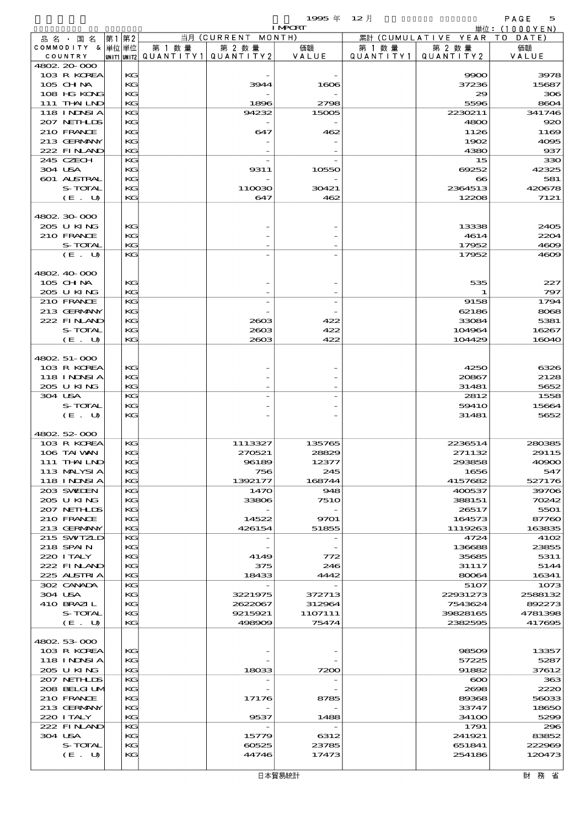|                             |                   |      |          |        |                                       | <b>I MPCRT</b>  |           |                              | 単位:(1000YEN)    |
|-----------------------------|-------------------|------|----------|--------|---------------------------------------|-----------------|-----------|------------------------------|-----------------|
| 品名・国名                       |                   | 第1第2 |          |        | 当月 (CURRENT MONTH)                    |                 |           | 累計 (CUMULATIVE YEAR TO DATE) |                 |
| COMMODITY & 単位単位            |                   |      |          | 第 1 数量 | 第 2 数量                                | 価額              | 第 1 数量    | 第 2 数量                       | 価額              |
| COUNTRY                     |                   |      |          |        | UNIT1 UNIT2  QUANT   TY1  QUANT   TY2 | VALUE           | QUANTITY1 | QUANTITY 2                   | VALUE           |
| 4802.20-000                 | 103 R KOREA       |      | KG       |        |                                       |                 |           | 9900                         | 3978            |
| 105 CH NA                   |                   |      | KG       |        | 3944                                  | 1606            |           | 37236                        | 15687           |
|                             | 108 HG KONG       |      | KG       |        |                                       |                 |           | 29                           | 306             |
| 111 THAILND                 |                   |      | KG       |        | 1896                                  | 2798            |           | 5596                         | 8604            |
| 118 INNSI A                 |                   |      | KG       |        | 94232                                 | 15005           |           | 2230211                      | 341746          |
| 207 NETHLIS                 |                   |      | KG       |        |                                       |                 |           | 4800                         | 920             |
| 210 FRANCE                  |                   |      | KG       |        | 647                                   | 462             |           | 1126                         | 1169            |
| 213 GERMANY                 |                   |      | KG       |        |                                       |                 |           | 1902                         | 4005            |
| 222 FINAND                  |                   |      | KG       |        |                                       |                 |           | 4380                         | 937             |
| 245 CZECH<br>304 USA        |                   |      | KG<br>KG |        | 9311                                  | 10550           |           | 15<br>69252                  | 330<br>42325    |
| 601 ALSTRAL                 |                   |      | KG       |        |                                       |                 |           | $\boldsymbol{\infty}$        | 581             |
|                             | S-TOTAL           |      | KG       |        | 110030                                | 30421           |           | 2364513                      | 420678          |
|                             | (E. U)            |      | KG       |        | 647                                   | 462             |           | 12208                        | 7121            |
|                             |                   |      |          |        |                                       |                 |           |                              |                 |
| 4802.30.000                 |                   |      |          |        |                                       |                 |           |                              |                 |
| 205 U KING                  |                   |      | KG       |        |                                       |                 |           | 13338                        | 2405            |
| 210 FRANCE                  |                   |      | KG       |        |                                       |                 |           | 4614                         | 2204            |
|                             | S-TOTAL           |      | KG       |        |                                       |                 |           | 17952                        | 4609            |
|                             | (E. U)            |      | KG       |        |                                       |                 |           | 17952                        | 4609            |
| 4802.40.000                 |                   |      |          |        |                                       |                 |           |                              |                 |
| 105 CH NA                   |                   |      | KG       |        |                                       |                 |           | 535                          | 227             |
| 205 U KING                  |                   |      | KG       |        |                                       |                 |           |                              | 797             |
| 210 FRANCE                  |                   |      | KG       |        |                                       |                 |           | 9158                         | 1794            |
| 213 GERMANY                 |                   |      | KG       |        |                                       |                 |           | 62186                        | 8068            |
| 222 FINAND                  |                   |      | KG       |        | 2603                                  | 422             |           | 33084                        | 5381            |
|                             | S-TOTAL           |      | KG       |        | 2603                                  | 422             |           | 104964                       | 16267           |
|                             | (E. U)            |      | KG       |        | 2003                                  | 422             |           | 104429                       | 16040           |
|                             |                   |      |          |        |                                       |                 |           |                              |                 |
| 4802. 51-000<br>103 R KOREA |                   |      | KG       |        |                                       |                 |           | 4250                         | 6326            |
| 118 INNSI A                 |                   |      | KG       |        |                                       |                 |           | 20867                        | 2128            |
| 205 U KING                  |                   |      | KG       |        |                                       |                 |           | 31481                        | 5652            |
| 304 USA                     |                   |      | KG       |        |                                       |                 |           | 2812                         | 1558            |
|                             | S-TOTAL           |      | KG       |        |                                       |                 |           | 5941O                        | 15664           |
|                             | (E. U)            |      | KG       |        |                                       |                 |           | 31481                        | 5652            |
|                             |                   |      |          |        |                                       |                 |           |                              |                 |
| 4802 52 000                 |                   |      |          |        |                                       |                 |           |                              |                 |
| 103 R KOREA<br>106 TAI VAN  |                   |      | KG<br>KG |        | 1113327<br>270521                     | 135765<br>28829 |           | 2236514<br>271132            | 280385<br>29115 |
| 111 THAILND                 |                   |      | KG       |        | 96189                                 | 12377           |           | 293858                       | 40900           |
|                             | 113 MALYSIA       |      | KG       |        | 756                                   | 245             |           | 1656                         | 547             |
| <b>118 INNSIA</b>           |                   |      | KG       |        | 1392177                               | 168744          |           | 4157682                      | 527176          |
| 203 SWIDEN                  |                   |      | KG       |        | 1470                                  | 948             |           | 400537                       | 39706           |
| 205 U KING                  |                   |      | KG       |        | 33806                                 | <b>7510</b>     |           | 388151                       | 70242           |
| 207 NETHLIS                 |                   |      | KG       |        |                                       |                 |           | 26517                        | 5501            |
| 210 FRANCE                  |                   |      | KG       |        | 14522                                 | 9701            |           | 164573                       | 87760           |
| 213 GERMANY                 |                   |      | KG       |        | 426154                                | 51855           |           | 1119263                      | 163835          |
| 215 SWIZLD<br>218 SPAIN     |                   |      | KG<br>KG |        |                                       |                 |           | 4724<br>136688               | 4102<br>23855   |
| 220 I TALY                  |                   |      | KG       |        | 4149                                  | 772             |           | 35685                        | 5311            |
|                             | 222 FINAND        |      | KG       |        | 375                                   | 246             |           | 31117                        | 5144            |
| 225 ALSTRIA                 |                   |      | KG       |        | 18433                                 | 4442            |           | 80064                        | 16341           |
| 302 CANADA                  |                   |      | KG       |        |                                       |                 |           | 5107                         | 1073            |
| 304 USA                     |                   |      | KG       |        | 3221975                               | 372713          |           | 22931273                     | 2588132         |
| 410 BRAZIL                  |                   |      | KG       |        | 2622067                               | 312964          |           | 7543624                      | 892273          |
|                             | S-TOTAL           |      | KG       |        | 9215921                               | 1107111         |           | 39828165                     | 4781398         |
|                             | (E. U)            |      | KG       |        | 498909                                | 75474           |           | 2382595                      | 417695          |
| 4802 53 000                 |                   |      |          |        |                                       |                 |           |                              |                 |
|                             | 103 R KOREA       |      | KG       |        |                                       |                 |           | 98509                        | 13357           |
|                             | <b>118 INNSIA</b> |      | KG       |        |                                       |                 |           | 57225                        | 5287            |
| 205 U KING                  |                   |      | KG       |        | 18033                                 | 7200            |           | 91882                        | 37612           |
| 207 NETHLIDS                |                   |      | KG       |        |                                       |                 |           | $\infty$                     | 363             |
|                             | 208 BELGI UM      |      | KG       |        |                                       |                 |           | 2698                         | 2220            |
| 210 FRANCE                  |                   |      | KG       |        | 17176                                 | 8785            |           | 89368                        | 56033           |
| 213 GERMANY                 |                   |      | KG       |        |                                       |                 |           | 33747                        | 18650           |
| 220 I TALY                  |                   |      | KG       |        | 9537                                  | 1488            |           | 341 <sub>00</sub>            | 5299            |
| 222 FINLAND<br>304 USA      |                   |      | KG<br>KG |        | 15779                                 | 6312            |           | 1791<br>241921               | 296<br>83852    |
|                             | S-TOTAL           |      | KG       |        | 60525                                 | 23785           |           | 651841                       | 222969          |
|                             | (E. U)            |      | KG       |        | 44746                                 | 17473           |           | 254186                       | 120473          |
|                             |                   |      |          |        |                                       |                 |           |                              |                 |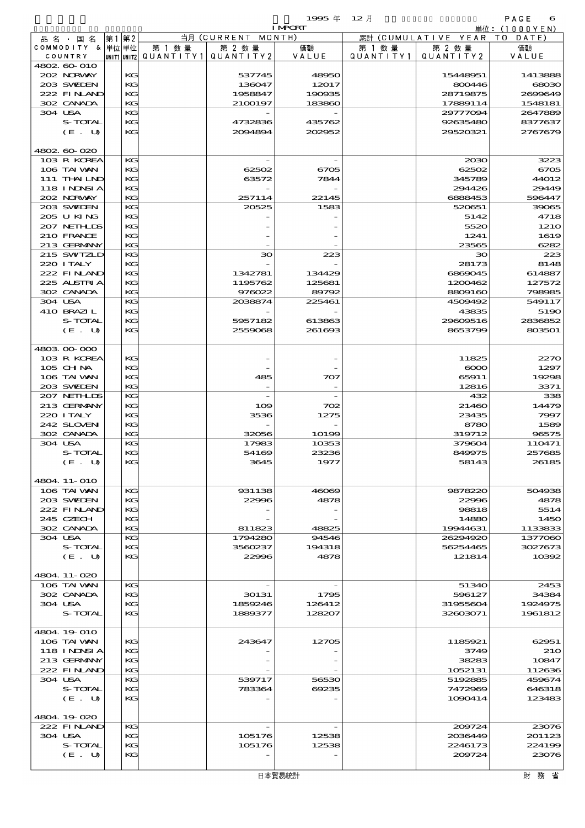|               |             |         |           |             | 1995 年         | $12$ 月       |                      | PAGE<br>6         |
|---------------|-------------|---------|-----------|-------------|----------------|--------------|----------------------|-------------------|
|               |             |         |           |             | <b>I MPCRT</b> |              |                      | 単位: (1<br>000YEN) |
| 品 名<br>国<br>名 | 第1          | 第2      |           | 当月(CURRENT  | MONTH)         |              | 累計 (CUMULATIVE YEAR) | DATE<br>т о       |
| COMMODITY     | & 単位単位      |         | 第<br>数 暈  | 第 2 数量      | 価額             | │ 数 暈<br>第 1 | 第 2 数量               | 価額                |
| COUNTRY       | UNIT1 UNIT2 |         | QUANTITY1 | QUANTITY 21 | VALUE          | QUANTITY1    | QUANTITY 2           | VALUE             |
| 4802 60 010   |             |         |           |             |                |              |                      |                   |
| 202 NRWAY     |             | $K$ $G$ |           | 537745      | 48950          |              | 15448951             | 1413888           |
| 203 SWEDEN    |             | KG      |           | 136047      | 12017          |              | 800446               | 6803              |

| 而 名 ・ 国 名         | 先    旡 ∠ |    |         |                                       |        |           | $\mathcal{R}_{\text{ell}}$ (COMOLATIVE TEAN TO DATE) |              |
|-------------------|----------|----|---------|---------------------------------------|--------|-----------|------------------------------------------------------|--------------|
| COMMODITY & 単位単位  |          |    | 第 1 数 量 | 第 2 数量                                | 価額     | 第 1 数 量   | 第 2 数量                                               | 価額           |
| COUNTRY           |          |    |         | UNIT1 UNIT2  QUANT   TY1  QUANT   TY2 | VALUE  | QUANTITY1 | QUANTITY 2                                           | VALUE        |
| 4802 60 010       |          |    |         |                                       |        |           |                                                      |              |
| 202 NORWAY        |          | KG |         | 537745                                | 48950  |           | 15448951                                             | 1413888      |
| 203 SWIDEN        |          | KG |         | 136047                                | 12017  |           | 800446                                               | 68030        |
| 222 FINLAND       |          | KG |         | 1958847                               | 190935 |           | 28719875                                             | 2699649      |
| 302 CANADA        |          | KG |         | 2100197                               | 183860 |           | 17889114                                             | 1548181      |
|                   |          |    |         |                                       |        |           |                                                      |              |
| 304 USA           |          | KG |         |                                       |        |           | 29777094                                             | 2647889      |
| S-TOTAL           |          | KG |         | 4732836                               | 435762 |           | 92635480                                             | 8377637      |
| (E. U)            |          | KG |         | 2094894                               | 202952 |           | 29520321                                             | 2767679      |
|                   |          |    |         |                                       |        |           |                                                      |              |
| 4802 60 020       |          |    |         |                                       |        |           |                                                      |              |
| 103 R KOREA       |          | КG |         |                                       |        |           | 2030                                                 | 3223         |
| 106 TAI VAN       |          | KG |         | 62502                                 | 6705   |           | 62502                                                | 6705         |
| $111$ THAILND     |          | KG |         | 63572                                 | 7844   |           | 345789                                               | 44012        |
|                   |          |    |         |                                       |        |           |                                                      |              |
| <b>118 INNSIA</b> |          | KG |         |                                       |        |           | 294426                                               | 29449        |
| 202 NORWAY        |          | KG |         | 257114                                | 22145  |           | 6888453                                              | 596447       |
| 203 SWIDEN        |          | KG |         | 20525                                 | 1583   |           | 520651                                               | 39065        |
| 205 U KING        |          | KG |         |                                       |        |           | 5142                                                 | 4718         |
| 207 NETHLIS       |          | KG |         |                                       |        |           | 5520                                                 | 121C         |
| 210 FRANCE        |          | KG |         |                                       |        |           | 1241                                                 | 1619         |
| 213 GERMANY       |          | KG |         |                                       |        |           | 23565                                                | 6282         |
| 215 SWIZLD        |          | KG |         | зо                                    | 223    |           | 30                                                   | 223          |
| 220 I TALY        |          | KG |         |                                       |        |           | 28173                                                | 8148         |
|                   |          |    |         |                                       |        |           |                                                      |              |
| 222 FINAND        |          | KG |         | 1342781                               | 134429 |           | 6869045                                              | 614887       |
| 225 ALSTRIA       |          | KG |         | 1195762                               | 125681 |           | 1200462                                              | 127572       |
| 302 CANADA        |          | KG |         | 976022                                | 89792  |           | 8809160                                              | 798985       |
| 304 USA           |          | KG |         | 2038874                               | 225461 |           | 4509492                                              | 549117       |
| 410 BRAZIL        |          | KG |         |                                       |        |           | 43835                                                | 519C         |
| S-TOTAL           |          | KG |         | 5957182                               | 613863 |           | 29609516                                             | 2836852      |
| (E. U)            |          | KG |         | 2559068                               | 261693 |           | 8653799                                              | 803501       |
|                   |          |    |         |                                       |        |           |                                                      |              |
|                   |          |    |         |                                       |        |           |                                                      |              |
| 4803 00 000       |          |    |         |                                       |        |           |                                                      |              |
| 103 R KOREA       |          | KG |         |                                       |        |           | 11825                                                | 227C         |
| 105 CH NA         |          | KG |         |                                       |        |           | $\infty$                                             | 1297         |
| 106 TAI VAN       |          | KG |         | 485                                   | 707    |           | 65911                                                | 19298        |
| 203 SWIEN         |          | KG |         |                                       |        |           | 12816                                                | 3371         |
| 207 NETHLIS       |          | KG |         |                                       |        |           | 432                                                  | 338          |
| 213 GERMANY       |          | KG |         | 109                                   | 702    |           | 21460                                                | 14479        |
| 220 I TALY        |          | KG |         | 3536                                  | 1275   |           | 23435                                                | 7997         |
| 242 SLOVEN        |          |    |         |                                       |        |           |                                                      | 1589         |
|                   |          | KG |         |                                       |        |           | 8780                                                 |              |
| 302 CANADA        |          | KG |         | 32056                                 | 10199  |           | 319712                                               | 96575        |
| 304 USA           |          | KG |         | 17983                                 | 10353  |           | 379604                                               | 110471       |
| S-TOTAL           |          | KG |         | 54169                                 | 23236  |           | 849975                                               | 257685       |
| (E. U)            |          | KG |         | 3645                                  | 1977   |           | 58143                                                | 26185        |
|                   |          |    |         |                                       |        |           |                                                      |              |
| 4804. 11-010      |          |    |         |                                       |        |           |                                                      |              |
| 106 TAI WAN       |          | КG |         | 931138                                | 46069  |           | 9878220                                              | 504938       |
| 203 SWIDEN        |          | KG |         | 22996                                 | 4878   |           | 22996                                                | 4878         |
| 222 FINAND        |          | KG |         |                                       |        |           | 98818                                                | 5514         |
|                   |          |    |         |                                       |        |           |                                                      |              |
| 245 CZECH         |          | KG |         |                                       |        |           | 14880                                                | 145C         |
| 302 CANADA        |          | KG |         | 811823                                | 48825  |           | 19944631                                             | 1133833      |
| 304 USA           |          | KG |         | 1794280                               | 94546  |           | 26294920                                             | 1377060      |
| S-TOTAL           |          | KG |         | 3560237                               | 194318 |           | 56254465                                             | 3027673      |
| (E. U)            |          | KG |         | 22996                                 | 4878   |           | 121814                                               | 10392        |
|                   |          |    |         |                                       |        |           |                                                      |              |
| 4804.11-020       |          |    |         |                                       |        |           |                                                      |              |
| 106 TAI WAN       |          | КG |         |                                       |        |           | 51340                                                | 2453         |
| 302 CANADA        |          | KG |         | 30131                                 | 1795   |           | 596127                                               | 34384        |
| 304 USA           |          | KG |         | 1859246                               | 126412 |           | 31955604                                             | 1924975      |
|                   |          |    |         |                                       |        |           |                                                      |              |
| S-TOTAL           |          | KG |         | 1889377                               | 128207 |           | 32603071                                             | 1961812      |
|                   |          |    |         |                                       |        |           |                                                      |              |
| 4804.19.010       |          |    |         |                                       |        |           |                                                      |              |
| 106 TAI WAN       |          | KG |         | 243647                                | 12705  |           | 1185921                                              | 62951        |
| <b>118 INNSIA</b> |          | KG |         |                                       |        |           | 3749                                                 | 21C          |
| 213 GERMANY       |          | KG |         |                                       |        |           | 38283                                                | 10847        |
| 222 FINAND        |          | KG |         |                                       |        |           | 1052131                                              | 112636       |
| 304 USA           |          | KG |         | 539717                                | 56530  |           | 5192885                                              | 459674       |
|                   |          |    |         |                                       |        |           |                                                      |              |
| S-TOTAL           |          | KG |         | 783364                                | 69235  |           | 7472969                                              | 646318       |
| (E. U)            |          | KG |         |                                       |        |           | 1090414                                              | 123483       |
|                   |          |    |         |                                       |        |           |                                                      |              |
| 4804.19-020       |          |    |         |                                       |        |           |                                                      |              |
| 222 FINLAND       |          | KС |         |                                       |        |           | 200724                                               | <b>23076</b> |
| 304 USA           |          | KG |         | 105176                                | 12538  |           | 2036449                                              | 201123       |
| S-TOTAL           |          | KG |         | 105176                                | 12538  |           | 2246173                                              | 22419e       |
| (E. U)            |          | KG |         |                                       |        |           | 209724                                               | 23076        |
|                   |          |    |         |                                       |        |           |                                                      |              |
|                   |          |    |         |                                       | 口卡密目统计 |           |                                                      | 日十 至ケ イジ     |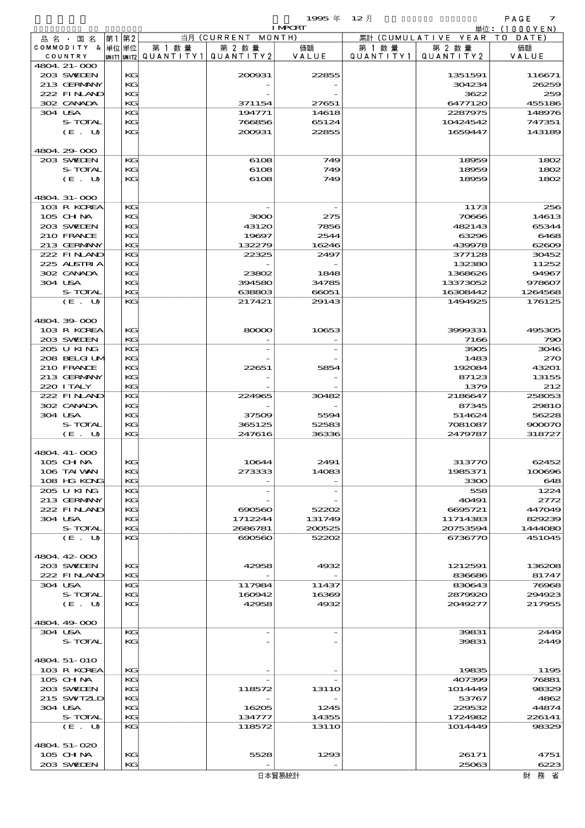|                             |    |          |        |                                                  | <b>I MPCRT</b> |                      |                              | 単位: (1000YEN)    |
|-----------------------------|----|----------|--------|--------------------------------------------------|----------------|----------------------|------------------------------|------------------|
| 品 名 ・ 国 名                   | 第1 | 第2       |        | 当月 (CURRENT MONTH)                               |                |                      | 累計 (CUMULATIVE YEAR TO DATE) |                  |
| COMMODITY & 単位単位<br>COUNTRY |    |          | 第 1 数量 | 第 2 数量<br> unit1 unit2  QUANT   TY1  QUANT   TY2 | 価額<br>VALUE    | 第 1 数 量<br>QUANTITY1 | 第 2 数量<br>QUANTITY 2         | 価額<br>VALUE      |
| 4804. 21-000                |    |          |        |                                                  |                |                      |                              |                  |
| 203 SWIEN                   |    | KG       |        | 200031                                           | 22855          |                      | 1351591                      | 116671           |
| 213 GERMANY                 |    | KG       |        |                                                  |                |                      | 304234                       | 26259            |
| 222 FINAND                  |    | KG       |        |                                                  |                |                      | 3622                         | 259              |
| 302 CANADA                  |    | KG       |        | 371154                                           | 27651          |                      | 6477120                      | 455186           |
| 304 USA<br>S-TOTAL          |    | KG<br>KG |        | 194771<br>766856                                 | 14618<br>65124 |                      | 2287975<br>10424542          | 148976<br>747351 |
| (E. U)                      |    | KG       |        | 200931                                           | 22855          |                      | 1659447                      | 143189           |
|                             |    |          |        |                                                  |                |                      |                              |                  |
| 4804 29 000                 |    |          |        |                                                  |                |                      |                              |                  |
| 203 SWIEN                   |    | KG       |        | 6108                                             | 749            |                      | 18959                        | 1802             |
| S-TOTAL                     |    | KG       |        | 6108                                             | 749            |                      | 18959                        | 1802             |
| (E. U)                      |    | KG       |        | 6108                                             | 749            |                      | 18959                        | 1802             |
| 4804. 31-000                |    |          |        |                                                  |                |                      |                              |                  |
| 103 R KOREA                 |    | KG       |        |                                                  |                |                      | 1173                         | 256              |
| $105$ CHNA                  |    | KG       |        | 3000                                             | 275            |                      | 70666                        | 14613            |
| 203 SWIEN                   |    | KG       |        | 43120                                            | 7856           |                      | 482143                       | 65344            |
| 210 FRANCE                  |    | KG       |        | 19697                                            | 2544           |                      | 63296                        | 6468             |
| 213 GERMANY                 |    | KG       |        | 132279                                           | 16246          |                      | 439978                       | 62609            |
| 222 FINAND                  |    | KG       |        | 22325                                            | 2497           |                      | 377128                       | 30452            |
| 225 ALSTRIA<br>302 CANADA   |    | KG<br>KG |        | 23802                                            | 1848           |                      | 132380<br>1368626            | 11252<br>94967   |
| 304 USA                     |    | KG       |        | 394580                                           | 34785          |                      | 13373052                     | 978607           |
| S-TOTAL                     |    | KG       |        | 638803                                           | 66051          |                      | 16308442                     | 1264568          |
| (E. U)                      |    | KG       |        | 217421                                           | 29143          |                      | 1494925                      | 176125           |
|                             |    |          |        |                                                  |                |                      |                              |                  |
| 4804.39-000                 |    |          |        |                                                  |                |                      |                              |                  |
| 103 R KOREA<br>203 SWIEN    |    | KG<br>KG |        | 80000                                            | 10653          |                      | 3999331<br>7166              | 495305           |
| 205 U KING                  |    | KG       |        |                                                  |                |                      | 3905                         | 79C<br>3046      |
| 208 BELGI UM                |    | KG       |        |                                                  |                |                      | 1483                         | 27C              |
| 210 FRANCE                  |    | KG       |        | 22651                                            | 5854           |                      | 192084                       | 43201            |
| 213 GERMANY                 |    | KG       |        |                                                  |                |                      | 87123                        | 13155            |
| 220 I TALY                  |    | KG       |        |                                                  |                |                      | 1379                         | 212              |
| 222 FINAND                  |    | KG       |        | 224965                                           | 30482          |                      | 2186647                      | 258053           |
| 302 CANADA<br>304 USA       |    | KG<br>KG |        | 37509                                            | 5594           |                      | 87345<br>514624              | 2981C<br>56228   |
| S-TOTAL                     |    | KG       |        | 365125                                           | 52583          |                      | 7081087                      | 900070           |
| (E. U)                      |    | KG       |        | 247616                                           | 36336          |                      | 2479787                      | 318727           |
|                             |    |          |        |                                                  |                |                      |                              |                  |
| 4804 41-000                 |    |          |        |                                                  |                |                      |                              |                  |
| 105 CHNA                    |    | KG       |        | 10644                                            | 2491           |                      | 313770                       | 62452            |
| 106 TAI VAN<br>108 HG KONG  |    | KG<br>KG |        | 273333                                           | 14083          |                      | 1985371                      | 100696<br>648    |
| 205 U KING                  |    | KG       |        |                                                  |                |                      | 3300<br>558                  | 1224             |
| 213 GERMANY                 |    | KG       |        |                                                  |                |                      | 40491                        | 2772             |
| 222 FINAND                  |    | KG       |        | 000000                                           | 52202          |                      | 6695721                      | 447049           |
| 304 USA                     |    | KG       |        | 1712244                                          | 131749         |                      | 11714383                     | 829239           |
| S-TOTAL                     |    | KG       |        | 2686781                                          | 200525         |                      | 20753594                     | 144408C          |
| (E. U)                      |    | KG       |        | 000000                                           | 52202          |                      | 6736770                      | 451045           |
| 4804, 42, 000               |    |          |        |                                                  |                |                      |                              |                  |
| 203 SWIDEN                  |    | KG       |        | 42958                                            | 4932           |                      | 1212591                      | 136208           |
| 222 FINAND                  |    | KG       |        |                                                  |                |                      | 836686                       | 81747            |
| 304 USA                     |    | KG       |        | 117984                                           | 11437          |                      | 830643                       | 76968            |
| S-TOTAL                     |    | KG       |        | 160942                                           | 16369          |                      | 2879920                      | 294923           |
| (E. U)                      |    | KG       |        | 42958                                            | 4932           |                      | 2049277                      | 217955           |
| 4804.49-000                 |    |          |        |                                                  |                |                      |                              |                  |
| 304 USA                     |    | KG       |        |                                                  |                |                      | 39831                        | 2449             |
| S-TOTAL                     |    | KG       |        |                                                  |                |                      | 39831                        | 2449             |
|                             |    |          |        |                                                  |                |                      |                              |                  |
| 4804 51-010                 |    |          |        |                                                  |                |                      |                              |                  |
| 103 R KOREA                 |    | KG<br>KG |        |                                                  |                |                      | 19835                        | 1195             |
| 105 CHNA<br>203 SWILEN      |    | KG       |        | 118572                                           | 1311O          |                      | 407399<br>1014449            | 76881<br>98329   |
| 215 SWIZLD                  |    | KG       |        |                                                  |                |                      | 53767                        | 4862             |
| 304 USA                     |    | KC       |        | 16205                                            | 1245           |                      | 229532                       | 44874            |
| S-TOTAL                     |    | KG       |        | 134777                                           | 14355          |                      | 1724982                      | 226141           |
| (E. U)                      |    | KG       |        | 118572                                           | 1311O          |                      | 1014449                      | 98329            |
|                             |    |          |        |                                                  |                |                      |                              |                  |
| 4804 51-020<br>105 CHNA     |    | KG       |        | 5528                                             | 1293           |                      | 26171                        | 4751             |
| 203 SVELEN                  |    | KG       |        |                                                  |                |                      | 25063                        | 6223             |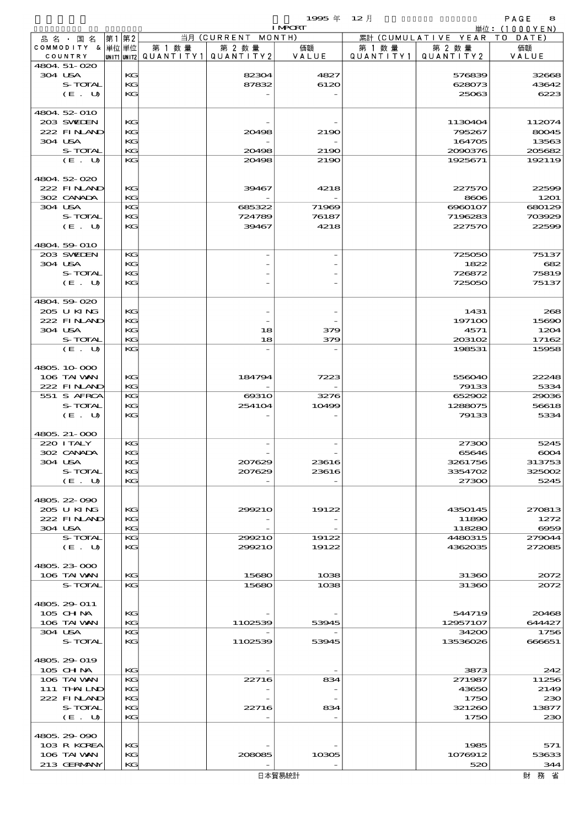$1995 \# 12$   $\frac{1}{2}$ 

|                           |      |          |                                       |                    | <b>I MPORT</b> |        |                              | 単位: (1000YEN) |
|---------------------------|------|----------|---------------------------------------|--------------------|----------------|--------|------------------------------|---------------|
| 品名・国名                     | 第1第2 |          |                                       | 当月 (CURRENT MONTH) |                |        | 累計 (CUMULATIVE YEAR TO DATE) |               |
| COMMODITY & 単位単位          |      |          | 第 1 数量                                | 第 2 数量             | 価額             | 第 1 数量 | 第 2 数量                       | 価額            |
| COUNTRY                   |      |          | UNIT1 UNIT2  QUANT   TY1  QUANT   TY2 |                    | VALUE          |        | QUANTITY1   QUANTITY2        | VALUE         |
| 4804.51-020<br>304 USA    |      | KG       |                                       | 82304              | 4827           |        | 576839                       | 32668         |
| S-TOTAL                   |      | KG       |                                       | 87832              | 6120           |        | 628073                       | 43642         |
| (E. U)                    |      | KG       |                                       |                    |                |        | 25063                        | 6223          |
|                           |      |          |                                       |                    |                |        |                              |               |
| 4804 52 010               |      |          |                                       |                    |                |        |                              |               |
| 203 SWIDEN                |      | KG       |                                       |                    |                |        | 1130404                      | 112074        |
| 222 FINAND                |      | KG       |                                       | 20498              | 2190           |        | 795267                       | 80045         |
| 304 USA                   |      | KG       |                                       |                    |                |        | 164705                       | 13563         |
| S-TOTAL                   |      | KG       |                                       | 20498              | 2190           |        | 2000376                      | 205682        |
| (E. U)                    |      | KG       |                                       | 20498              | 2190           |        | 1925671                      | 192119        |
|                           |      |          |                                       |                    |                |        |                              |               |
| 4804 52 020               |      |          |                                       |                    |                |        |                              |               |
| 222 FINAND                |      | KG       |                                       | 39467              | 4218           |        | 227570                       | 22599         |
| 302 CANADA                |      | KG       |                                       |                    |                |        | 8606                         | 1201          |
| 304 USA                   |      | KG       |                                       | 685322             | 71969          |        | 6960107                      | 680129        |
| S-TOTAL                   |      | KG       |                                       | 724789             | 76187          |        | 7196283                      | 703929        |
| (E. U)                    |      | KG       |                                       | 39467              | 4218           |        | 227570                       | 22599         |
|                           |      |          |                                       |                    |                |        |                              |               |
| 4804 59 010               |      |          |                                       |                    |                |        |                              |               |
| 203 SWIEN                 |      | KG       |                                       |                    |                |        | 725050                       | 75137         |
| 304 USA                   |      | KG       |                                       |                    |                |        | 1822                         | 682           |
| S-TOTAL                   |      | KG       |                                       |                    |                |        | 726872                       | 75819         |
| (E. U)                    |      | KG       |                                       |                    |                |        | 725050                       | 75137         |
| 4804 59 020               |      |          |                                       |                    |                |        |                              |               |
| 205 U KING                |      | KG       |                                       |                    |                |        | 1431                         | 268           |
| 222 FINAND                |      | KG       |                                       |                    |                |        | 197100                       | 15690         |
| 304 USA                   |      | KG       |                                       | 18                 | 379            |        | 4571                         | 1204          |
| S-TOTAL                   |      | KG       |                                       | 18                 | 379            |        | 203102                       | 17162         |
| (E. U)                    |      | KG       |                                       |                    |                |        | 198531                       | 15958         |
|                           |      |          |                                       |                    |                |        |                              |               |
| 4805.10.000               |      |          |                                       |                    |                |        |                              |               |
| 106 TAI VAN               |      | KG       |                                       | 184794             | 7223           |        | 556040                       | 22248         |
| 222 FINAND                |      | KG       |                                       |                    |                |        | 79133                        | 5334          |
| 551 S AFRCA               |      | KG       |                                       | 6931O              | 3276           |        | 652902                       | 29036         |
| S-TOTAL                   |      | KG       |                                       | 254104             | 10499          |        | 1288075                      | 56618         |
| (E. U)                    |      | KG       |                                       |                    |                |        | 79133                        | 5334          |
|                           |      |          |                                       |                    |                |        |                              |               |
| 4805, 21-000              |      |          |                                       |                    |                |        |                              |               |
| 220 I TALY                |      | KG       |                                       |                    |                |        | 27300                        | 5245          |
| 302 CANADA                |      | KG       |                                       |                    |                |        | 65646                        | 6004          |
| 304 USA                   |      | KG       |                                       | 207629             | 23616          |        | 3261756                      | 313753        |
| S-TOTAL                   |      | KС       |                                       | 207629             | 23616          |        | 3354702                      | 325002        |
| (E. U)                    |      | KG       |                                       |                    |                |        | 27300                        | 5245          |
|                           |      |          |                                       |                    |                |        |                              |               |
| 4805 22 090<br>205 U KING |      | KG       |                                       | 299210             | 19122          |        | 4350145                      | 270813        |
| 222 FINAND                |      | KG       |                                       |                    |                |        |                              |               |
| 304 USA                   |      | KG       |                                       |                    |                |        | 11890<br>118280              | 1272<br>6959  |
| S-TOTAL                   |      | KG       |                                       | 299210             | 19122          |        | 4480315                      | 279044        |
| (E. U)                    |      | KG       |                                       | 299210             | 19122          |        | 4362035                      | 272085        |
|                           |      |          |                                       |                    |                |        |                              |               |
| 4805, 23-000              |      |          |                                       |                    |                |        |                              |               |
| 106 TAI VAN               |      | KG       |                                       | 15680              | 1038           |        | 31360                        | 2072          |
| S-TOTAL                   |      | KG       |                                       | 15680              | 1038           |        | 31360                        | 2072          |
|                           |      |          |                                       |                    |                |        |                              |               |
| 4805 29 011               |      |          |                                       |                    |                |        |                              |               |
| 105 CH NA                 |      | КG       |                                       |                    |                |        | 544719                       | 20468         |
| 106 TAI VAN               |      | KG       |                                       | 1102539            | 53945          |        | 12957107                     | 644427        |
| 304 USA                   |      | KG       |                                       |                    |                |        | 34200                        | 1756          |
| S-TOTAL                   |      | KG       |                                       | 1102539            | 53945          |        | 13536026                     | 666651        |
|                           |      |          |                                       |                    |                |        |                              |               |
| 4805.29-019               |      |          |                                       |                    |                |        |                              |               |
| 105 CHNA                  |      | KG       |                                       |                    |                |        | 3873                         | 242           |
| 106 TAI VAN               |      | KG       |                                       | 22716              | 834            |        | 271987                       | 11256         |
| $111$ THAILND             |      | KG       |                                       |                    |                |        | 43650                        | 2149          |
| 222 FINAND                |      | KG       |                                       |                    |                |        | 1750                         | 230           |
| S-TOTAL                   |      | KG<br>KG |                                       | 22716              | 834            |        | 321260                       | 13877         |
| (E. U)                    |      |          |                                       |                    |                |        | 1750                         | 230           |
| 4805.29 090               |      |          |                                       |                    |                |        |                              |               |
| 103 R KOREA               |      | KG       |                                       |                    |                |        | 1985                         | 571           |
| 106 TAI VAN               |      | KG       |                                       | 208085             | 10305          |        | 1076912                      | 53633         |
| 213 GERMANY               |      | KG       |                                       |                    |                |        | 520                          | 344           |
|                           |      |          |                                       |                    | 日本貿易統計         |        |                              | 財務省           |
|                           |      |          |                                       |                    |                |        |                              |               |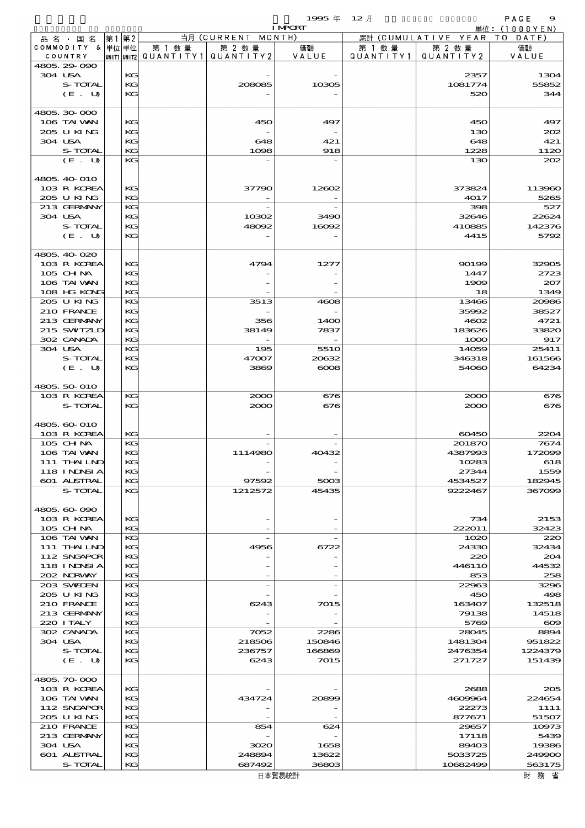| $12$ 月    |                              | PAGE<br>9    |
|-----------|------------------------------|--------------|
|           |                              | 単位:(1000YEN) |
|           | 累計 (CUMULATIVE YEAR TO DATE) |              |
| 第 1 数量    | 第 2 数量                       | 価額           |
| QUANTITY1 | QUANTITY2                    | VALUE        |
|           |                              |              |
|           | 2357                         | 1304         |
|           | 1081774                      | 55852        |
|           | 520                          | 344          |
|           |                              |              |
|           |                              |              |

|                             |      |         |                                                  | 1995年 12月      |         |                                 | PAGE<br>$\bullet$ |
|-----------------------------|------|---------|--------------------------------------------------|----------------|---------|---------------------------------|-------------------|
|                             |      |         |                                                  | <b>I MPORT</b> |         | 累計 (CUMULATIVE YEAR TO DATE)    | 単位: (1000 Y E N ) |
| 品名・国名                       | 第1第2 |         | 当月 (CURRENT MONTH)                               |                |         |                                 |                   |
| COMMODITY & 単位単位<br>COUNTRY |      | 第 1 数 量 | 第 2 数量<br> UNIT1 UNIT2  QUANT   TY1  QUANT   TY2 | 価額<br>VALUE    | 第 1 数 量 | 第 2 数量<br>QUANTITY1   QUANTITY2 | 価額<br>VALUE       |
| 4805.29 090                 |      |         |                                                  |                |         |                                 |                   |
| 304 USA                     | KG   |         |                                                  |                |         | 2357                            | 1304              |
| S-TOTAL                     | KG   |         |                                                  |                |         |                                 |                   |
|                             |      |         | 208085                                           | 10305          |         | 1081774                         | 55852             |
| (E. U)                      | KG   |         |                                                  |                |         | 520                             | 34<               |
|                             |      |         |                                                  |                |         |                                 |                   |
| 4805, 30, 000               |      |         |                                                  |                |         |                                 |                   |
| 106 TAI VAN                 | КG   |         | 450                                              | 497            |         | 450                             | 497               |
| 205 U KING                  | KG   |         |                                                  |                |         | 130                             | 200               |
| 304 USA                     | KG   |         | 648                                              | 421            |         | 648                             | 421               |
| S-TOTAL                     | KG   |         | 1098                                             | 918            |         | 1228                            | 1120              |
| (E. U)                      | KG   |         |                                                  |                |         | 130                             | 200               |
|                             |      |         |                                                  |                |         |                                 |                   |
| 4805, 40 010                |      |         |                                                  |                |         |                                 |                   |
| 103 R KOREA                 | KG   |         | 37790                                            | 12602          |         | 373824                          | 113960            |
| 205 U KING                  | KG   |         |                                                  |                |         | 4017                            | 5265              |
| 213 GERMANY                 | KG   |         |                                                  |                |         | 398                             | 527               |
| 304 USA                     | KG   |         | 10302                                            | 3490           |         | 32646                           | 22624             |
| S-TOTAL                     | KG   |         | 48092                                            | 16092          |         | 410885                          | 142376            |
| (E. U)                      | KG   |         |                                                  |                |         | 4415                            | 5792              |
|                             |      |         |                                                  |                |         |                                 |                   |
| 4805.40-020                 |      |         |                                                  |                |         |                                 |                   |
| 103 R KOREA                 | КG   |         | 4794                                             | 1277           |         | 90199                           | 32900             |
| 105 CH NA                   | KG   |         |                                                  |                |         | 1447                            | 2723              |
| 106 TAI WAN                 | KG   |         |                                                  |                |         | 1909                            | 207               |
| 108 HG KONG                 | KG.  |         |                                                  |                |         | 18                              | 1349              |
| 205 U KING                  | KG   |         | 3513                                             | 4608           |         | 13466                           | 20000             |
| 210 FRANCE                  | KG   |         |                                                  |                |         | 35992                           | 38527             |
| 213 GERMANY                 | KG   |         | 356                                              | 1400           |         | 4602                            | 4721              |
| 215 SWIZLD                  | KG   |         | 38149                                            | 7837           |         | 183626                          | 33820             |
| 302 CANADA                  | KG   |         |                                                  |                |         | 1000                            | 917               |
| 304 USA                     | KG   |         | 195                                              | 551O           |         | 14059                           | 25411             |
| S-TOTAL                     | KG   |         | 47007                                            | 20632          |         | 346318                          | 161566            |
| (E. U)                      | KG   |         | 3869                                             | $\cos$         |         | 54060                           | 64234             |
|                             |      |         |                                                  |                |         |                                 |                   |
| 4805 50 010                 |      |         |                                                  |                |         |                                 |                   |
|                             |      |         |                                                  |                |         |                                 |                   |
| 103 R KOREA                 | KG   |         | 2000                                             | 676            |         | 2000                            | 676               |
| S-TOTAL                     | KG   |         | 2000                                             | 676            |         | 2000                            | 676               |
|                             |      |         |                                                  |                |         |                                 |                   |
| 4805, 60-010                |      |         |                                                  |                |         |                                 |                   |
| 103 R KOREA                 | KG   |         |                                                  |                |         | 60450                           | 2204              |
| 105 CH NA                   | KG   |         |                                                  |                |         | 201870                          | 7674              |
| 106 TAI VAN                 | KG   |         | 1114980                                          | 40432          |         | 4387993                         | 172006            |
| 111 THAILND                 | KG   |         |                                                  |                |         | 10283                           | 618               |
| 118 INDSIA                  | KG   |         |                                                  |                |         | 27344                           | 1559              |
| 601 ALSTRAL                 | KG   |         | 97592                                            | 5003           |         | 4534527                         | 182945            |
| S-TOTAL                     | KG   |         | 1212572                                          | 45435          |         | 9222467                         | 367099            |
|                             |      |         |                                                  |                |         |                                 |                   |
| 4805,60-090                 |      |         |                                                  |                |         |                                 |                   |
| 103 R KOREA                 | KС   |         |                                                  |                |         | 734                             | 2153              |
| 105 CHNA                    | KG   |         |                                                  |                |         | 222011                          | 32423             |
| 106 TAI VAN                 | KG   |         |                                                  |                |         | 1020                            | 220               |
| 111 THAILND                 | KG   |         | 4956                                             | 6722           |         | 24330                           | 32434             |
| 112 SNGAPOR                 | KG   |         |                                                  |                |         | 220                             | 20 <sup>2</sup>   |
| 118 I NJNSI A               | KG   |         |                                                  |                |         | 4461 10                         | 44532             |
| 202 NORWAY                  | KG   |         |                                                  |                |         | 853                             | 258               |
| 203 SWILEN                  | KG   |         |                                                  |                |         | 22963                           | 3296              |
| 205 U KING                  | KG   |         |                                                  |                |         | 450                             | 496               |
| 210 FRANCE                  | KG   |         | 6243                                             | 7015           |         | 163407                          | 132518            |
| 213 GERMANY                 | KG   |         |                                                  |                |         | 79138                           | 14518             |
| 220 I TALY                  | KG   |         |                                                  |                |         | 5769                            | $\infty$          |
| 302 CANADA                  | KG   |         | 7052                                             | 2286           |         | 28045                           | 8894              |
|                             |      |         |                                                  |                |         |                                 |                   |

| ----              |         | ----    | ----     | $\sim$   | -----    |
|-------------------|---------|---------|----------|----------|----------|
| (E. U)            | KG      | 3869    | $\infty$ | 54060    | 64234    |
| 4805, 50 010      |         |         |          |          |          |
| 103 R KOREA       | KG      | 2000    | 676      | 2000     | 676      |
| S-TOTAL           | KG      | 2000    | 676      | 2000     | 676      |
|                   |         |         |          |          |          |
| 4805, 60-010      |         |         |          |          |          |
| 103 R KOREA       | KG      |         |          | 60450    | 2204     |
| 105 CHNA          | KG      |         |          | 201870   | 7674     |
| 106 TAI VAN       | KG      | 1114980 | 40432    | 4387993  | 172099   |
| 111 THAILND       | KG      |         |          | 10283    | 618      |
| <b>118 INDSIA</b> | KG      |         |          | 27344    | 1559     |
| 601 ALSTRAL       | KG      | 97592   | 5003     | 4534527  | 182945   |
| S-TOTAL           | KG      | 1212572 | 45435    | 9222467  | 367099   |
|                   |         |         |          |          |          |
| 4805.60-090       |         |         |          |          |          |
| 103 R KOREA       | KG      |         |          | 734      | 2153     |
| 105 CHNA          | KG      |         |          | 222011   | 32423    |
| 106 TAI VAN       | KG      |         |          | 1020     | 220      |
| 111 THAILND       | $K$ $G$ | 4956    | 6722     | 24330    | 32434    |
| 112 SNGAPOR       | KG      |         |          | 220      | 204      |
| 118 INNSI A       | KG      |         |          | 44611O   | 44532    |
| 202 NRWAY         | KG.     |         |          | 853      | 258      |
| 203 SWIEN         | KG      |         |          | 22963    | 3296     |
| 205 U KING        | KG      |         |          | 450      | 496      |
| 210 FRANCE        | KG      | 6243    | 7015     | 163407   | 132518   |
| 213 GERMANY       | KG      |         |          | 79138    | 14518    |
| 220 I TALY        | KG      |         |          | 5769     | $\infty$ |
| 302 CANADA        | KG      | 7052    | 2286     | 28045    | 8894     |
| 304 USA           | KG      | 218506  | 150846   | 1481304  | 951822   |
| S-TOTAL           | KG.     | 236757  | 166869   | 2476354  | 1224379  |
| (E. U)            | KG      | 6243    | 7015     | 271727   | 151439   |
|                   |         |         |          |          |          |
| 4805.70-000       |         |         |          |          |          |
| 103 R KOREA       | KG      |         |          | 2688     | 200      |
| 106 TAI WAN       | KG      | 434724  | 20899    | 4609964  | 224654   |
| 112 SNGAPOR       | KG      |         |          | 22273    | 1111     |
| 205 U KING        | KG      |         |          | 877671   | 51507    |
| 210 FRANCE        | $K$ $G$ | 854     | 624      | 29657    | 10973    |
| 213 GERMANY       | KG      |         |          | 17118    | 5439     |
| 304 USA           | KG      | 3020    | 1658     | 89403    | 19386    |
| 601 ALSTRAL       | KG      | 248894  | 13622    | 5033725  | 249900   |
| S-TOTAL           | KG      | 687492  | 36803    | 10682499 | 563175   |
|                   |         |         | 日本貿易統計   |          | 財務省      |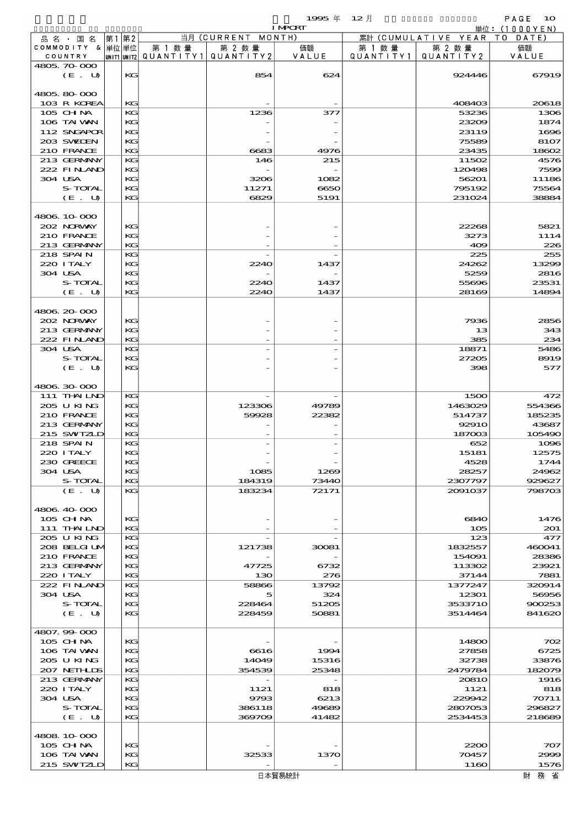|                  |    |    |                          |                    | 1995年          | $12$ 月    |                              | PAGE<br>10    |
|------------------|----|----|--------------------------|--------------------|----------------|-----------|------------------------------|---------------|
|                  |    |    |                          |                    | <b>I MPCRT</b> |           |                              | 単位: (1000YEN) |
| 品名・国名            | 第1 | 第2 |                          | 当月 (CURRENT MONTH) |                |           | 累計 (CUMULATIVE YEAR TO DATE) |               |
| COMMODITY & 単位単位 |    |    | 第 1 数量                   | 第 2 数量             | 価額             | 第 1 数 量   | 第 2 数量                       | 価額            |
| COUNTRY          |    |    | unit1 unit2  Q∪ANT   TY1 | QUANTITY 2         | VALUE          | QUANTITY1 | QUANTITY 2                   | VALUE         |
| 4805.70.000      |    |    |                          |                    |                |           |                              |               |
| (E. U)           |    | KG |                          | 854                | 624            |           | 924446                       | 67919         |
|                  |    |    |                          |                    |                |           |                              |               |
| 4805.80-000      |    |    |                          |                    |                |           |                              |               |
| 103 R KOREA      |    | KG |                          |                    |                |           | 408403                       | 20618         |
| $105$ CHNA       |    | KG |                          | 1236               | 377            |           | 53236                        | 1306          |
| 106 TAI VAN      |    | KG |                          |                    |                |           | 23209                        | 1874          |
| 112 SNGAPOR      |    | KG |                          |                    |                |           | 23119                        | 1696          |
| 203 SWIDEN       |    | KG |                          |                    |                |           | 75589                        | 8107          |
| 210 FRANCE       |    | KG |                          | 6683               | 4976           |           | 23435                        | 18602         |
|                  |    | KG |                          |                    |                |           |                              |               |
| 213 GERMANY      |    |    |                          | 146                | 215            |           | 11502                        | 4576          |
| 222 FINAND       |    | KG |                          |                    |                |           | 120498                       | 7599          |
| 304 USA          |    | KG |                          | 3206               | 1082           |           | 56201                        | 11186         |
| S-TOTAL          |    | KG |                          | 11271              | 6650           |           | 795192                       | 75564         |
| (E. U)           |    | KG |                          | 6829               | 5191           |           | 231024                       | 38884         |
|                  |    |    |                          |                    |                |           |                              |               |
| 4806.10-000      |    |    |                          |                    |                |           |                              |               |
| 202 NORWAY       |    | KG |                          |                    |                |           | 22268                        | 5821          |
| 210 FRANCE       |    | KG |                          |                    |                |           | 3273                         | 1114          |
| 213 GERMANY      |    | KG |                          |                    |                |           | 409                          | 226           |
| 218 SPAIN        |    | KG |                          |                    |                |           | 225                          | 255           |
| 220 I TALY       |    | KG |                          | 2240               | 1437           |           | 24262                        | 13299         |
| 304 USA          |    | KG |                          |                    |                |           | 5259                         | 2816          |
| S-TOTAL          |    | KG |                          | 2240               | 1437           |           | 55696                        | 23531         |
|                  |    |    |                          |                    |                |           |                              |               |
| (E. U)           |    | KG |                          | 2240               | 1437           |           | 28169                        | 14894         |
|                  |    |    |                          |                    |                |           |                              |               |
| 4806 20 000      |    |    |                          |                    |                |           |                              |               |
| 202 NORWAY       |    | KG |                          |                    |                |           | 7936                         | 2856          |
| 213 GERMANY      |    | KG |                          |                    |                |           | 13                           | 343           |
| 222 FINAND       |    | KG |                          |                    |                |           | 385                          | 234           |
| 304 USA          |    | KG |                          |                    |                |           | 18871                        | 5486          |
| S-TOTAL          |    | KG |                          |                    |                |           | 27205                        | 8919          |
| (E. U)           |    | KG |                          |                    |                |           | 398                          | 577           |
|                  |    |    |                          |                    |                |           |                              |               |
| 4806 30 000      |    |    |                          |                    |                |           |                              |               |
| 111 THAILND      |    | KG |                          |                    |                |           | 1500                         | 472           |
| 205 U KING       |    | KG |                          | 123306             | 49789          |           | 1463029                      | 554366        |
| 210 FRANCE       |    | KG |                          | 59928              | 22382          |           |                              |               |
|                  |    |    |                          |                    |                |           | 514737                       | 185235        |
| 213 GERMANY      |    | KG |                          |                    |                |           | <b>92910</b>                 | 43687         |
| 215 SWIZLD       |    | KG |                          |                    |                |           | 187003                       | 105490        |
| 218 SPAIN        |    | KG |                          |                    |                |           | 652                          | 1096          |
| 220 I TALY       |    | KG |                          |                    |                |           | 15181                        | 12575         |
| 230 GREECE       |    | KG |                          |                    |                |           | 4528                         | 1744          |
| 304 USA          |    | KG |                          | 1085               | 1269           |           | 28257                        | 24962         |
| S-TOTAL          |    | KG |                          | 184319             | 73440          |           | 2307797                      | 929627        |
| (E. U)           |    | KG |                          | 183234             | 72171          |           | 2091037                      | 798703        |
|                  |    |    |                          |                    |                |           |                              |               |
| 4806 40 000      |    |    |                          |                    |                |           |                              |               |
| 105 CH NA        |    | KC |                          |                    |                |           | 6840                         | 1476          |
| 111 THAILND      |    | KG |                          |                    |                |           | 105                          | 201           |
| 205 U KING       |    | KG |                          |                    |                |           | 123                          | 477           |
| 208 BELGI UM     |    | KG |                          | 121738             | 30081          |           | 1832557                      | 460041        |
| 210 FRANCE       |    | KG |                          |                    |                |           | 154091                       | 28386         |
|                  |    |    |                          |                    |                |           |                              |               |
| 213 GERMANY      |    | KG |                          | 47725              | 6732           |           | 113302                       | 23921         |
| 220 I TALY       |    | KG |                          | 130                | 276            |           | 37144                        | 7881          |
| 222 FINAND       |    | KG |                          | 58866              | 13792          |           | 1377247                      | 320914        |
| 304 USA          |    | KG |                          | 5                  | 324            |           | 12301                        | 56956         |
| S-TOTAL          |    | KG |                          | 228464             | 51205          |           | 3533710                      | 900253        |
| (E. U)           |    | KG |                          | 228459             | 50881          |           | 3514464                      | 841620        |
|                  |    |    |                          |                    |                |           |                              |               |
| 4807.99 000      |    |    |                          |                    |                |           |                              |               |
| 105 CHNA         |    | KG |                          |                    |                |           | 14800                        | 702           |
| 106 TAI VAN      |    | КC |                          | 6616               | 1994           |           | 27858                        | 6725          |
| 205 U KING       |    | KG |                          | 14049              | 15316          |           | 32738                        | 33876         |
| 207 NETHLIS      |    | KG |                          | 354539             | 25348          |           | 2479784                      | 182079        |
| 213 GERMANY      |    | KG |                          |                    |                |           | <b>20810</b>                 | 1916          |
| 220 I TALY       |    | KG |                          | 1121               | 818            |           | 1121                         | 818           |
| 304 USA          |    | KG |                          | 9793               | 6213           |           | 229942                       | 70711         |
| S-TOTAL          |    | KG |                          | 386118             | 49689          |           | 2807053                      | 296827        |
|                  |    |    |                          |                    |                |           |                              |               |
| (E. U)           |    | KG |                          | 369709             | 41482          |           | 2534453                      | 218689        |
|                  |    |    |                          |                    |                |           |                              |               |
| 4808 10 000      |    |    |                          |                    |                |           |                              |               |
| $105$ CHNA       |    | KG |                          |                    |                |           | 2200                         | 707           |
| 106 TAI VAN      |    | KG |                          | 32533              | 1370           |           | 70457                        | 2999          |
| 215 SWIZLD       |    | KG |                          |                    |                |           | 1160                         | 1576          |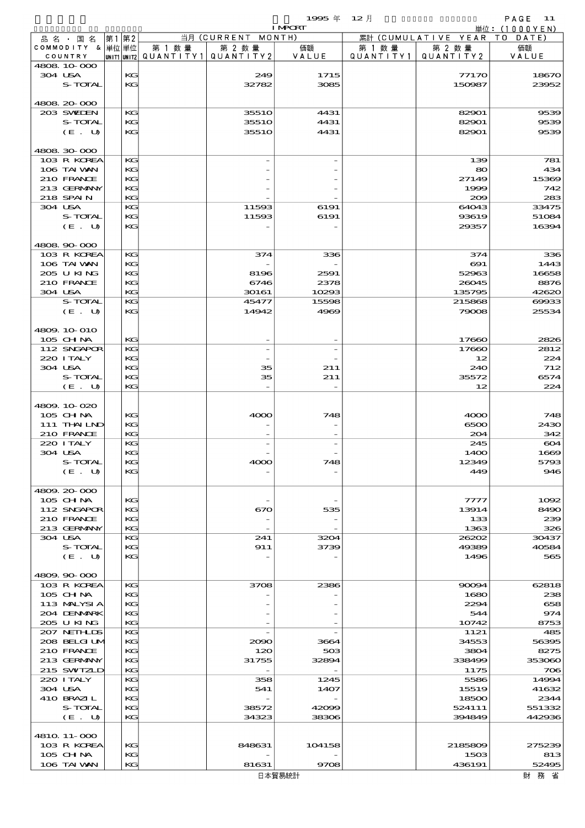品別国別表 輸 入 1995 12 確定 (Fixed Annual) 11

 $1995 \text{ } \# \quad 12 \text{ } \frac{1}{2}$  I MPORT

| 品 名 ・ 国 名                  | 第1第2 |          |                                       | 当月 (CURRENT MONTH) | <b>TMCKT</b>  |           | 累計 (CUMULATIVE YEAR TO DATE) | - 単位:(IUUUYEN <i>)</i> |
|----------------------------|------|----------|---------------------------------------|--------------------|---------------|-----------|------------------------------|------------------------|
| COMMODITY & 単位単位           |      |          | 第 1 数 量                               | 第 2 数量             | 価額            | 第 1 数 量   | 第 2 数量                       | 価額                     |
| COUNTRY                    |      |          | UNIT1 UNIT2  QUANT   TY1  QUANT   TY2 |                    | VALUE         | QUANTITY1 | QUANTITY 2                   | VALUE                  |
| 4808 10 000                |      |          |                                       |                    |               |           |                              |                        |
| 304 USA<br>S-TOTAL         |      | KG<br>KG |                                       | 249<br>32782       | 1715<br>3085  |           | 77170<br>150987              | 18670<br>23952         |
|                            |      |          |                                       |                    |               |           |                              |                        |
| 4808 20 000                |      |          |                                       |                    |               |           |                              |                        |
| 203 SWIEN                  |      | КG       |                                       | 3551O              | 4431          |           | 82901                        | 9539                   |
| S-TOTAL                    |      | KG       |                                       | 3551O              | 4431          |           | 82901                        | 9539                   |
| (E. U)                     |      | KG       |                                       | 3551O              | 4431          |           | 82901                        | 9539                   |
| 4808 30 000                |      |          |                                       |                    |               |           |                              |                        |
| 103 R KOREA                |      | KG       |                                       |                    |               |           | 139                          | 781                    |
| 106 TAI VAN                |      | KG       |                                       |                    |               |           | 80                           | 434                    |
| 210 FRANCE                 |      | KG       |                                       |                    |               |           | 27149                        | 15369                  |
| 213 GERMANY                |      | KG       |                                       |                    |               |           | 1999                         | 742                    |
| 218 SPAIN                  |      | KG       |                                       |                    |               |           | 200                          | 283                    |
| 304 USA<br><b>S-TOTAL</b>  |      | KG<br>KG |                                       | 11593<br>11593     | 6191<br>6191  |           | 64043<br>93619               | 33475<br>51084         |
| (E. U)                     |      | KG       |                                       |                    |               |           | 29357                        | 16394                  |
|                            |      |          |                                       |                    |               |           |                              |                        |
| 4808 90 000                |      |          |                                       |                    |               |           |                              |                        |
| 103 R KOREA                |      | KG       |                                       | 374                | 336           |           | 374                          | 336                    |
| 106 TAI VAN                |      | KG       |                                       |                    |               |           | $\infty$                     | 1443                   |
| 205 U KING<br>210 FRANCE   |      | KG       |                                       | 8196               | 2591          |           | 52963                        | 16658                  |
| 304 USA                    |      | KG<br>KG |                                       | 6746<br>30161      | 2378<br>10293 |           | 26045<br>135795              | 8876<br>42620          |
| S-TOTAL                    |      | KG       |                                       | 45477              | 15598         |           | 215868                       | 00033                  |
| (E. U)                     |      | KG       |                                       | 14942              | 4969          |           | 79008                        | 25534                  |
|                            |      |          |                                       |                    |               |           |                              |                        |
| 4809.10-010                |      |          |                                       |                    |               |           |                              |                        |
| 105 CHNA                   |      | KG       |                                       |                    |               |           | 17660                        | 2826                   |
| 112 SNGAPOR                |      | KG       |                                       |                    |               |           | 17660                        | 2812                   |
| 220 I TALY                 |      | KG       |                                       |                    |               |           | 12                           | 224                    |
| 304 USA<br>S-TOTAL         |      | KG<br>KG |                                       | 35<br>35           | 211           |           | 240                          | 712                    |
| (E. U)                     |      | KG       |                                       |                    | 211           |           | 35572<br>12                  | 6574<br>224            |
|                            |      |          |                                       |                    |               |           |                              |                        |
| 4809.10-020                |      |          |                                       |                    |               |           |                              |                        |
| 105 CHNA                   |      | KG       |                                       | 4000               | 748           |           | 4000                         | 748                    |
| 111 THAILND                |      | KG       |                                       |                    |               |           | 6500                         | 2430                   |
| 210 FRANCE                 |      | KG       |                                       |                    |               |           | 204                          | 342                    |
| 220 I TALY                 |      | KG       |                                       |                    |               |           | 245                          | 604                    |
| 304 USA<br>S-TOTAL         |      | KG<br>KG |                                       | 4000               | 748           |           | 1400<br>12349                | 1669<br>5793           |
| (E. U)                     |      | KG       |                                       |                    |               |           | 449                          | 946                    |
|                            |      |          |                                       |                    |               |           |                              |                        |
| 4809.20-000                |      |          |                                       |                    |               |           |                              |                        |
| 105 CH NA                  |      | KG       |                                       |                    |               |           | 7777                         | 1002                   |
| 112 SNGAPOR                |      | KG       |                                       | 670                | 535           |           | 13914                        | 8490                   |
| 210 FRANCE                 |      | KG       |                                       |                    |               |           | 133                          | 239                    |
| 213 GERMANY<br>304 USA     |      | KG<br>KG |                                       | 241                | 3204          |           | 1363<br>26202                | 326<br>30437           |
| S-TOTAL                    |      | KG       |                                       | 911                | 3739          |           | 49389                        | 40584                  |
| $(E_U U)$                  |      | KG       |                                       |                    |               |           | 1496                         | 565                    |
|                            |      |          |                                       |                    |               |           |                              |                        |
| 4809.90-000                |      |          |                                       |                    |               |           |                              |                        |
| 103 R KOREA                |      | KG       |                                       | 3708               | 2386          |           | 90094                        | 62818                  |
| $105$ CHNA                 |      | KG       |                                       |                    |               |           | 1680                         | 238                    |
| 113 MALYSIA<br>204 DENMARK |      | KG<br>KG |                                       |                    |               |           | 2294<br>544                  | 658<br>974             |
| 205 U KING                 |      | KG       |                                       |                    |               |           | 10742                        | 8753                   |
| 207 NETHLIS                |      | KG       |                                       |                    |               |           | 1121                         | 485                    |
| 208 BELGI UM               |      | KG       |                                       | 2090               | 3664          |           | 34553                        | 56395                  |
| 210 FRANCE                 |      | KG       |                                       | 120                | 503           |           | 3804                         | 8275                   |
| 213 GERMANY                |      | KG       |                                       | 31755              | 32894         |           | 338499                       | 353060                 |
| 215 SWIZLD                 |      | KG       |                                       |                    |               |           | 1175                         | 706                    |
| 220 I TALY                 |      | KG       |                                       | 358                | 1245          |           | 5586                         | 14994                  |
| 304 USA                    |      | KG       |                                       | 541                | 1407          |           | 15519                        | 41632                  |
| 410 BRAZIL<br>S-TOTAL      |      | KG<br>KG |                                       | 38572              | 42099         |           | 18500<br>524111              | 2344<br>551332         |
| (E. U)                     |      | KG       |                                       | 34323              | 38306         |           | 394849                       | 442936                 |
|                            |      |          |                                       |                    |               |           |                              |                        |
| 4810 11-000                |      |          |                                       |                    |               |           |                              |                        |
| 103 R KOREA                |      | KG       |                                       | 848631             | 104158        |           | 2185809                      | 275239                 |
| $105$ CHNA                 |      | KG       |                                       |                    |               |           | 1503                         | 813                    |
| 106 TAI VAN                |      | KG       |                                       | 81631              | 9708          |           | 436191                       | 52495                  |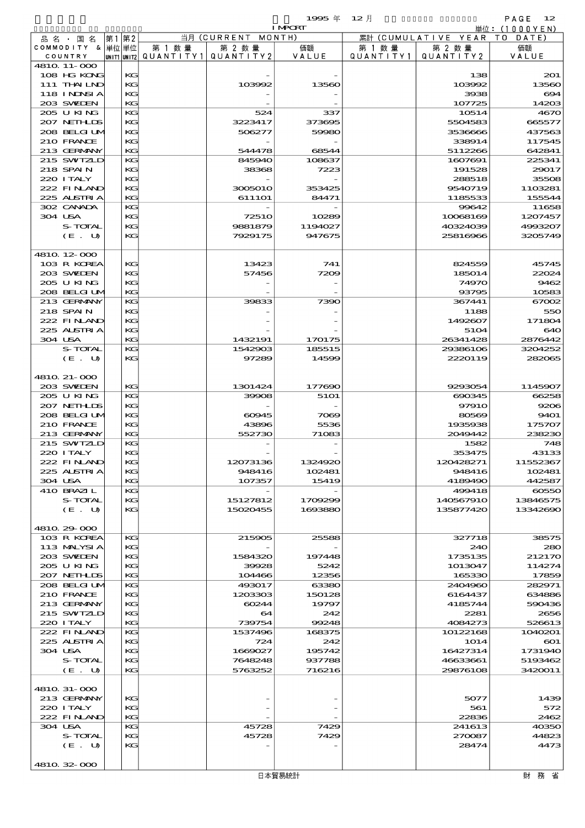$1995 \nsubseteq 12$   $\uparrow$  PAGE 12

|                            |          |        |                                       | <b>I MPCRT</b> |           |                              | 単位: (1000YEN)     |
|----------------------------|----------|--------|---------------------------------------|----------------|-----------|------------------------------|-------------------|
| 品名・国名                      | 第1 第2    |        | 当月 (CURRENT MONTH)                    |                |           | 累計 (CUMULATIVE YEAR TO DATE) |                   |
| COMMODITY & 単位単位           |          | 第 1 数量 | 第 2 数量                                | 価額             | 第 1 数 量   | 第 2 数量                       | 価額                |
| COUNTRY                    |          |        | UNIT1 UNIT2  QUANT   TY1  QUANT   TY2 | VALUE          | QUANTITY1 | QUANTITY 2                   | VALUE             |
| 4810 11-000                |          |        |                                       |                |           |                              |                   |
| 108 HG KONG                | KG       |        |                                       |                |           | 138                          | 201               |
| 111 THAILND                | KG       |        | 103992                                | 13560          |           | 103992                       | 13560             |
| 118 I NJNSI A              | KG       |        |                                       |                |           | 3938                         | 694               |
| 203 SWIEN                  | KG       |        |                                       |                |           | 107725                       | 14203             |
| 205 U KING<br>207 NETH LIS | KG       |        | 524                                   | 337            |           | 10514                        | 4670              |
|                            | KG       |        | 3223417                               | 373695         |           | 5504583                      | 665577            |
| 208 BELGI UM               | KG       |        | 506277                                | 59980          |           | 3536666                      | 437563            |
| 210 FRANCE<br>213 GERMANY  | KG       |        | 544478                                |                |           | 338914                       | 117545            |
|                            | KG       |        |                                       | 68544          |           | 5112266<br>1607691           | 642841            |
| 215 SWIZLD<br>218 SPAIN    | KG<br>KG |        | 845940                                | 108637         |           |                              | 225341            |
| 220 I TALY                 | KG       |        | 38368                                 | 7223           |           | 191528                       | 29017             |
| 222 FINAND                 | KG       |        | 3005010                               | 353425         |           | 288518<br>9540719            | 35508             |
| 225 ALSTRIA                | KG       |        | 6111O1                                | 84471          |           | 1185533                      | 1103281<br>155544 |
| 302 CANADA                 | KG       |        |                                       |                |           | 99642                        | 11658             |
| 304 USA                    | KG       |        | <b>72510</b>                          | 10289          |           | 10068169                     | 1207457           |
| S-TOTAL                    | KG       |        | 9881879                               | 1194027        |           | 40324039                     | 4993207           |
| (E. U)                     | KG       |        | 7929175                               | 947675         |           | 25816966                     | 3205749           |
|                            |          |        |                                       |                |           |                              |                   |
| 4810 12 000                |          |        |                                       |                |           |                              |                   |
| 103 R KOREA                | KG       |        | 13423                                 | 741            |           | 824559                       | 45745             |
| 203 SWIEN                  | KG       |        | 57456                                 | 7209           |           | 185014                       | 22024             |
| 205 U KING                 | KG       |        |                                       |                |           | 74970                        | 9462              |
| 208 BELGI UM               | KG       |        |                                       |                |           | 93795                        | 10583             |
| 213 GERMANY                | KG       |        | 39833                                 | 7390           |           | 367441                       | 67002             |
| 218 SPAIN                  | KG       |        |                                       |                |           | 1188                         | 550               |
| 222 FINAND                 | KG       |        |                                       |                |           | 1492607                      | 171804            |
| 225 ALSTRIA                | KG       |        |                                       |                |           | 5104                         | 640               |
| 304 USA                    | KG       |        | 1432191                               | 170175         |           | 26341428                     | 2876442           |
| S-TOTAL                    | KG       |        | 1542903                               | 185515         |           | 29386106                     | 3204252           |
| (E. U)                     | KG       |        | 97289                                 | 14599          |           | 2220119                      | 282065            |
|                            |          |        |                                       |                |           |                              |                   |
| 4810 21-000                |          |        |                                       |                |           |                              |                   |
| 203 SWIEN                  | KG       |        | 1301424                               | 177690         |           | 9293054                      | 1145907           |
| 205 U KING                 | KG       |        | 39908                                 | 5101           |           | 690345                       | 66258             |
| 207 NETHLIS                | KG       |        |                                       |                |           | 9791O                        | 9206              |
| 208 BELGI UM               | KG       |        | 60945                                 | 7069           |           | 80569                        | 9401              |
| 210 FRANCE                 | KG       |        | 43896                                 | 5536           |           | 1935938                      | 175707            |
| 213 GERMANY                | KG       |        | 552730                                | 71083          |           | 2049442                      | 238230            |
| 215 SWIZLD                 | KG       |        |                                       |                |           | 1582                         | 748               |
| 220 I TALY                 | KG       |        |                                       |                |           | 353475                       | 43133             |
| 222 FINAN                  | KG       |        | 12073136                              | 1324920        |           | 120428271                    | 11552367          |
| 225 ALSTRIA                | КG       |        | 948416                                | 102481         |           | 948416                       | 102481            |
| 304 USA                    | KG       |        | 107357                                | 15419          |           | 4189490                      | 442587            |
| 410 BRAZIL                 | KG       |        |                                       |                |           | 499418                       | 60550             |
| S-TOTAL                    | KG       |        | 15127812                              | 1709299        |           | 140567910                    | 13846575          |
| (E. U)                     | KG       |        | 15020455                              | 1693880        |           | 135877420                    | 13342690          |
|                            |          |        |                                       |                |           |                              |                   |
| 4810.29.000                |          |        |                                       |                |           |                              |                   |
| 103 R KOREA                | KG       |        | 215905                                | 25588          |           | 327718                       | 38575             |
| 113 MALYSIA                | KG       |        |                                       |                |           | 240                          | 280               |
| 203 SWIDEN                 | KG       |        | 1584320                               | 197448         |           | 1735135                      | 212170            |
| 205 U KING                 | KG       |        | 39928                                 | 5242           |           | 1013047                      | 114274            |
| 207 NETHLIS                | KG       |        | 104466                                | 12356          |           | 165330                       | 17859             |
| 208 BELGI UM               | КG       |        | 493017                                | 63380          |           | 2404960                      | 282971            |
| 210 FRANCE                 | KG       |        | 1203303                               | 150128         |           | 6164437                      | 634886            |
| 213 GERMANY                | KG       |        | 60244                                 | 19797          |           | 4185744                      | 590436            |
| 215 SWIZLD                 | KG       |        | 64                                    | 242            |           | 2281                         | 2656              |
| 220 I TALY                 | KG       |        | 739754                                | 99248          |           | 4084273                      | 526613            |
| 222 FINAND                 | KG       |        | 1537496                               | 168375         |           | 10122168                     | 1040201           |
| 225 ALSTRIA                | KG       |        | 724                                   | 242            |           | 1014                         | $\bf{601}$        |
| 304 USA                    | KG       |        | 1669027                               | 195742         |           | 16427314                     | 1731940           |
| S-TOTAL                    | KG       |        | 7648248                               | 937788         |           | 46633661                     | 5193462           |
| (E. U)                     | KG       |        | 5763252                               | 716216         |           | 29876108                     | 3420011           |
|                            |          |        |                                       |                |           |                              |                   |
| 4810 31-000                |          |        |                                       |                |           |                              |                   |
| 213 GERMANY                | KG       |        |                                       |                |           | 5077                         | 1439              |
| 220 I TALY                 | KG       |        |                                       |                |           | 561                          | 572               |
| 222 FINAND                 | KG       |        |                                       |                |           | 22836                        | 2462              |
| 304 USA                    | КG       |        | 45728                                 | 7429           |           | 241613                       | 40350             |
| S-TOTAL                    | KG       |        | 45728                                 | 7429           |           | 270087                       | 44823             |
| (E. U)                     | KG       |        |                                       |                |           | 28474                        | 4473              |
|                            |          |        |                                       |                |           |                              |                   |
| 4810.32-000                |          |        |                                       |                |           |                              |                   |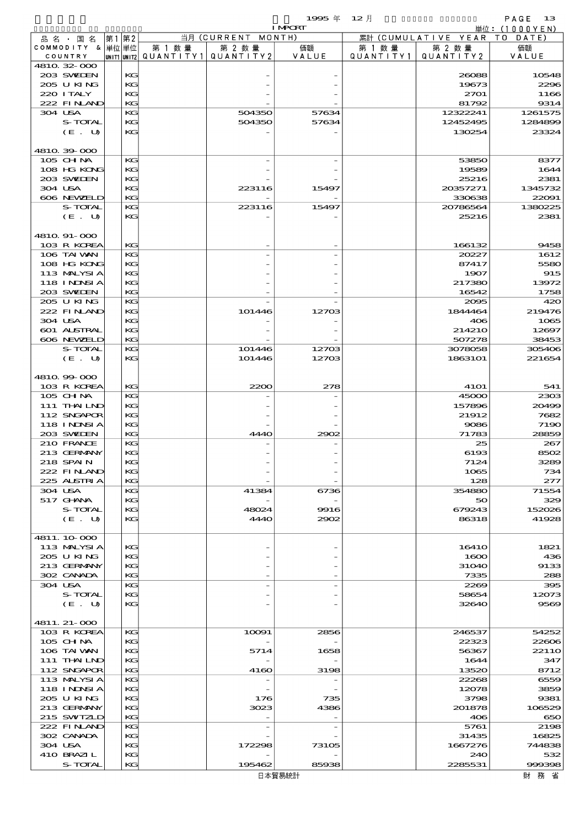| 1995年 12月 |                               | $PAGF = 13$  |
|-----------|-------------------------------|--------------|
|           |                               | 単位:(1000YEN) |
|           | 要註 (CHMILLATIVE VEAD TO DATE) |              |

|                           |          |        |                                       | <b>I MPORT</b> |           |                        | 単位:(1000YEN)       |
|---------------------------|----------|--------|---------------------------------------|----------------|-----------|------------------------|--------------------|
| 品 名 ・ 国 名                 | 第1 第2    |        | 当月 (CURRENT MONTH)                    |                |           | 累計 (CUMULATIVE YEAR TO | DATE               |
| COMMODITY & 単位単位          |          | 第 1 数量 | 第 2 数量                                | 価額             | 第 1 数 量   | 第 2 数量                 | 価額                 |
| COUNTRY                   |          |        | UNIT1 UNIT2  QUANT   TY1  QUANT   TY2 | VALUE          | QUANTITY1 | QUANTITY 2             | VALUE              |
| 4810 32 000               |          |        |                                       |                |           |                        |                    |
| 203 SWIEN                 | KG       |        |                                       |                |           | 26088                  | 10548              |
| 205 U KING                | KG       |        |                                       |                |           | 19673                  | 2296               |
| 220 I TALY                | KG       |        |                                       |                |           | 2701                   | 1166               |
| 222 FINLAND               | KG       |        |                                       |                |           | 81792                  | 9314               |
| 304 USA<br>S-TOTAL        | KG       |        | 504350<br>504350                      | 57634          |           | 12322241<br>12452495   | 1261575<br>1284899 |
| (E. U)                    | KG<br>KG |        |                                       | 57634          |           | 130254                 | 23324              |
|                           |          |        |                                       |                |           |                        |                    |
| 4810.39-000               |          |        |                                       |                |           |                        |                    |
| 105 CHNA                  | KG       |        |                                       |                |           | 53850                  | 8377               |
| 108 HG KONG               | KG       |        |                                       |                |           | 19589                  | 1644               |
| 203 SWIEN                 | KG       |        |                                       |                |           | 25216                  | 2381               |
| 304 USA                   | KG       |        | 223116                                | 15497          |           | 20357271               | 1345732            |
| 606 NEWELD                | KG       |        |                                       |                |           | 330638                 | 22091              |
| S-TOTAL                   | KG       |        | 223116                                | 15497          |           | 20786564               | 1380225            |
| (E. U)                    | КG       |        |                                       |                |           | 25216                  | 2381               |
|                           |          |        |                                       |                |           |                        |                    |
| 4810 91-000               |          |        |                                       |                |           |                        |                    |
| 103 R KOREA               | KG       |        |                                       |                |           | 166132                 | 9458               |
| 106 TAI VAN               | KG       |        |                                       |                |           | 20227                  | 1612               |
| 108 HG KONG               | KG       |        |                                       |                |           | 87417                  | 5580               |
| 113 MALYSIA               | KG       |        |                                       |                |           | 1907                   | 915                |
| 118 I NJNSI A             | KG       |        |                                       |                |           | 217380                 | 13972              |
| 203 SWIDEN                | KG       |        |                                       |                |           | 16542                  | 1758               |
| 205 U KING                | KG       |        |                                       |                |           | 2095                   | 420                |
| 222 FINAND                | КG       |        | 101446                                | 12703          |           | 1844464                | 219476             |
| 304 USA                   | KG       |        |                                       |                |           | 406                    | 1065               |
| 601 ALSTRAL               | KG       |        |                                       |                |           | 214210                 | 12697              |
| 606 NEWELD                | KG       |        |                                       |                |           | 507278                 | 38453              |
| S-TOTAL                   | KG       |        | 101446                                | 12703          |           | 3078058                | 305406             |
| (E. U)                    | КG       |        | 101446                                | 12703          |           | 1863101                | 221654             |
|                           |          |        |                                       |                |           |                        |                    |
| 4810 99 000               |          |        |                                       |                |           |                        |                    |
| 103 R KOREA               | KG       |        | 2200                                  | 278            |           | <b>41O1</b>            | 541                |
| 105 CHNA                  | KG       |        |                                       |                |           | 45000                  | 2303               |
| 111 THAILND               | КG       |        |                                       |                |           | 157896                 | 20499              |
| 112 SNGAPOR               | KG       |        |                                       |                |           | 21912                  | 7682               |
| 118 I NJNSI A             | KG       |        |                                       |                |           | 9086                   | 7190               |
| 203 SWIDEN                | KG       |        | 4440                                  | 2902           |           | 71783                  | 28859              |
| 210 FRANCE                | KG       |        |                                       |                |           | 25                     | 267                |
| 213 GERMANY               | КG       |        |                                       |                |           | 6193                   | 8502               |
| 218 SPAIN                 | $K$ .    |        |                                       |                |           | 7124                   | 3289               |
| 222 FINLAND               | KG       |        |                                       |                |           | 1065                   | 734                |
| 225 ALSTRIA               | KG       |        |                                       |                |           | 128                    | 277                |
| 304 USA                   | KG       |        | 41384                                 | 6736           |           | 354880                 | 71554              |
| 517 GHANA                 | КG       |        |                                       |                |           | 50                     | 329                |
| S-TOTAL                   | KG       |        | 48024                                 | 9916           |           | 679243                 | 152026             |
| (E. U)                    | KG       |        | <b>4440</b>                           | 2902           |           | 86318                  | 41928              |
|                           |          |        |                                       |                |           |                        |                    |
| 4811.10.000               |          |        |                                       |                |           |                        |                    |
| 113 MALYSIA<br>205 U KING | КG<br>KG |        |                                       |                |           | 16410<br>1600          | 1821<br>436        |
| 213 GERMANY               | KG       |        |                                       |                |           | 31040                  | 9133               |
| 302 CANADA                | KG       |        |                                       |                |           | 7335                   | 288                |
| 304 USA                   | KG       |        |                                       |                |           | 2269                   | 395                |
| S-TOTAL                   | КG       |        |                                       |                |           | 58654                  | 12073              |
| (E. U)                    | KG       |        |                                       |                |           | 32640                  | 9569               |
|                           |          |        |                                       |                |           |                        |                    |
| 4811. 21-000              |          |        |                                       |                |           |                        |                    |
| 103 R KOREA               | KG       |        | 10091                                 | 2856           |           | 246537                 | 54252              |
| 105 CHNA                  | КG       |        |                                       |                |           | 22323                  | 22606              |
| 106 TAI VAN               | KG       |        | 5714                                  | 1658           |           | 56367                  | 2211O              |
| 111 THAILND               | KG       |        |                                       |                |           | 1644                   | 347                |
| 112 SNGAPOR               | KG       |        | 4160                                  | 3198           |           | 13520                  | 8712               |
| 113 MALYSIA               | KG       |        |                                       |                |           | 22268                  | 6559               |
| 118 I NDSI A              | КG       |        |                                       |                |           | 12078                  | 3859               |
| 205 U KING                | KG       |        | 176                                   | 735            |           | 3798                   | 9381               |
| 213 GERMANY               | KС       |        | 3023                                  | 4386           |           | 201878                 | 106529             |
| 215 SWIZLD                | KG       |        |                                       |                |           | 406                    | 650                |
| 222 FINAND                | KG       |        |                                       |                |           | 5761                   | 2198               |
| 302 CANADA                | КG       |        |                                       |                |           | 31435                  | 16825              |
| 304 USA                   | KG       |        | 172298                                | 73105          |           | 1667276                | 744838             |
| 410 BRAZIL                | KG       |        |                                       |                |           | 240                    | 532                |
| S-TOTAL                   | KG       |        | 195462                                | 85938          |           | 2285531                | 999398             |
|                           |          |        |                                       | 日本留見納計         |           |                        |                    |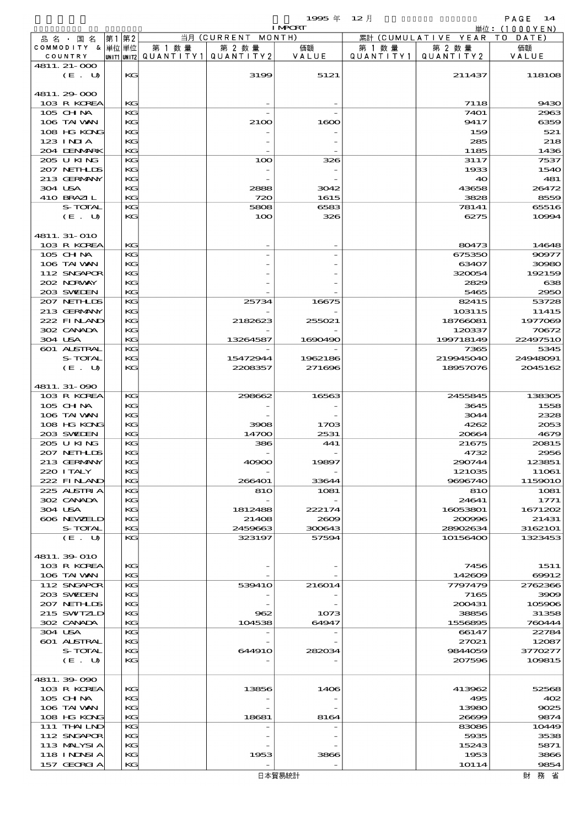$1995 \nrightarrow 12 \nrightarrow 12$ 

|                            |       |          |                                       |                    | <b>I MPORT</b> |           |                              | 単位: (1000YEN)    |
|----------------------------|-------|----------|---------------------------------------|--------------------|----------------|-----------|------------------------------|------------------|
| 品 名 ・ 国 名                  | 第1 第2 |          |                                       | 当月 (CURRENT MONTH) |                |           | 累計 (CUMULATIVE YEAR TO DATE) |                  |
| COMMODITY & 単位単位           |       |          | 第 1 数量                                | 第 2 数量             | 価額             | 第 1 数量    | 第 2 数量                       | 価額               |
| COUNTRY<br>4811. 21-000    |       |          | UNIT1 UNIT2  QUANT I TY1  QUANT I TY2 |                    | VALUE          | QUANTITY1 | QUANTITY 2                   | VALUE            |
| (E. U)                     |       | KG       |                                       | 3199               | 5121           |           | 211437                       | 118108           |
|                            |       |          |                                       |                    |                |           |                              |                  |
| 4811.29-000                |       |          |                                       |                    |                |           |                              |                  |
| 103 R KOREA                |       | KG       |                                       |                    |                |           | 7118                         | 9430             |
| 105 CH NA                  |       | KG       |                                       |                    |                |           | 7401                         | 2963             |
| 106 TAI VAN<br>108 HG KONG |       | КC<br>KG |                                       | 2100               | 1600           |           | 9417<br>159                  | 6359<br>521      |
| $123$ INIA                 |       | КC       |                                       |                    |                |           | 285                          | 218              |
| 204 DENMARK                |       | KG       |                                       |                    |                |           | 1185                         | 1436             |
| 205 U KING                 |       | KG       |                                       | 100                | 326            |           | 3117                         | 7537             |
| 207 NETHLIS                |       | КC       |                                       |                    |                |           | 1933                         | 1540             |
| 213 GERMANY                |       | KG       |                                       |                    |                |           | 40                           | 481              |
| 304 USA                    |       | КC       |                                       | 2888               | 3042           |           | 43658                        | 26472            |
| 410 BRAZIL                 |       | KG       |                                       | 720                | 1615           |           | 3828                         | 8559             |
| S-TOTAL<br>(E. U)          |       | KG<br>KG |                                       | 5808<br>100        | 6583<br>326    |           | 78141<br>6275                | 65516<br>10994   |
|                            |       |          |                                       |                    |                |           |                              |                  |
| 4811.31-010                |       |          |                                       |                    |                |           |                              |                  |
| 103 R KOREA                |       | KG       |                                       |                    |                |           | 80473                        | 14648            |
| 105 CH NA                  |       | KG       |                                       |                    |                |           | 675350                       | 90977            |
| 106 TAI VAN                |       | KG       |                                       |                    |                |           | 63407                        | 30980            |
| 112 SNGAPOR                |       | KG       |                                       |                    |                |           | 320054                       | 192159           |
| 202 NORVAY                 |       | КC       |                                       |                    |                |           | 2829                         | 638              |
| 203 SWIDEN                 |       | KG       |                                       |                    |                |           | 5465                         | 2950             |
| 207 NETHLIS<br>213 GERMANY |       | KG<br>KG |                                       | 25734              | 16675          |           | 82415<br>103115              | 53728<br>11415   |
| 222 FINAND                 |       | KG       |                                       | 2182623            | 255021         |           | 18766081                     | 1977069          |
| 302 CANADA                 |       | КC       |                                       |                    |                |           | 120337                       | 70672            |
| 304 USA                    |       | KG       |                                       | 13264587           | 1690490        |           | 199718149                    | 2249751O         |
| 601 ALSTRAL                |       | KG       |                                       |                    |                |           | 7365                         | 5345             |
| S-TOTAL                    |       | KG       |                                       | 15472944           | 1962186        |           | 219945040                    | 24948091         |
| (E. U)                     |       | KG       |                                       | 2208357            | 271696         |           | 18957076                     | 2045162          |
|                            |       |          |                                       |                    |                |           |                              |                  |
| 4811.31-090<br>103 R KOREA |       | KG       |                                       | 298662             | 16563          |           | 2455845                      | 138305           |
| 105 CH NA                  |       | KG       |                                       |                    |                |           | 3645                         | 1558             |
| 106 TAI VAN                |       | KG       |                                       |                    |                |           | 3044                         | 2328             |
| 108 HG KONG                |       | КC       |                                       | 3908               | 1703           |           | 4262                         | 2053             |
| 203 SWIDEN                 |       | KG       |                                       | 14700              | 2531           |           | 20664                        | 4679             |
| 205 U KING                 |       | KG       |                                       | 386                | 441            |           | 21675                        | 20815            |
| 207 NETHLIS                |       | KG       |                                       |                    |                |           | 4732                         | 2956             |
| 213 GERMANY                |       | KG       |                                       | 40900              | 19897          |           | 290744                       | 123851           |
| 220 I TALY<br>222 FINAND   |       | KG<br>KG |                                       | 266401             | 33644          |           | 121035<br>9696740            | 11061<br>1159010 |
| 225 ALSTRIA                |       | KG       |                                       | 810                | 1081           |           | 810                          | 1081             |
| 302 CANADA                 |       | KG       |                                       |                    |                |           | 24641                        | 1771             |
| 304 USA                    |       | KG       |                                       | 1812488            | 222174         |           | 16053801                     | 1671202          |
| 606 NEWELD                 |       | КC       |                                       | 21408              | 2609           |           | 200996                       | 21431            |
| S-TOTAL                    |       | KG       |                                       | 2459663            | 300643         |           | 28902634                     | 3162101          |
| (E. U)                     |       | KG       |                                       | 323197             | 57594          |           | 10156400                     | 1323453          |
| 4811.39-010                |       |          |                                       |                    |                |           |                              |                  |
| 103 R KOREA                |       | KG       |                                       |                    |                |           | 7456                         | 1511             |
| 106 TAI VAN                |       | KG       |                                       |                    |                |           | 142609                       | 69912            |
| 112 SNGAPOR                |       | KG       |                                       | 539410             | 216014         |           | 7797479                      | 2762366          |
| 203 SWIDEN                 |       | KG       |                                       |                    |                |           | 7165                         | 3909             |
| 207 NETHLIS                |       | KG       |                                       |                    |                |           | 200431                       | 105906           |
| 215 SWIZLD                 |       | КC       |                                       | 962                | 1073           |           | 38856                        | 31358            |
| 302 CANADA                 |       | KG       |                                       | 104538             | 64947          |           | 1556895                      | 760444           |
| 304 USA<br>601 ALSTRAL     |       | KG<br>KG |                                       |                    |                |           | 66147<br>27021               | 22784<br>12087   |
| S-TOTAL                    |       | KG       |                                       | 644910             | 282034         |           | 9844059                      | 3770277          |
| (E. U)                     |       | КC       |                                       |                    |                |           | 207596                       | 109815           |
|                            |       |          |                                       |                    |                |           |                              |                  |
| 4811.39-090                |       |          |                                       |                    |                |           |                              |                  |
| 103 R KOREA                |       | KG       |                                       | 13856              | 1406           |           | 413962                       | 52568            |
| $105$ CHNA                 |       | KG       |                                       |                    |                |           | 495                          | 402              |
| 106 TAI VAN                |       | КC       |                                       |                    |                |           | 13980                        | 9025             |
| 108 HG KONG<br>111 THAILND |       | KG<br>KG |                                       | 18681              | 8164           |           | 26699<br>83086               | 9874             |
| 112 SNGAPOR                |       | KG       |                                       |                    |                |           | 5935                         | 10449<br>3538    |
| 113 MALYSIA                |       | KG       |                                       |                    |                |           | 15243                        | 5871             |
| 118 I NDSI A               |       | KG       |                                       | 1953               | 3866           |           | 1953                         | 3866             |
| 157 GEORGIA                |       | KG       |                                       |                    |                |           | 1O114                        | 9854             |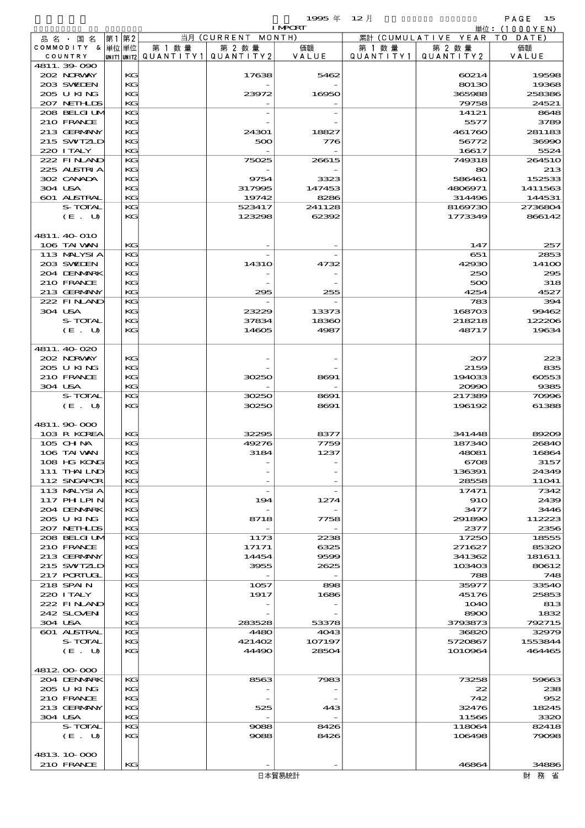|                            |          |                                       |                    | <b>I MPORT</b> |           |                              | 単位: $(1000YEN)$  |
|----------------------------|----------|---------------------------------------|--------------------|----------------|-----------|------------------------------|------------------|
| 品 名 ・ 国 名                  | 第1第2     |                                       | 当月 (CURRENT MONTH) |                |           | 累計 (CUMULATIVE YEAR TO DATE) |                  |
| COMMODITY & 単位単位           |          | 第 1 数量                                | 第 2 数量             | 価額             | 第 1 数 量   | 第 2 数量                       | 価額               |
| COUNTRY                    |          | UNIT1 UNIT2  QUANT   TY1  QUANT   TY2 |                    | VALUE          | QUANTITY1 | QUANTITY 2                   | VALUE            |
| 4811.39-090<br>202 NORWAY  |          |                                       |                    | 5462           |           |                              | 19598            |
| 203 SWIEN                  | KС<br>KG |                                       | 17638              |                |           | 60214<br>80130               | 19368            |
| 205 U KING                 | KG       |                                       | 23972              | 16950          |           | 365988                       | 258386           |
| 207 NETHLIS                | KG       |                                       |                    |                |           | 79758                        | 24521            |
| 208 BELGI UM               | KG       |                                       |                    |                |           | 14121                        | 8648             |
| 210 FRANCE                 | KG       |                                       |                    |                |           | 5577                         | 3789             |
| 213 GERMANY                | KG       |                                       | 24301              | 18827          |           | 461760                       | 281183           |
| 215 SWIZLD                 | KG       |                                       | 500                | 776            |           | 56772                        | 36990            |
| 220 I TALY<br>222 FINAND   | KG<br>KG |                                       |                    |                |           | 16617                        | 5524             |
| 225 ALSTRIA                | KG       |                                       | 75025              | 26615          |           | 749318<br>80                 | 264510<br>213    |
| 302 CANADA                 | KG       |                                       | 9754               | 3323           |           | 586461                       | 152533           |
| 304 USA                    | KG       |                                       | 317995             | 147453         |           | 4806971                      | 1411563          |
| 601 ALSTRAL                | KG       |                                       | 19742              | 8286           |           | 314496                       | 144531           |
| S-TOTAL                    | KG       |                                       | 523417             | 241128         |           | 8169730                      | 2736804          |
| (E. U)                     | KG       |                                       | 123298             | 62392          |           | 1773349                      | 866142           |
|                            |          |                                       |                    |                |           |                              |                  |
| 4811. 40 O10               |          |                                       |                    |                |           |                              |                  |
| 106 TAI VAN<br>113 MALYSIA | KG<br>KG |                                       |                    |                |           | 147<br>651                   | 257<br>2853      |
| 203 SWIEN                  | KG       |                                       | <b>14310</b>       | 4732           |           | 42930                        | 141 <sub>0</sub> |
| 204 DENMARK                | KG       |                                       |                    |                |           | 250                          | 295              |
| 210 FRANCE                 | KG       |                                       |                    |                |           | 500                          | 318              |
| 213 GERMANY                | KG       |                                       | 295                | 255            |           | 4254                         | 4527             |
| 222 FINAND                 | KG       |                                       |                    |                |           | 783                          | 394              |
| 304 USA                    | KG       |                                       | 23229              | 13373          |           | 168703                       | 99462            |
| S-TOTAL                    | KG       |                                       | 37834              | 18360          |           | 218218                       | 122206           |
| (E. U)                     | KG       |                                       | 14605              | 4987           |           | 48717                        | 19634            |
| 4811.40 020                |          |                                       |                    |                |           |                              |                  |
| 202 NORWAY                 | KG       |                                       |                    |                |           | 207                          | 223              |
| 205 U KING                 | KG       |                                       |                    |                |           | 2159                         | 835              |
| 210 FRANCE                 | KG       |                                       | 30250              | 8691           |           | 194033                       | 60553            |
| 304 USA                    | KG       |                                       |                    |                |           | 20990                        | 9385             |
| S-TOTAL                    | KG       |                                       | 30250              | 8691           |           | 217389                       | 70996            |
| (E. U)                     | KG       |                                       | 30250              | 8691           |           | 196192                       | 61388            |
|                            |          |                                       |                    |                |           |                              |                  |
| 4811.90 000<br>103 R KOREA | KG       |                                       | 32295              | 8377           |           | 341448                       | 89209            |
| 105 CHNA                   | KG       |                                       | 49276              | 7759           |           | 187340                       | 26840            |
| 106 TAI VAN                | KG       |                                       | 3184               | 1237           |           | 48081                        | 16864            |
| 108 HG KONG                | KG       |                                       |                    |                |           | 6708                         | 3157             |
| 111 THAILND                | KG       |                                       |                    |                |           | 136391                       | 24349            |
| 112 SNGAPOR                | KG       |                                       |                    |                |           | 28558                        | 11041            |
| 113 MALYSIA                | KG       |                                       |                    |                |           | 17471                        | 7342             |
| 117 PHLPIN                 | KG       |                                       | 194                | 1274           |           | 910                          | 2439             |
| 204 DENMARK<br>205 U KING  | KG<br>KG |                                       | 8718               | 7758           |           | 3477<br>291890               | 3446<br>112223   |
| 207 NETHLIS                | KG       |                                       |                    |                |           | 2377                         | 2356             |
| 208 BELGI UM               | KG       |                                       | 1173               | 2238           |           | 17250                        | 18555            |
| 210 FRANCE                 | KG       |                                       | 17171              | 6325           |           | 271627                       | 85320            |
| 213 GERMANY                | KG       |                                       | 14454              | 9599           |           | 341362                       | 181611           |
| 215 SWIZLD                 | KG       |                                       | 3955               | 2625           |           | 103403                       | 80612            |
| 217 PORTUGL                | KG       |                                       |                    |                |           | 788                          | 748              |
| 218 SPAIN                  | KG       |                                       | 1057               | 898            |           | 35977                        | 33540            |
| 220 I TALY<br>222 FINAND   | KG<br>KG |                                       | 1917               | 1686           |           | 45176<br><b>1O4O</b>         | 25853<br>813     |
| 242 SLOVEN                 | KG       |                                       |                    |                |           | 8900                         | 1832             |
| 304 USA                    | KG       |                                       | 283528             | 53378          |           | 3793873                      | 792715           |
| 601 ALSTRAL                | KG       |                                       | 4480               | 4043           |           | 36820                        | 32979            |
| S-TOTAL                    | KG       |                                       | 421402             | 107197         |           | 5720867                      | 1553844          |
| (E. U)                     | KG       |                                       | 44490              | 28504          |           | 1010964                      | 464465           |
|                            |          |                                       |                    |                |           |                              |                  |
| 4812 00 000                |          |                                       |                    |                |           |                              |                  |
| 204 DENMARK<br>205 U KING  | KG<br>KG |                                       | 8563               | 7983           |           | 73258<br>22                  | 59663<br>238     |
| 210 FRANCE                 | KG       |                                       |                    |                |           | 742                          | 952              |
| 213 GERMANY                | KG       |                                       | 525                | 443            |           | 32476                        | 18245            |
| 304 USA                    | KG       |                                       |                    |                |           | 11566                        | 3320             |
| S-TOTAL                    | KG       |                                       | 9088               | 8426           |           | 118064                       | 82418            |
| (E. U)                     | KG       |                                       | 9088               | 8426           |           | 106498                       | 79098            |
|                            |          |                                       |                    |                |           |                              |                  |
| 4813 10 000                |          |                                       |                    |                |           |                              |                  |
| 210 FRANCE                 | KG       |                                       |                    |                |           | 46864                        | 34886            |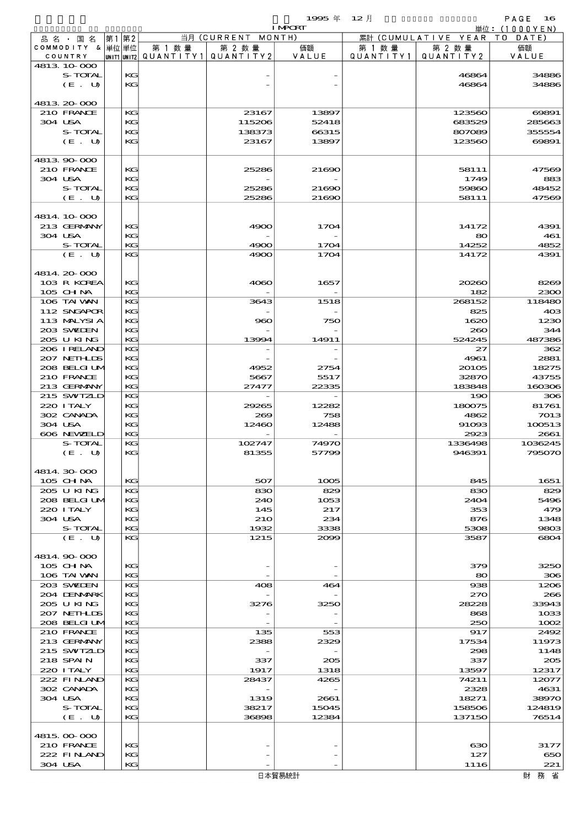|                               |       |          |                                       |                    | 1995 $#$       | $12$ 月    |                     | PAGE<br>$\bf 16$          |
|-------------------------------|-------|----------|---------------------------------------|--------------------|----------------|-----------|---------------------|---------------------------|
|                               |       |          |                                       | 当月 (CURRENT MONTH) | <b>I MPORT</b> |           | 累計 (CUMULATIVE YEAR | 単位: (1000YEN)<br>TO DATE) |
| 品 名 ・ 国 名<br>COMMODITY & 単位単位 | 第1 第2 |          | 第 1 数量                                | 第 2 数量             | 価額             | 第 1 数 量   | 第 2 数量              | 価額                        |
| COUNTRY                       |       |          | unit1 unit2  Q∪ANT   TY1  Q∪ANT   TY2 |                    | VALUE          | QUANTITY1 | QUANTITY2           | VALUE                     |
| 4813 10 000                   |       |          |                                       |                    |                |           |                     |                           |
| S-TOTAL                       |       | KG       |                                       |                    |                |           | 46864               | 34886                     |
| (E. U)                        |       | KG       |                                       |                    |                |           | 46864               | 34886                     |
| 4813 20 000                   |       |          |                                       |                    |                |           |                     |                           |
| 210 FRANCE                    |       | KG       |                                       | 23167              | 13897          |           | 123560              | 69891                     |
| 304 USA                       |       | KG       |                                       | 115206             | 52418          |           | 683529              | 285663                    |
| S-TOTAL                       |       | KG       |                                       | 138373             | 66315          |           | 807089              | 355554                    |
| (E. U)                        |       | KG       |                                       | 23167              | 13897          |           | 123560              | 69891                     |
|                               |       |          |                                       |                    |                |           |                     |                           |
| 4813.90-000<br>210 FRANCE     |       | KG       |                                       | 25286              | 21690          |           | 58111               | 47569                     |
| 304 USA                       |       | KG       |                                       |                    |                |           | 1749                | 883                       |
| S-TOTAL                       |       | KG       |                                       | 25286              | 21690          |           | 59860               | 48452                     |
| (E. U)                        |       | KG       |                                       | 25286              | 21690          |           | 58111               | 47569                     |
|                               |       |          |                                       |                    |                |           |                     |                           |
| 4814 10 000                   |       |          |                                       |                    |                |           |                     |                           |
| 213 GERMANY                   |       | KG       |                                       | 4900               | 1704           |           | 14172               | 4391                      |
| 304 USA<br>S-TOTAL            |       | KG<br>KG |                                       | 4900               | 1704           |           | 80<br>14252         | 461<br>4852               |
| (E. U)                        |       | KG       |                                       | 4900               | 1704           |           | 14172               | 4391                      |
|                               |       |          |                                       |                    |                |           |                     |                           |
| 4814.20-000                   |       |          |                                       |                    |                |           |                     |                           |
| 103 R KOREA                   |       | KG       |                                       | 4060               | 1657           |           | 20260               | 8269                      |
| 105 CHNA                      |       | KG       |                                       |                    |                |           | 182                 | 2300                      |
| 106 TAI VAN                   |       | KG       |                                       | 3643               | 1518           |           | 268152              | 118480                    |
| 112 SNGAPOR                   |       | KG       |                                       |                    |                |           | 825                 | 40 <sup>3</sup>           |
| 113 MALYSIA<br>203 SWIEN      |       | KG<br>KG |                                       | ട്കാ               | 750            |           | 1620<br>260         | 1230<br>344               |
| 205 U KING                    |       | KG       |                                       | 13994              | 14911          |           | 524245              | 487386                    |
| 206 I RELAND                  |       | KG       |                                       |                    |                |           | 27                  | 362                       |
| 207 NETHLIS                   |       | KG       |                                       |                    |                |           | 4961                | 2881                      |
| 208 BELGI UM                  |       | KG       |                                       | 4952               | 2754           |           | 20105               | 18275                     |
| 210 FRANCE                    |       | KG       |                                       | 5667               | 5517           |           | 32870               | 43755                     |
| 213 GERMANY                   |       | KG       |                                       | 27477              | 22335          |           | 183848              | 160306                    |
| 215 SWIZLD<br>220 I TALY      |       | KG<br>KG |                                       | 29265              | 12282          |           | 190<br>180075       | 306<br>81761              |
| 302 CANADA                    |       | KG       |                                       | 269                | 758            |           | 4862                | 7013                      |
| 304 USA                       |       | KG       |                                       | 12460              | 12488          |           | 91093               | 100513                    |
| 606 NEWELD                    |       | KG       |                                       |                    |                |           | 2923                | 2661                      |
| S-TOTAL                       |       | KG       |                                       | 102747             | 74970          |           | 1336498             | 1036245                   |
| (E. U)                        |       | KG       |                                       | 81355              | 57799          |           | 946391              | 795070                    |
|                               |       |          |                                       |                    |                |           |                     |                           |
| 4814 30 000<br>105 CH NA      |       | KG       |                                       | 507                | 1005           |           | 845                 | 1651                      |
| 205 U KING                    |       | KG       |                                       | 830                | 829            |           | 830                 | 829                       |
| 208 BELGI UM                  |       | KG       |                                       | 240                | 1053           |           | 2404                | 5496                      |
| 220 I TALY                    |       | KG       |                                       | 145                | 217            |           | 353                 | 479                       |
| 304 USA                       |       | KG       |                                       | 210                | 234            |           | 876                 | 1348                      |
| S-TOTAL                       |       | KG       |                                       | 1932               | 3338           |           | 5308                | 9803                      |
| (E. U)                        |       | KG       |                                       | 1215               | 2000           |           | 3587                | 6804                      |
| 4814.90.000                   |       |          |                                       |                    |                |           |                     |                           |
| $105$ CHNA                    |       | KG       |                                       |                    |                |           | 379                 | 3250                      |
| 106 TAI VAN                   |       | KG       |                                       |                    |                |           | 80                  | 306                       |
| 203 SWIDEN                    |       | KG       |                                       | 408                | 464            |           | 938                 | 1206                      |
| 204 DENMARK                   |       | KG       |                                       |                    |                |           | 270                 | 266                       |
| 205 U KING                    |       | KG       |                                       | 3276               | 3250           |           | 28228               | 33943                     |
| 207 NETHLIS                   |       | KG       |                                       |                    |                |           | 868                 | 1033                      |
| 208 BELGI UM<br>210 FRANCE    |       | KG<br>KG |                                       | 135                | 553            |           | 250<br>917          | 1002<br>2492              |
| 213 GERMANY                   |       | KG       |                                       | 2388               | 2329           |           | 17534               | 11973                     |
| 215 SWIZLD                    |       | KG       |                                       |                    |                |           | 298                 | 1148                      |
| 218 SPAIN                     |       | KG       |                                       | 337                | 205            |           | 337                 | 205                       |
| 220 I TALY                    |       | KG       |                                       | 1917               | 1318           |           | 13597               | 12317                     |
| 222 FINAND                    |       | KG       |                                       | 28437              | 4265           |           | 74211               | 12077                     |
| 302 CANADA<br>304 USA         |       | KG<br>KG |                                       | 1319               | 2661           |           | 2328<br>18271       | 4631<br>38970             |
| S-TOTAL                       |       | KG       |                                       | 38217              | 15045          |           | 158506              | 124819                    |
| (E. U)                        |       | KG       |                                       | 36898              | 12384          |           | 137150              | 76514                     |
|                               |       |          |                                       |                    |                |           |                     |                           |
| 4815.00-000                   |       |          |                                       |                    |                |           |                     |                           |
| 210 FRANCE                    |       | КG       |                                       |                    |                |           | 630                 | 3177                      |
| 222 FINAND                    |       | KG       |                                       |                    |                |           | 127                 | 650                       |
| 304 USA                       |       | KG       |                                       |                    |                |           | 1116                | 221                       |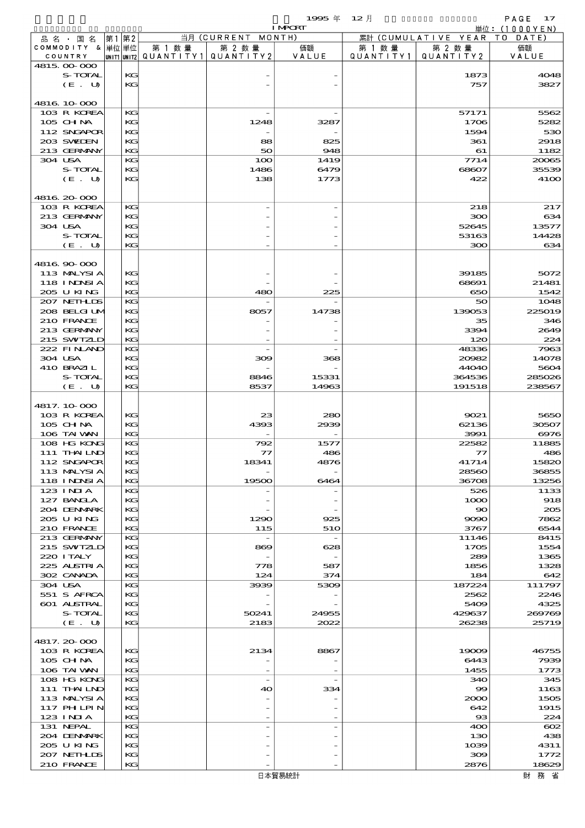$1995 \nrightarrow 12 \nrightarrow 12$ 

|                            |    |          |        |                                       | <b>I MPCRT</b> |           |                              | 単位: (1000YEN) |
|----------------------------|----|----------|--------|---------------------------------------|----------------|-----------|------------------------------|---------------|
| 品名・国名                      | 第1 | 第2       |        | 当月 (CURRENT MONTH)                    |                |           | 累計 (CUMULATIVE YEAR TO DATE) |               |
| COMMODITY & 単位単位           |    |          | 第 1 数量 | 第 2 数量                                | 価額             | 第 1 数量    | 第 2 数量                       | 価額            |
| COUNTRY<br>4815 00 000     |    |          |        | UNIT1 UNIT2  QUANT I TY1  QUANT I TY2 | VALUE          | QUANTITY1 | QUANTITY 2                   | VALUE         |
| S-TOTAL                    |    | KG       |        |                                       |                |           | 1873                         | 4048          |
| (E. U)                     |    | KG       |        |                                       |                |           | 757                          | 3827          |
|                            |    |          |        |                                       |                |           |                              |               |
| 4816 10 000                |    |          |        |                                       |                |           |                              |               |
| 103 R KOREA                |    | KG       |        |                                       |                |           | 57171                        | 5562          |
| 105 CH NA                  |    | KG       |        | 1248                                  | 3287           |           | 1706                         | 5282          |
| 112 SNGAPOR                |    | KG       |        |                                       |                |           | 1594                         | 530           |
| 203 SWIDEN<br>213 GERMANY  |    | KG<br>KG |        | 88<br>50                              | 825<br>948     |           | 361<br>61                    | 2918          |
| 304 USA                    |    | KG       |        | 100                                   | 1419           |           | 7714                         | 1182<br>20065 |
| S-TOTAL                    |    | KG       |        | 1486                                  | 6479           |           | 68607                        | 35539         |
| (E. U)                     |    | KG       |        | 138                                   | 1773           |           | 422                          | 4100          |
|                            |    |          |        |                                       |                |           |                              |               |
| 4816 20 000                |    |          |        |                                       |                |           |                              |               |
| 103 R KOREA                |    | KG       |        |                                       |                |           | 218                          | 217           |
| 213 GERMANY                |    | KG       |        |                                       |                |           | 300                          | 634           |
| 304 USA                    |    | KG       |        |                                       |                |           | 52645                        | 13577         |
| S-TOTAL<br>$(E_U U)$       |    | KG<br>KG |        |                                       |                |           | 53163                        | 14428         |
|                            |    |          |        |                                       |                |           | 300                          | 634           |
| 4816.90.000                |    |          |        |                                       |                |           |                              |               |
| 113 MALYSI A               |    | KG       |        |                                       |                |           | 39185                        | 5072          |
| 118 INNSI A                |    | KG       |        |                                       |                |           | 68691                        | 21481         |
| 205 U KING                 |    | KG       |        | 480                                   | 225            |           | 650                          | 1542          |
| 207 NETHLIS                |    | KG       |        |                                       |                |           | 50                           | 1048          |
| 208 BELGI UM               |    | KG       |        | 8057                                  | 14738          |           | 139053                       | 225019        |
| 210 FRANCE                 |    | KG       |        |                                       |                |           | 35                           | 346           |
| 213 GERMANY                |    | KG       |        |                                       |                |           | 3394                         | 2649          |
| 215 SWIZLD                 |    | KG<br>KG |        |                                       |                |           | 120                          | 224           |
| 222 FINAND<br>304 USA      |    | KG       |        | 300                                   | 368            |           | 48336<br>20082               | 7963<br>14078 |
| 410 BRAZIL                 |    | KG       |        |                                       |                |           | 44040                        | 5604          |
| S-TOTAL                    |    | KG       |        | 8846                                  | 15331          |           | 364536                       | 285026        |
| (E. U)                     |    | KG       |        | 8537                                  | 14963          |           | 191518                       | 238567        |
|                            |    |          |        |                                       |                |           |                              |               |
| 4817.10-000                |    |          |        |                                       |                |           |                              |               |
| 103 R KOREA                |    | KG       |        | 23                                    | 280            |           | 9021                         | 5650          |
| 105 CH NA                  |    | KG       |        | 4393                                  | 2939           |           | 62136                        | 30507         |
| 106 TAI VAN                |    | KG       |        |                                       |                |           | 3991<br>22582                | 6976          |
| 108 HG KONG<br>111 THAILND |    | KG<br>KG |        | 792<br>$\tau$                         | 1577<br>486    |           | 77                           | 11885<br>486  |
| 112 SNGAPOR                |    | KG       |        | 18341                                 | 4876           |           | 41714                        | 15820         |
| 113 MALYSIA                |    | KG       |        |                                       |                |           | 28560                        | 36855         |
| 118 INNSI A                |    | KG       |        | 19500                                 | 6464           |           | 36708                        | 13256         |
| 123 INIA                   |    | KG       |        |                                       |                |           | 526                          | 1133          |
| 127 BANCLA                 |    | KG       |        |                                       |                |           | 1000                         | 918           |
| 204 DENMARK                |    | KG       |        |                                       |                |           | $\infty$                     | 205           |
| 205 U KING                 |    | KG       |        | 1290                                  | 925            |           | 9090                         | 7862          |
| 210 FRANCE                 |    | KG       |        | 115                                   | 510            |           | 3767                         | 6544          |
| 213 GERMANY<br>215 SWIZLD  |    | KG<br>KG |        | $\overline{\phantom{a}}$<br>869       | 628            |           | 11146<br>1705                | 8415<br>1554  |
| 220 I TALY                 |    | KG       |        |                                       |                |           | 289                          | 1365          |
| 225 ALSTRIA                |    | KG       |        | 778                                   | 587            |           | 1856                         | 1328          |
| 302 CANADA                 |    | KG       |        | 124                                   | 374            |           | 184                          | 642           |
| 304 USA                    |    | KG       |        | 3939                                  | 5309           |           | 187224                       | 111797        |
| 551 S AFRCA                |    | KG       |        |                                       |                |           | 2562                         | 2246          |
| 601 ALSTRAL                |    | KG       |        |                                       |                |           | 5409                         | 4325          |
| S-TOTAL                    |    | KG       |        | 50241                                 | 24955          |           | 429637                       | 269769        |
| (E. U)                     |    | KG       |        | 2183                                  | 2022           |           | 26238                        | 25719         |
| 4817.20000                 |    |          |        |                                       |                |           |                              |               |
| 103 R KOREA                |    | KG       |        | 2134                                  | 8867           |           | 19009                        | 46755         |
| $105$ CHNA                 |    | KG       |        |                                       |                |           | 6443                         | 7939          |
| 106 TAI VAN                |    | KG       |        |                                       |                |           | 1455                         | 1773          |
| 108 HG KONG                |    | KG       |        | $\overline{\phantom{a}}$              |                |           | 340                          | 345           |
| 111 THAILND                |    | KG       |        | 40                                    | 334            |           | 99                           | 1163          |
| 113 MALYSIA                |    | KG       |        |                                       |                |           | 2000                         | 1505          |
| 117 PH LPIN                |    | KG       |        |                                       |                |           | 642                          | 1915          |
| 123 INIA                   |    | KG       |        |                                       |                |           | $_{\rm \bf 33}$              | 224           |
| 131 NEPAL                  |    | KG       |        |                                       |                |           | 400                          | $\infty$      |
| 204 DENMARK<br>205 U KING  |    | KG       |        |                                       |                |           | 130                          | 438           |
| 207 NETHLIDS               |    | KG<br>КC |        |                                       |                |           | 1039<br>ဆဓ                   | 4311<br>1772  |
| 210 FRANCE                 |    | KG       |        |                                       |                |           | 2876                         | 18629         |
|                            |    |          |        |                                       |                |           |                              |               |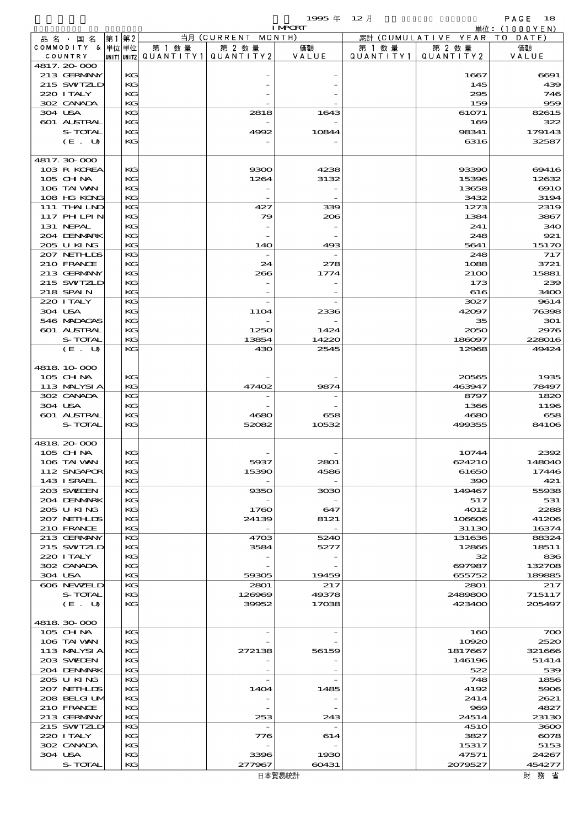|                               |         |       |          |                          |              | 1995 $#$                 | $12$ 月    |                      | PAGE<br>18        |
|-------------------------------|---------|-------|----------|--------------------------|--------------|--------------------------|-----------|----------------------|-------------------|
|                               |         |       |          |                          | 当月(CURRENT   | <b>I MPCRT</b><br>MONTH) |           | 累計 (CUMULATIVE YEAR  | 単位: $(1000YEN)$   |
| 品 名 ・ 国 名<br>COMMODITY & 単位単位 |         | 第1 第2 |          | 第 1 数 量                  | 第 2 数量       | 価額                       | 第 1 数 量   | 第 2 数量               | T O<br>DATE<br>価額 |
| COUNTRY                       |         |       |          | UNIT1 UNIT2  Q∪ANT   TY1 | QUANTITY2    | VALUE                    | QUANTITY1 | QUANTITY2            | VALUE             |
| 4817.20000                    |         |       |          |                          |              |                          |           |                      |                   |
| 213 GERMANY<br>215 SWIZLD     |         |       | KG<br>KG |                          |              |                          |           | 1667<br>145          | 6691<br>439       |
| 220 I TALY                    |         |       | KG       |                          |              |                          |           | 295                  | 746               |
| 302 CANADA                    |         |       | KG       |                          |              |                          |           | 159                  | 959               |
| 304 USA                       |         |       | KG       |                          | 2818         | 1643                     |           | 61071                | 82615             |
| 601 ALSTRAL                   | S-TOTAL |       | KG<br>KG |                          | 4992         | 10844                    |           | 169<br>98341         | 322<br>179143     |
|                               | (E. U)  |       | KG       |                          |              |                          |           | 6316                 | 32587             |
|                               |         |       |          |                          |              |                          |           |                      |                   |
| 4817.30 000                   |         |       |          |                          |              | 4238                     |           |                      |                   |
| 103 R KOREA<br>$105$ CHNA     |         |       | KG<br>KG |                          | 9300<br>1264 | 3132                     |           | 93390<br>15396       | 69416<br>12632    |
| 106 TAI VAN                   |         |       | KG       |                          |              |                          |           | 13658                | $\Theta$ 10       |
| 108 HG KONG                   |         |       | KG       |                          |              |                          |           | 3432                 | 3194              |
| 111 THAILND                   |         |       | KG       |                          | 427          | 339                      |           | 1273                 | 2319              |
| 117 PHLPIN<br>131 NEPAL       |         |       | KG<br>KG |                          | 79           | 206                      |           | 1384<br>241          | 3867<br>340       |
| 204 DENMARK                   |         |       | KG       |                          |              |                          |           | 248                  | 921               |
| 205 U KING                    |         |       | KG       |                          | 140          | 493                      |           | 5641                 | 15170             |
| 207 NETHLIS                   |         |       | KG       |                          |              |                          |           | 248                  | 717               |
| 210 FRANCE<br>213 GERMANY     |         |       | KG<br>KG |                          | 24<br>266    | 278<br>1774              |           | 1088<br>2100         | 3721<br>15881     |
| 215 SWIZLD                    |         |       | KG       |                          |              |                          |           | 173                  | 239               |
| 218 SPAIN                     |         |       | KG       |                          |              |                          |           | 616                  | 3400              |
| 220 I TALY                    |         |       | KG       |                          |              |                          |           | 3027                 | 9614              |
| 304 USA                       |         |       | KG       |                          | <b>11O4</b>  | 2336                     |           | 42097                | 76398             |
| 546 MADACAS<br>601 ALSTRAL    |         |       | KG<br>KG |                          | 1250         | 1424                     |           | 35<br>2050           | 301<br>2976       |
|                               | S-TOTAL |       | KG       |                          | 13854        | 14220                    |           | 186097               | 228016            |
|                               | (E. U)  |       | KG       |                          | 430          | 2545                     |           | 12968                | 49424             |
|                               |         |       |          |                          |              |                          |           |                      |                   |
| 4818 10 000                   |         |       |          |                          |              |                          |           |                      |                   |
| 105 CHNA<br>113 MALYSIA       |         |       | KC<br>KG |                          | 47402        | 9874                     |           | 20565<br>463947      | 1935<br>78497     |
| 302 CANADA                    |         |       | KG       |                          |              |                          |           | 8797                 | 1820              |
| 304 USA                       |         |       | KG       |                          |              |                          |           | 1366                 | 1196              |
| <b>601 ALSTRAL</b>            |         |       | KG       |                          | 4680         | 658                      |           | 4680                 | 658               |
|                               | S-TOTAL |       | KG       |                          | 52082        | 10532                    |           | 499355               | 84106             |
| 4818 20 000                   |         |       |          |                          |              |                          |           |                      |                   |
| 105 CH NA                     |         |       | KG       |                          |              |                          |           | 10744                | 2392              |
| 106 TAI VAN                   |         |       | KG       |                          | 5937         | 2801                     |           | 624210               | 148040            |
| 112 SNGAPOR<br>143 ISRAEL     |         |       | KC<br>KC |                          | 15390        | 4586                     |           | 61650<br>390         | 17446<br>421      |
| 203 SWIDEN                    |         |       | KG       |                          | 9350         | 3030                     |           | 149467               | 55938             |
| 204 DENMARK                   |         |       | KC       |                          |              |                          |           | 517                  | 531               |
| 205 U KING                    |         |       | KC       |                          | 1760         | 647                      |           | 4012                 | 2288              |
| 207 NETHLIS<br>210 FRANCE     |         |       | KC<br>KC |                          | 24139        | 8121                     |           | 106606<br>31130      | 41206<br>16374    |
| 213 GERMANY                   |         |       | KC       |                          | 4703         | 5240                     |           | 131636               | 88324             |
| 215 SWIZLD                    |         |       | KC       |                          | 3584         | 5277                     |           | 12866                | 18511             |
| 220 I TALY                    |         |       | KG       |                          |              |                          |           | 32                   | 836               |
| 302 CANADA<br>304 USA         |         |       | KC<br>KC |                          | 59305        | 19459                    |           | 697987<br>655752     | 132708<br>189885  |
| 606 NEWELD                    |         |       | KC       |                          | 2801         | 217                      |           | 2801                 | 217               |
|                               | S-TOTAL |       | KC       |                          | 126969       | 49378                    |           | 2489800              | 715117            |
|                               | (E. U)  |       | KC       |                          | 39952        | 17038                    |           | 423400               | 205497            |
| 4818 30 000                   |         |       |          |                          |              |                          |           |                      |                   |
| 105 CHNA                      |         |       | KG       |                          |              |                          |           | 160                  | 700               |
| 106 TAI VAN                   |         |       | KG       |                          |              |                          |           | 10920                | 2520              |
| 113 MALYSIA                   |         |       | KC       |                          | 272138       | 56159                    |           | 1817667              | 321666            |
| 203 SWIDEN                    |         |       | KC       |                          |              |                          |           | 146196               | 51414             |
| 204 DENMARK<br>205 U KING     |         |       | KC<br>KC |                          |              |                          |           | 522<br>748           | 539<br>1856       |
| 207 NETHLIS                   |         |       | KC       |                          | 1404         | 1485                     |           | 4192                 | 5906              |
| 208 BELGI UM                  |         |       | KG       |                          |              |                          |           | 2414                 | 2621              |
| 210 FRANCE                    |         |       | KC       |                          |              |                          |           | 969                  | 4827              |
| 213 GERMANY<br>215 SWIZLD     |         |       | KC<br>KC |                          | 253          | 243                      |           | 24514<br><b>4510</b> | 23130<br>3600     |
| 220 I TALY                    |         |       | KC       |                          | 776          | 614                      |           | 3827                 | $\sim$ 8078       |
| 302 CANADA                    |         |       | KG       |                          |              |                          |           | 15317                | 5153              |
| 304 USA                       |         |       | KC       |                          | 3396         | 1930                     |           | 47571                | 24267             |
|                               | S-TOTAL |       | KG       |                          | 277967       | 60431                    |           | 2079527              | 454277            |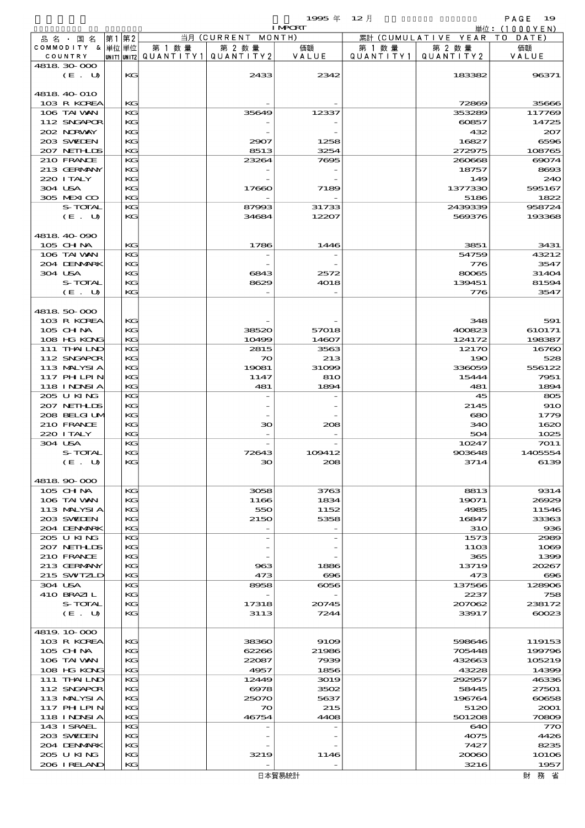$1995 \nless 12 \nless 12$ 

|         |                          |    |               |        |                                       | <b>I MPORT</b> |           |                              | 単位: (1000YEN) |
|---------|--------------------------|----|---------------|--------|---------------------------------------|----------------|-----------|------------------------------|---------------|
|         | 品名・国名                    | 第1 | 第2            |        | 当月 (CURRENT MONTH)                    |                |           | 累計 (CUMULATIVE YEAR TO DATE) |               |
|         | COMMODITY & 単位単位         |    |               | 第 1 数量 | 第 2 数量                                | 価額             | 第 1 数 量   | 第 2 数量                       | 価額            |
|         | COUNTRY                  |    |               |        | unit1 unit2  QUANT   TY1  QUANT   TY2 | VALUE          | QUANTITY1 | QUANTITY 2                   | VALUE         |
|         | 4818 30 000              |    |               |        |                                       |                |           |                              |               |
|         | (E. U)                   |    | KG            |        | 2433                                  | 2342           |           | 183382                       | 96371         |
|         |                          |    |               |        |                                       |                |           |                              |               |
|         | 4818 40 010              |    |               |        |                                       |                |           |                              |               |
|         | 103 R KOREA              |    | $K$ $G$       |        |                                       |                |           | 72869                        | 35666         |
|         | 106 TAI VAN              |    | KG            |        | 35649                                 | 12337          |           | 353289                       | 117769        |
|         | 112 SNGAPOR              |    | KG            |        |                                       |                |           | 60857                        | 14725         |
|         | 202 NORWAY               |    | KG            |        |                                       |                |           | 432                          | 207           |
|         | 203 SWIEN                |    | KG            |        | 2907                                  | 1258           |           | 16827                        | 6596          |
|         | 207 NETHLIS              |    | KG.           |        | 8513                                  | 3254           |           | 272975                       | 108765        |
|         | 210 FRANCE               |    | KG            |        | 23264                                 | 7695           |           | 260668                       | 69074         |
|         | 213 GERMANY              |    | KG            |        |                                       |                |           | 18757                        | 8693          |
|         | 220 I TALY               |    | KG            |        |                                       |                |           | 149                          | 240           |
|         | 304 USA                  |    | KG<br>KG.     |        | 17660                                 | 7189           |           | 1377330                      | 595167        |
|         | 305 MEXICO               |    |               |        |                                       |                |           | 5186                         | 1822          |
|         | S-TOTAL                  |    | KG<br>$K$ $G$ |        | 87993<br>34684                        | 31733<br>12207 |           | 2439339<br>569376            | 958724        |
|         | (E. U)                   |    |               |        |                                       |                |           |                              | 193368        |
|         |                          |    |               |        |                                       |                |           |                              |               |
|         | 4818 40 090<br>105 CH NA |    | $K$ $G$       |        | 1786                                  | 1446           |           | 3851                         | 3431          |
|         | 106 TAI VAN              |    | KG            |        |                                       |                |           | 54759                        | 43212         |
|         | 204 DENMARK              |    | KG            |        |                                       |                |           | 776                          | 3547          |
| 304 USA |                          |    | KG            |        | 6843                                  | 2572           |           | 80065                        | 31404         |
|         | S-TOTAL                  |    | KG            |        | 8629                                  | 4018           |           | 139451                       | 81594         |
|         | (E. U)                   |    | KG            |        |                                       |                |           | 776                          | 3547          |
|         |                          |    |               |        |                                       |                |           |                              |               |
|         | 4818 50 000              |    |               |        |                                       |                |           |                              |               |
|         | 103 R KOREA              |    | KG            |        |                                       |                |           | 348                          | 591           |
|         | 105 CH NA                |    | KG            |        | 38520                                 | 57018          |           | 400823                       | 610171        |
|         | 108 HG KONG              |    | KG.           |        | 10499                                 | 14607          |           | 124172                       | 198387        |
|         | 111 THAILND              |    | KG            |        | 2815                                  | 3563           |           | 12170                        | 16760         |
|         | 112 SNGAPOR              |    | $K$ $G$       |        | $\infty$                              | 213            |           | 190                          | 528           |
|         | 113 MALYSIA              |    | KG            |        | 19081                                 | 31099          |           | 336059                       | 556122        |
|         | <b>117 PHLPIN</b>        |    | KG            |        | 1147                                  | 810            |           | 15444                        | 7951          |
|         | 118 I NDSI A             |    | KG.           |        | 481                                   | 1894           |           | 481                          | 1894          |
|         | 205 U KING               |    | KG            |        |                                       |                |           | 45                           | 805           |
|         | 207 NETHLIS              |    | $K$ $G$       |        |                                       |                |           | 2145                         | <b>910</b>    |
|         | 208 BELGI UM             |    | KG            |        |                                       |                |           | 680                          | 1779          |
|         | 210 FRANCE               |    | KG            |        | зо                                    | 208            |           | 340                          | 1620          |
|         | 220 I TALY               |    | KG            |        |                                       |                |           | 504                          | 1025          |
| 304 USA |                          |    | KG            |        |                                       |                |           | 10247                        | 7011          |
|         | S-TOTAL                  |    | KG            |        | 72643                                 | 109412         |           | 903648                       | 1405554       |
|         | (E. U)                   |    | KG            |        | 30                                    | 208            |           | 3714                         | 6139          |
|         |                          |    |               |        |                                       |                |           |                              |               |
|         | 4818.90-000              |    |               |        |                                       |                |           |                              |               |
|         | 105 CH NA                |    | KG            |        | 3058                                  | 3763           |           | 8813                         | 9314          |
|         | 106 TAI VAN              |    | $K$ $G$       |        | 1166                                  | 1834           |           | 19071                        | 26929         |
|         | 113 MALYSIA              |    | KG            |        | 550                                   | 1152           |           | 4985                         | 11546         |
|         | 203 SWIDEN               |    | KG            |        | 2150                                  | 5358           |           | 16847                        | 33363         |
|         | 204 DENMARK              |    | KG            |        |                                       |                |           | <b>31O</b>                   | 936           |
|         | 205 U KING               |    | KG            |        |                                       |                |           | 1573                         | 2989          |
|         | 207 NETHLIS              |    | $K$ $G$       |        |                                       |                |           | 1103                         | 1089          |
|         | 210 FRANCE               |    | KG            |        |                                       |                |           | 365                          | 1399          |
|         | 213 GERMANY              |    | KG            |        | 963                                   | 1886           |           | 13719                        | 20267         |
|         | 215 SWIZLD               |    | KG            |        | 473                                   | $\infty$       |           | 473                          | $\bf{696}$    |
| 304 USA |                          |    | KG            |        | 8958                                  | 6056           |           | 137566                       | 128906        |
|         | 410 BRAZIL               |    | KG            |        |                                       |                |           | 2237                         | 758           |
|         | S-TOTAL                  |    | KG            |        | 17318                                 | 20745          |           | 207062                       | 238172        |
|         | (E. U)                   |    | KG            |        | 3113                                  | 7244           |           | 33917                        | 60023         |
|         |                          |    |               |        |                                       |                |           |                              |               |
|         | 4819.10-000              |    |               |        |                                       |                |           |                              |               |
|         | 103 R KOREA              |    | KG            |        | 38360                                 | 9109           |           | 598646                       | 119153        |
|         | 105 CH NA                |    | KG            |        | 62266                                 | 21986          |           | 705448                       | 199796        |
|         | 106 TAI VAN              |    | KG            |        | 22087                                 | 7939           |           | 432663                       | 105219        |
|         | 108 HG KONG              |    | KG            |        | 4957                                  | 1856           |           | 43228                        | 14399         |
|         | 111 THAILND              |    | KG            |        | 12449                                 | 3019           |           | 292957                       | 46336         |
|         | 112 SNGAPOR              |    | KG            |        | 6978                                  | 3502           |           | 58445                        | 27501         |
|         | 113 MALYSIA              |    | KG            |        | 25070                                 | 5637           |           | 196764                       | 60658         |
|         | 117 PHLPIN               |    | KG            |        | $\infty$                              | 215            |           | 5120                         | 2001          |
|         | 118 I NDSI A             |    | KG            |        | 46754                                 | 4408           |           | 501208                       | 70809         |
|         | 143 ISRAEL               |    | KG            |        |                                       |                |           | 640                          | 770           |
|         | 203 SWIDEN               |    | KG            |        |                                       |                |           | 4075                         | 4426          |
|         | 204 DENMARK              |    | KG            |        |                                       |                |           | 7427                         | 8235          |
|         | 205 U KING               |    | KG            |        | 3219                                  | 1146           |           | 20060                        | 10106         |
|         | 206 IRELAND              |    | KG            |        |                                       |                |           | 3216                         | 1957          |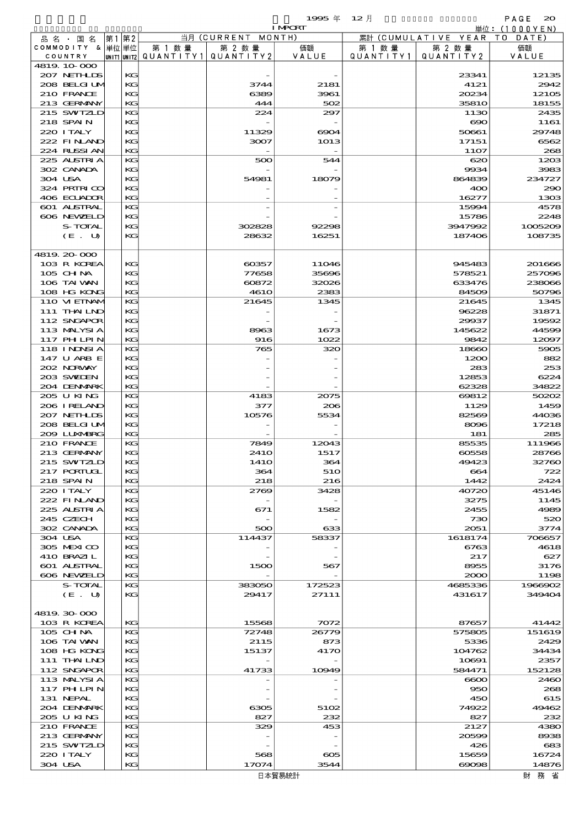$1995 \frac{1}{2}$  and  $12 \frac{1}{2}$  and  $12 \frac{1}{2}$  and  $12 \frac{1}{2}$  and  $12 \frac{1}{2}$  and  $12 \frac{1}{2}$  and  $12 \frac{1}{2}$  and  $12 \frac{1}{2}$  and  $12 \frac{1}{2}$  and  $12 \frac{1}{2}$  and  $12 \frac{1}{2}$  and  $12 \frac{1}{2}$  and  $12 \frac{1}{2}$  and  $12 \frac{1}{2}$ 

|                            |    |          |                                         |                 | <b>I MPORT</b> |                   |                              | 単位: (1000YEN)     |
|----------------------------|----|----------|-----------------------------------------|-----------------|----------------|-------------------|------------------------------|-------------------|
| 品名・国名                      | 第1 | 第2       |                                         | 当月(CURRENT      | MONTH)         |                   | 累計 (CUMULATIVE YEAR TO DATE) |                   |
| COMMODITY & 单位 单位          |    |          | 第 1 数 量                                 | 第 2 数量          | 価額             | 第 1 数 量           | 第 2 数量                       | 価額                |
| COUNTRY<br>4819.10-000     |    |          | UNIT1 UNIT2   QUANT   TY1   QUANT   TY2 |                 | VALUE          | Q U A N T I T Y 1 | QUANTITY 2                   | VALUE             |
| 207 NETHLIS                |    | KG       |                                         |                 |                |                   | 23341                        | 12135             |
| 208 BELGI UM               |    | KG       |                                         | 3744            | 2181           |                   | 4121                         | 2942              |
| 210 FRANCE                 |    | KG       |                                         | 6389            | 3961           |                   | 20234                        | 12105             |
| 213 GERMANY                |    | KG       |                                         | 444             | 502            |                   | 3581O                        | 18155             |
| 215 SWIZLD                 |    | KG       |                                         | 224             | 297            |                   | 1130                         | 2435              |
| 218 SPAIN                  |    | KG       |                                         |                 |                |                   | $\infty$                     | 1161              |
| 220 I TALY                 |    | KG       |                                         | 11329           | $\infty$       |                   | 50661                        | 29748             |
| 222 FINAND<br>224 RUSSI AN |    | KG<br>KG |                                         | 3007            | 1013           |                   | 17151<br>11O <sub>7</sub>    | 6562<br>268       |
| 225 ALSTRIA                |    | KG       |                                         | 500             | 544            |                   | 620                          | 1203              |
| 302 CANADA                 |    | KG       |                                         |                 |                |                   | 9934                         | 3983              |
| 304 USA                    |    | KG       |                                         | 54981           | 18079          |                   | 864839                       | 234727            |
| 324 PRIRICO                |    | KG       |                                         |                 |                |                   | 400                          | 290               |
| 406 ECUADOR                |    | KG       |                                         |                 |                |                   | 16277                        | 1303              |
| 601 ALSTRAL                |    | KG       |                                         |                 |                |                   | 15994                        | 4578              |
| 606 NEWELD                 |    | KG       |                                         |                 |                |                   | 15786                        | 2248              |
| S-TOTAL<br>(E. U)          |    | KG<br>KG |                                         | 302828<br>28632 | 92298<br>16251 |                   | 3947992<br>187406            | 1005209<br>108735 |
|                            |    |          |                                         |                 |                |                   |                              |                   |
| 4819.20.000                |    |          |                                         |                 |                |                   |                              |                   |
| 103 R KOREA                |    | KG       |                                         | 60357           | 11046          |                   | 945483                       | 201666            |
| 105 CH NA                  |    | KG       |                                         | 77658           | 35696          |                   | 578521                       | 257096            |
| 106 TAI VAN                |    | KG       |                                         | 60872           | 32026          |                   | 633476                       | 238066            |
| 108 HG KONG                |    | KG       |                                         | <b>4610</b>     | 2383           |                   | 84509                        | 50796             |
| 110 VIEINAM                |    | KG       |                                         | 21645           | 1345           |                   | 21645                        | 1345              |
| 111 THAILND                |    | KG<br>KG |                                         |                 |                |                   | 96228                        | 31871             |
| 112 SNGAPOR<br>113 MALYSIA |    | KG       |                                         | 8963            | 1673           |                   | 29937<br>145622              | 19592<br>44599    |
| 117 PHLPIN                 |    | KG       |                                         | 916             | 1022           |                   | 9842                         | 12097             |
| 118 I NDSI A               |    | KG       |                                         | 765             | 320            |                   | 18660                        | 5905              |
| 147 U ARB E                |    | KG       |                                         |                 |                |                   | 1200                         | 882               |
| 202 NORWAY                 |    | KG       |                                         |                 |                |                   | 283                          | 253               |
| 203 SWIJEN                 |    | KG       |                                         |                 |                |                   | 12853                        | 6224              |
| 204 DENMARK                |    | KG       |                                         |                 |                |                   | 62328                        | 34822             |
| 205 U KING                 |    | KG       |                                         | 4183            | 2075           |                   | 69812                        | 50202             |
| 206 IRELAND<br>207 NETHLIS |    | KG<br>KG |                                         | 377<br>10576    | 206<br>5534    |                   | 1129<br>82569                | 1459<br>44036     |
| 208 BELGI UM               |    | KG       |                                         |                 |                |                   | 8096                         | 17218             |
| 2009 LUXMBRG               |    | KG       |                                         |                 |                |                   | 181                          | 285               |
| 210 FRANCE                 |    | KG       |                                         | 7849            | 12043          |                   | 85535                        | 111966            |
| 213 GERMANY                |    | KG       |                                         | 241O            | 1517           |                   | 60558                        | 28766             |
| 215 SWIZLD                 |    | KG       |                                         | 141O            | 364            |                   | 49423                        | 32760             |
| 217 PORTUGL                |    | KG       |                                         | 364             | 510            |                   | 664                          | 722               |
| 218 SPAIN                  |    | KG       |                                         | 218             | 216            |                   | 1442                         | 2424              |
| 220 I TALY<br>222 FINAND   |    | KG<br>KG |                                         | 2769            | 3428           |                   | 40720<br>3275                | 45146<br>1145     |
| 225 ALSTRIA                |    | KG       |                                         | 671             | 1582           |                   | 2455                         | 4989              |
| 245 CZECH                  |    | KG       |                                         |                 |                |                   | 730                          | 520               |
| 302 CANADA                 |    | KG       |                                         | 500             | 633            |                   | 2051                         | 3774              |
| 304 USA                    |    | KG       |                                         | 114437          | 58337          |                   | 1618174                      | 706657            |
| 305 MEXICO                 |    | KG       |                                         |                 |                |                   | 6763                         | 4618              |
| 410 BRAZIL                 |    | KG       |                                         |                 |                |                   | 217                          | 627               |
| 601 ALSTRAL<br>606 NEWELD  |    | KG<br>KG |                                         | 1500            | 567            |                   | 8955<br>2000                 | 3176<br>1198      |
| S-TOTAL                    |    | KG       |                                         | 383050          | 172523         |                   | 4685336                      | 1966902           |
| (E. U)                     |    | KG       |                                         | 29417           | 27111          |                   | 431617                       | 349404            |
|                            |    |          |                                         |                 |                |                   |                              |                   |
| 4819.30-000                |    |          |                                         |                 |                |                   |                              |                   |
| 103 R KOREA                |    | KG       |                                         | 15568           | 7072           |                   | 87657                        | 41442             |
| $105$ CHNA                 |    | KG       |                                         | 72748           | 26779          |                   | 575805                       | 151619            |
| 106 TAI VAN                |    | KG       |                                         | 2115            | 873            |                   | 5336                         | 2429              |
| 108 HG KONG<br>111 THAILND |    | KG<br>KG |                                         | 15137           | 4170           |                   | 104762                       | 34434<br>2357     |
| 112 SNGAPOR                |    | KG       |                                         | 41733           | 10949          |                   | 10691<br>584471              | 152128            |
| 113 MALYSIA                |    | KG       |                                         |                 |                |                   | $\infty$                     | 2460              |
| 117 PH LPIN                |    | KG       |                                         |                 |                |                   | 950                          | 268               |
| 131 NEPAL                  |    | KG       |                                         |                 |                |                   | 450                          | 615               |
| 204 DENMARK                |    | KG       |                                         | 6305            | 5102           |                   | 74922                        | 49462             |
| 205 U KING                 |    | KG       |                                         | 827             | 232            |                   | 827                          | 232               |
| 210 FRANCE                 |    | KG       |                                         | 329             | 453            |                   | 2127                         | 4380              |
| 213 GERMANY                |    | KG       |                                         |                 |                |                   | 20599                        | 8938              |
| 215 SWIZLD<br>220 I TALY   |    | KG<br>KG |                                         | 568             | $\infty$       |                   | 426                          | 683<br>16724      |
| 304 USA                    |    | KG       |                                         | 17074           | 3544           |                   | 15659<br>$\infty$ $\infty$   | 14876             |
|                            |    |          |                                         |                 |                |                   |                              |                   |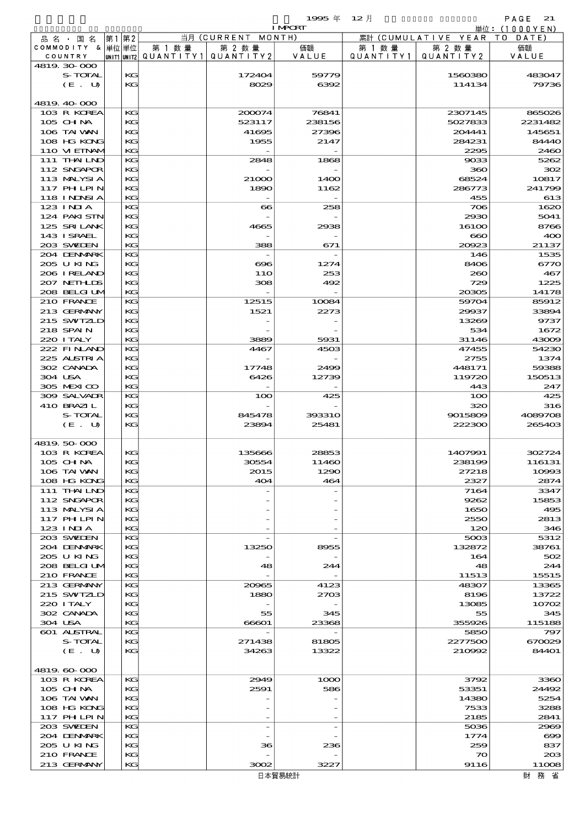$1995 \nless 12 \nless 12$ 

|                            |          |                                       |                    | <b>I MPORT</b> |           |                              | 単位: (1000YEN)   |
|----------------------------|----------|---------------------------------------|--------------------|----------------|-----------|------------------------------|-----------------|
| 品名・国名                      | 第1 第2    |                                       | 当月 (CURRENT MONTH) |                |           | 累計 (CUMULATIVE YEAR TO DATE) |                 |
| COMMODITY & 単位単位           |          | 第 1 数量                                | 第 2 数量             | 価額             | 第 1 数量    | 第 2 数量                       | 価額              |
| COUNTRY                    |          | UNIT1 UNIT2  QUANT I TY1  QUANT I TY2 |                    | VALUE          | QUANTITY1 | QUANTITY 2                   | VALUE           |
| 4819 30 000                |          |                                       |                    |                |           |                              |                 |
| S-TOTAL                    | KG<br>KG |                                       | 172404             | 59779          |           | 1560380                      | 483047          |
| (E U)                      |          |                                       | 8029               | 6392           |           | 114134                       | 79736           |
| 4819 40 000                |          |                                       |                    |                |           |                              |                 |
| 103 R KOREA                | KG       |                                       | 200074             | 76841          |           | 2307145                      | 865026          |
| 105 CHNA                   | KG       |                                       | 523117             | 238156         |           | 5027833                      | 2231482         |
| 106 TAI VAN                | KG       |                                       | 41695              | 27396          |           | 204441                       | 145651          |
| 108 HG KONG                | KG       |                                       | 1955               | 2147           |           | 284231                       | 84440           |
| 110 VIEINAM                | KG       |                                       |                    |                |           | 2295                         | 2460            |
| 111 THAILND                | KG       |                                       | 2848               | 1868           |           | 9033                         | 5262            |
| 112 SNGAPOR                | KG       |                                       |                    |                |           | 360                          | 302             |
| 113 MALYSIA                | KG       |                                       | 21000              | 1400           |           | 68524                        | 10817           |
| <b>117 PHLPIN</b>          | KG       |                                       | 1890               | 1162           |           | 286773                       | 241799          |
| 118 I NDSI A               | KG       |                                       |                    |                |           | 455                          | 613             |
| 123 INIA                   | KG       |                                       | $\bf{66}$          | 258            |           | 706                          | 1620            |
| 124 PAKI STN               | KG       |                                       |                    |                |           | 2930                         | 5041            |
| 125 SRILANK                | KG       |                                       | 4665               | 2938           |           | 16100                        | 8766            |
| 143 I SRAEL                | KG       |                                       |                    |                |           | $\bf{60}$                    | 400             |
| 203 SWIEN                  | KG       |                                       | 388                | 671            |           | 20023                        | 21137           |
| 204 DENMARK                | KG       |                                       |                    |                |           | 146                          | 1535            |
| 205 U KING                 | KG       |                                       | ങ്ങ                | 1274           |           | 8406                         | 6770            |
| 206 IRELAND<br>207 NETHLIS | KG<br>KG |                                       | 11O<br>308         | 253<br>492     |           | 260<br>729                   | 467<br>1225     |
| 208 BELGI UM               | KG       |                                       |                    |                |           | 20305                        | 14178           |
| 210 FRANCE                 | KG       |                                       | 12515              | 10084          |           | 59704                        | 85912           |
| 213 GERMANY                | $K$ $G$  |                                       | 1521               | 2273           |           | 29937                        | 33894           |
| 215 SWIZLD                 | KG       |                                       |                    |                |           | 13269                        | 9737            |
| 218 SPAIN                  | KG       |                                       |                    |                |           | 534                          | 1672            |
| 220 I TALY                 | KG       |                                       | 3889               | 5931           |           | 31146                        | 43009           |
| 222 FINAND                 | KG       |                                       | 4467               | 4503           |           | 47455                        | 54230           |
| 225 ALSTRIA                | $K$ $G$  |                                       |                    |                |           | 2755                         | 1374            |
| 302 CANADA                 | KG       |                                       | 17748              | 2499           |           | 448171                       | 59388           |
| 304 USA                    | KG       |                                       | 6426               | 12739          |           | 119720                       | 150513          |
| 305 MEXICO                 | KG       |                                       |                    |                |           | 443                          | 247             |
| 309 SALVADR                | KG       |                                       | 100                | 425            |           | 100                          | 425             |
| 410 BRAZIL                 | $K$ $G$  |                                       |                    |                |           | 320                          | 316             |
| S-TOTAL                    | KG       |                                       | 845478             | 393310         |           | 9015809                      | 4089708         |
| $(E_U U)$                  | KG       |                                       | 23894              | 25481          |           | 222300                       | 265403          |
|                            |          |                                       |                    |                |           |                              |                 |
| 4819.50.000                |          |                                       |                    |                |           |                              |                 |
| 103 R KOREA                | KG       |                                       | 135666             | 28853          |           | 1407991                      | 302724          |
| 105 CH NA                  | KG       |                                       | 30554              | 11460          |           | 238199                       | 116131          |
| 106 TAI WAN<br>108 HG KONG | КG<br>KG |                                       | 2015<br>404        | 1290<br>464    |           | 27218<br>2327                | 10993<br>2874   |
| 111 THAILND                | KG       |                                       |                    |                |           | 7164                         | 3347            |
| 112 SNGAPOR                | KG       |                                       |                    |                |           | 9262                         | 15853           |
| 113 MALYSIA                | KG       |                                       |                    |                |           | 1650                         | 495             |
| 117 PHLPIN                 | KG       |                                       |                    |                |           | 2550                         | 2813            |
| 123 INIA                   | KG       |                                       |                    |                |           | 120                          | 346             |
| 203 SWIEN                  | KG       |                                       |                    |                |           | 5003                         | 5312            |
| 204 DENMARK                | KG       |                                       | 13250              | 8955           |           | 132872                       | 38761           |
| 205 U KING                 | KG       |                                       |                    |                |           | 164                          | 502             |
| 208 BELGI UM               | KG       |                                       | 48                 | 244            |           | 48                           | 244             |
| 210 FRANCE                 | KG       |                                       |                    |                |           | 11513                        | 15515           |
| 213 GERMANY                | KG       |                                       | 20965              | 4123           |           | 48307                        | 13365           |
| 215 SWIZLD                 | KG       |                                       | 1880               | 2703           |           | 8196                         | 13722           |
| 220 I TALY                 | KG       |                                       |                    |                |           | 13085                        | 10702           |
| 302 CANADA                 | КG       |                                       | 55                 | 345            |           | 55                           | 345             |
| 304 USA                    | KG       |                                       | 66601              | 23368          |           | 355926                       | 115188          |
| 601 ALSTRAL                | KG<br>КG |                                       |                    |                |           | 5850<br>2277500              | 797             |
| S-TOTAL<br>(E. U)          | KG       |                                       | 271438<br>34263    | 81805<br>13322 |           | 210992                       | 670029<br>84401 |
|                            |          |                                       |                    |                |           |                              |                 |
| 4819.60-000                |          |                                       |                    |                |           |                              |                 |
| 103 R KOREA                | KG       |                                       | 2949               | 1000           |           | 3792                         | 3360            |
| $105$ CHNA                 | KG       |                                       | 2591               | 586            |           | 53351                        | 24492           |
| 106 TAI VAN                | KG       |                                       |                    |                |           | 14380                        | 5254            |
| 108 HG KONG                | KG       |                                       |                    |                |           | 7533                         | 3288            |
| 117 PHLPIN                 | KG       |                                       |                    |                |           | 2185                         | 2841            |
| 203 SWIDEN                 | KG       |                                       |                    |                |           | 5036                         | 2969            |
| 204 DENMARK                | KG       |                                       |                    |                |           | 1774                         | $\infty$        |
| 205 U KING                 | KG       |                                       | 36                 | 236            |           | 259                          | 837             |
| 210 FRANCE                 | KG       |                                       |                    |                |           | $\infty$                     | 20B             |
| 213 GERMANY                | KG       |                                       | 3002               | 3227           |           | 9116                         | 11008           |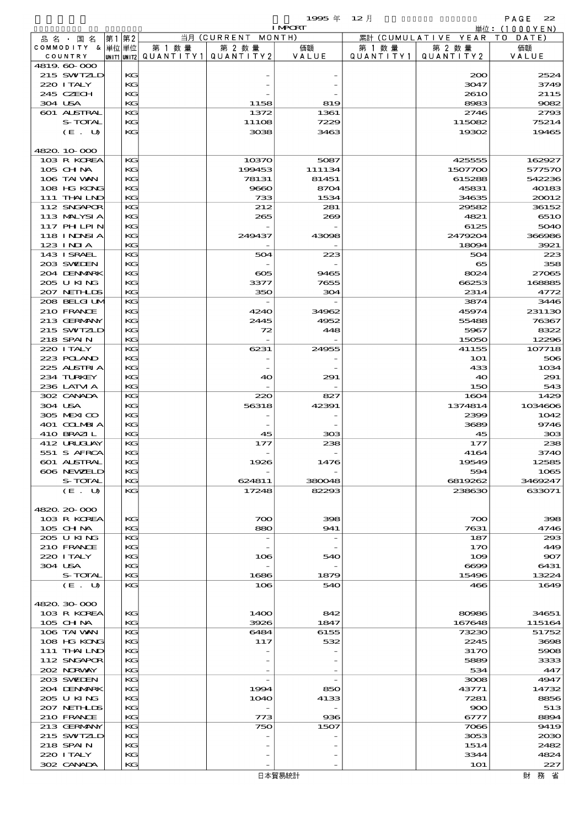$1995 \# 12 \#$  PAGE 22

|         |                            |       |          |                                       |                    | <b>I MPORT</b> |           |                        | 単位: (1000YEN) |
|---------|----------------------------|-------|----------|---------------------------------------|--------------------|----------------|-----------|------------------------|---------------|
|         | 品名・国名                      | 第1 第2 |          |                                       | 当月 (CURRENT MONTH) |                |           | 累計 (CUMULATIVE YEAR TO | DATE)         |
|         | COMMODITY & 単位単位           |       |          | 第 1 数量                                | 第 2 数量             | 価額             | 第 1 数量    | 第 2 数量                 | 価額            |
|         | COUNTRY                    |       |          | unit1 unit2  QUANT   TY1  QUANT   TY2 |                    | VALUE          | QUANTITY1 | QUANTITY 2             | VALUE         |
|         | 4819.60-000                |       |          |                                       |                    |                |           |                        |               |
|         | 215 SWIZLD                 |       | KG       |                                       |                    |                |           | 200                    | 2524          |
|         | 220 I TALY                 |       | KG       |                                       |                    |                |           | 3047                   | 3749          |
| 304 USA | 245 CZECH                  |       | KG<br>KG |                                       |                    |                |           | 261O<br>8983           | 2115<br>9082  |
|         | 601 ALSTRAL                |       | KG       |                                       | 1158<br>1372       | 819            |           | 2746                   | 2793          |
|         | S-TOTAL                    |       | KG       |                                       | 11108              | 1361<br>7229   |           | 115082                 | 75214         |
|         | (E. U)                     |       | KG       |                                       | 3038               | 3463           |           | 19302                  | 19465         |
|         |                            |       |          |                                       |                    |                |           |                        |               |
|         | 4820.10-000                |       |          |                                       |                    |                |           |                        |               |
|         | 103 R KOREA                |       | KG       |                                       | 10370              | 5087           |           | 425555                 | 162927        |
|         | 105 CH NA                  |       | KG       |                                       | 199453             | 111134         |           | 1507700                | 577570        |
|         | 106 TAI VAN                |       | KG       |                                       | 78131              | 81451          |           | 615288                 | 542236        |
|         | 108 HG KONG                |       | KG       |                                       | 9660               | 8704           |           | 45831                  | 40183         |
|         | 111 THAILND                |       | KG       |                                       | 733                | 1534           |           | 34635                  | 20012         |
|         | 112 SNGAPOR                |       | KG       |                                       | 212                | 281            |           | 29582                  | 36152         |
|         | 113 MALYSIA                |       | KG       |                                       | 265                | 269            |           | 4821                   | 6510          |
|         | 117 PHLPIN                 |       | KG       |                                       |                    |                |           | 6125                   | 5040          |
|         | 118 INNSI A                |       | KG       |                                       | 249437             | 43098          |           | 2479204                | 366986        |
|         | $123$ INIA                 |       | KG       |                                       |                    |                |           | 18094                  | 3921          |
|         | 143 ISRAEL                 |       | KG       |                                       | 504                | 223            |           | 504                    | 223           |
|         | 203 SWIDEN                 |       | KG       |                                       |                    |                |           | 65                     | 358           |
|         | 204 DENMARK                |       | KG       |                                       | ക്ക                | 9465           |           | 8024                   | 27065         |
|         | 205 U KING                 |       | KG       |                                       | 3377               | 7655           |           | 66253                  | 168885        |
|         | 207 NETHLIS                |       | KG       |                                       | 350                | 304            |           | 2314                   | 4772          |
|         | 208 BELGI UM               |       | KG       |                                       |                    |                |           | 3874                   | 3446          |
|         | 210 FRANCE                 |       | KG       |                                       | 4240               | 34962          |           | 45974                  | 231130        |
|         | 213 GERMANY                |       | KG       |                                       | 2445               | 4952           |           | 55488                  | 76367         |
|         | 215 SWIZLD                 |       | KG       |                                       | 72                 | 448            |           | 5967                   | 8322          |
|         | 218 SPAIN                  |       | KG       |                                       |                    |                |           | 15050                  | 12296         |
|         | 220 I TALY                 |       | KG       |                                       | 6231               | 24955          |           | 41155                  | 107718        |
|         | 223 POLAND                 |       | KG       |                                       |                    |                |           | <b>1O1</b>             | 506           |
|         | 225 ALSTRIA                |       | KG       |                                       |                    |                |           | 433                    | 1034          |
|         | 234 TURKEY                 |       | KG       |                                       | 40                 | 291            |           | 40                     | 291           |
|         | 236 LATM A                 |       | KG       |                                       |                    |                |           | 150                    | 543           |
|         | 302 CANADA                 |       | KG       |                                       | 220                | 827            |           | 1604                   | 1429          |
| 304 USA |                            |       | KG       |                                       | 56318              | 42391          |           | 1374814                | 1034606       |
|         | 305 MEXICO                 |       | KG       |                                       |                    |                |           | 2399                   | 1042          |
|         | 401 COLMBIA<br>410 BRAZIL  |       | KG<br>KG |                                       | 45                 | 303            |           | 3689<br>45             | 9746<br>303   |
|         | 412 URUJAY                 |       | KG       |                                       | 177                | 238            |           | 177                    | 238           |
|         | 551 S AFRCA                |       | KG       |                                       |                    |                |           | 4164                   | 3740          |
|         | <b>601 ALSTRAL</b>         |       | KG       |                                       | 1926               | 1476           |           | 19549                  | 12585         |
|         | 606 NEWELD                 |       | KG       |                                       |                    |                |           | 594                    | 1065          |
|         | S-TOTAL                    |       | KG       |                                       | 624811             | 380048         |           | 6819262                | 3469247       |
|         | (E. U)                     |       | KG       |                                       | 17248              | 82293          |           | 238630                 | 633071        |
|         |                            |       |          |                                       |                    |                |           |                        |               |
|         | 4820.20-000                |       |          |                                       |                    |                |           |                        |               |
|         | 103 R KOREA                |       | КG       |                                       | 700                | 398            |           | 700                    | 398           |
|         | 105 CH NA                  |       | KG       |                                       | 880                | 941            |           | 7631                   | 4746          |
|         | 205 U KING                 |       | KG       |                                       |                    |                |           | 187                    | 293           |
|         | 210 FRANCE                 |       | KG       |                                       |                    |                |           | 170                    | 449           |
|         | 220 I TALY                 |       | KG       |                                       | 106                | 540            |           | 109                    | 907           |
| 304 USA |                            |       | KG       |                                       |                    |                |           | 6699                   | 6431          |
|         | S-TOTAL                    |       | KG       |                                       | 1686               | 1879           |           | 15496                  | 13224         |
|         | (E. U)                     |       | KG       |                                       | 106                | 540            |           | 466                    | 1649          |
|         |                            |       |          |                                       |                    |                |           |                        |               |
|         | 4820.30-000                |       |          |                                       |                    |                |           |                        |               |
|         | 103 R KOREA                |       | КG       |                                       | 1400               | 842            |           | 80986                  | 34651         |
|         | 105 CH NA                  |       | KG       |                                       | 3926               | 1847           |           | 167648                 | 115164        |
|         | 106 TAI VAN                |       | KG       |                                       | 6484               | 6155           |           | 73230                  | 51752         |
|         | 108 HG KONG                |       | KG       |                                       | 117                | 532            |           | 2245                   | 3698          |
|         | 111 THAILND<br>112 SNGAPOR |       | KG<br>KG |                                       |                    |                |           | 3170<br>5889           | 5908<br>3333  |
|         | 202 NORWAY                 |       | KG       |                                       |                    |                |           | 534                    | 447           |
|         | 203 SWIDEN                 |       | KG       |                                       |                    |                |           | 3008                   | 4947          |
|         | 204 DENMARK                |       | KG       |                                       | 1994               | 850            |           | 43771                  | 14732         |
|         | 205 U KING                 |       | KG       |                                       | 1O4O               | 4133           |           | 7281                   | 8856          |
|         | 207 NETHLIS                |       | KG       |                                       |                    |                |           | 900                    | 513           |
|         | 210 FRANCE                 |       | KG       |                                       | 773                | 936            |           | 6777                   | 8894          |
|         | 213 GERMANY                |       | KG       |                                       | 750                | 1507           |           | 7066                   | 9419          |
|         | 215 SWIZLD                 |       | KG       |                                       |                    |                |           | 3053                   | 2030          |
|         | 218 SPAIN                  |       | KG       |                                       |                    |                |           | 1514                   | 2482          |
|         | 220 I TALY                 |       | KG       |                                       |                    |                |           | 3344                   | 4824          |
|         | 302 CANADA                 |       | KG       |                                       |                    |                |           | <b>1O1</b>             | 227           |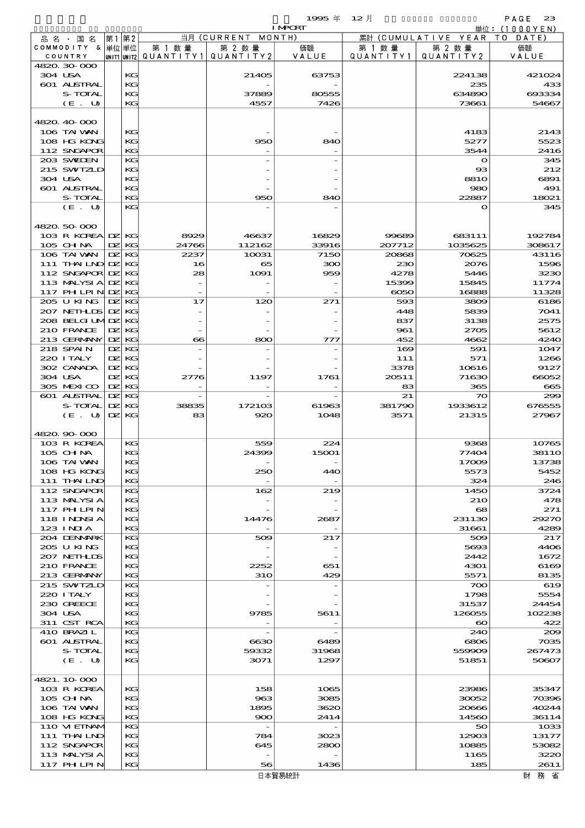|                                |              |          |                                 |                                 | 1995年          | 12月           |                       | PAGE<br>23        |
|--------------------------------|--------------|----------|---------------------------------|---------------------------------|----------------|---------------|-----------------------|-------------------|
|                                |              |          |                                 | 当月 (CURRENT                     | <b>I MPORT</b> |               | (CUMULATIVE YEAR      | 単位:(1000YEN)      |
| 品 名 ・ 国 名<br>COMMODITY & 単位単位  | 第1           | 第2       | 第 1 数 量                         | 第 2 数量                          | MONTH)<br>価額   | 累計<br>第 1 数 量 | 第 2 数量                | T 0<br>DATE<br>価額 |
| COUNTRY                        |              |          | UNIT1 UNIT2   Q U A N T I T Y 1 | QUANTITY 2                      | VALUE          | QUANTITY1     | QUANTITY 2            | VALUE             |
| 4820, 30, 000                  |              |          |                                 |                                 |                |               |                       |                   |
| 304 USA                        |              | KG       |                                 | 21405                           | 63753          |               | 224138                | 421024            |
| 601 ALSTRAL                    |              | KG       |                                 |                                 |                |               | 235                   | 433               |
| S-TOTAL<br>(E. U)              |              | KG<br>KG |                                 | 37889<br>4557                   | 80555<br>7426  |               | 634890<br>73661       | 693334<br>54667   |
|                                |              |          |                                 |                                 |                |               |                       |                   |
| 4820.40-000                    |              |          |                                 |                                 |                |               |                       |                   |
| 106 TAI VAN                    |              | KG       |                                 |                                 |                |               | 4183                  | 2143              |
| 108 HG KONG                    |              | KG       |                                 | 950                             | 840            |               | 5277                  | 5523              |
| 112 SNGAPOR                    |              | KG       |                                 |                                 |                |               | 3544                  | 2416              |
| 203 SWIDEN                     |              | KG       |                                 |                                 |                |               | $\mathbf o$           | 345               |
| 215 SWIZLD                     |              | KG       |                                 |                                 |                |               | $_{\rm ss}$           | 212               |
| 304 USA                        |              | KG       |                                 |                                 |                |               | <b>8810</b>           | 6891              |
| <b>601 ALSTRAL</b>             |              | KG       |                                 |                                 |                |               | 980                   | 491               |
| S-TOTAL<br>(E. U)              |              | KG<br>KG |                                 | 950                             | 840            |               | 22887<br>$\mathbf o$  | 18021<br>345      |
|                                |              |          |                                 |                                 |                |               |                       |                   |
| 4820.50.000                    |              |          |                                 |                                 |                |               |                       |                   |
| 103 R KOREA DZ KG              |              |          | 8929                            | 46637                           | 16829          | 99689         | 683111                | 192784            |
| 105 CHNA                       | DZ.          | KG       | 24766                           | 112162                          | 33916          | 207712        | 1035625               | 308617            |
| 106 TAI WAN                    | DZ.          | KG       | 2237                            | 10031                           | 7150           | 20868         | 70625                 | 43116             |
| 111 THAILND DZ                 |              | KG       | 16                              | 65                              | 300            | 230           | 2076                  | 1596              |
| 112 SNGAPOR                    | DZ.          | KС       | 28                              | 1091                            | 959            | 4278          | 5446                  | 3230              |
| 113 MALYSIA                    | $\mathbf{p}$ | KG       |                                 |                                 |                | 15399         | 15845                 | 11774             |
| 117 PH LPIN                    | DZ.          | KG       |                                 |                                 |                | $\infty$      | 16888                 | 11328             |
| 205 U KING                     | DZ.          | KG       | 17                              | 120                             | 271            | 593           | 3809                  | 6186              |
| 207 NETHLIS<br>208 BELGI UMIDZ | DZ.          | KG<br>KС |                                 |                                 |                | 448<br>837    | 5839<br>3138          | 7041              |
| 210 FRANCE                     | $\mathbf{Z}$ | KG       |                                 |                                 |                | 961           | 2705                  | 2575<br>5612      |
| 213 GERMANY                    | $\mathbf{Z}$ | KG       | $\bf{66}$                       | 800                             | 777            | 452           | 4662                  | 4240              |
| 218 SPAIN                      | DZ.          | KС       |                                 |                                 |                | 169           | 591                   | 1047              |
| 220 I TALY                     | DZ.          | KG       |                                 |                                 |                | 111           | 571                   | 1266              |
| 302 CANADA                     | DZ.          | KС       |                                 |                                 |                | 3378          | 10616                 | 9127              |
| 304 USA                        | DZ.          | KG       | 2776                            | 1197                            | 1761           | 20511         | 71630                 | 66052             |
| 305 MEXICO                     | DZ.          | KG       |                                 |                                 |                | 83            | 365                   | 665               |
| 601 ALSTRAL                    | DZ.          | KG       |                                 |                                 |                | 21            | 70                    | 299               |
| S-TOTAL                        | DZ.          | KG       | 38835                           | 172103                          | 61963          | 381790        | 1933612               | 676555            |
| (E. U)                         | DZ.          | KС       | 83                              | 920                             | 1048           | 3571          | 21315                 | 27967             |
| 4820.90-000                    |              |          |                                 |                                 |                |               |                       |                   |
| 103 R KOREA                    |              | KG       |                                 | 559                             | 224            |               | 9368                  | 10765             |
| 105 CH NA                      |              | KG       |                                 | 24399                           | 15OO1          |               | 774OZ                 | 381 I.O           |
| 106 TAI VAN                    |              | KG       |                                 |                                 |                |               | 17009                 | 13738             |
| 108 HG KONG                    |              | KC       |                                 | 250                             | 440            |               | 5573                  | 5452              |
| 111 THAILND                    |              | KG       |                                 |                                 |                |               | 324                   | 246               |
| 112 SNGAPOR                    |              | KG       |                                 | 162                             | 219            |               | 1450                  | 3724              |
| 113 MALYSIA                    |              | KG       |                                 |                                 |                |               | <b>210</b>            | 478               |
| 117 PHLPIN                     |              | KG       |                                 |                                 |                |               | 68                    | 271               |
| 118 I NDSI A                   |              | KC       |                                 | 14476                           | 2687           |               | 231130                | 29270             |
| 123 INIA<br>204 DENMARK        |              | KG<br>KC |                                 | 509                             | 217            |               | 31661<br>509          | 4289<br>217       |
| 205 U KING                     |              | KG       |                                 |                                 |                |               | 5693                  | 4406              |
| 207 NETHLIS                    |              | KG       |                                 |                                 |                |               | 2442                  | 1672              |
| 210 FRANCE                     |              | KC       |                                 | 2252                            | 651            |               | 4301                  | 6169              |
| 213 GERMANY                    |              | KG       |                                 | <b>31O</b>                      | 429            |               | 5571                  | 8135              |
| 215 SWIZLD                     |              | KG       |                                 |                                 |                |               | 700                   | 619               |
| 220 I TALY                     |              | KG       |                                 |                                 |                |               | 1798                  | 5554              |
| 230 GREECE                     |              | KG       |                                 |                                 |                |               | 31537                 | 24454             |
| 304 USA                        |              | KC       |                                 | 9785                            | 5611           |               | 126055                | 102238            |
| 311 CST RCA                    |              | KG       |                                 |                                 |                |               | $\boldsymbol{\infty}$ | 422               |
| 410 BRAZIL<br>601 ALSTRAL      |              | KC<br>KC |                                 | 6630                            | 6489           |               | 240<br>6806           | 209<br>7035       |
| S-TOTAL                        |              | KG       |                                 | 59332                           | 31968          |               | 559909                | 267473            |
| (E. U)                         |              | KC       |                                 | 3071                            | 1297           |               | 51851                 | 50807             |
|                                |              |          |                                 |                                 |                |               |                       |                   |
| 4821.10.000                    |              |          |                                 |                                 |                |               |                       |                   |
| 103 R KOREA                    |              | KG       |                                 | 158                             | 1065           |               | 23986                 | 35347             |
| 105 CH NA                      |              | KG       |                                 | 963                             | 3085           |               | 30052                 | 70396             |
| 106 TAI VAN                    |              | KC       |                                 | 1895                            | 3620           |               | 20666                 | 40244             |
| 108 HG KONG                    |              | KG       |                                 | 900                             | 2414           |               | 14560                 | 36114             |
| 110 VIEINAM<br>111 THAILND     |              | KG<br>KC |                                 | $\overline{\phantom{a}}$<br>784 | 3023           |               | 50<br>12903           | 1033<br>13177     |
| 112 SNGAPOR                    |              | KG       |                                 | 645                             | 2800           |               | 10885                 | 53082             |
| 113 MALYSIA                    |              | KC       |                                 |                                 |                |               | 1165                  | 3220              |
| <b>117 PHLPIN</b>              |              | KС       |                                 | 56                              | 1436           |               | 185                   | 2611              |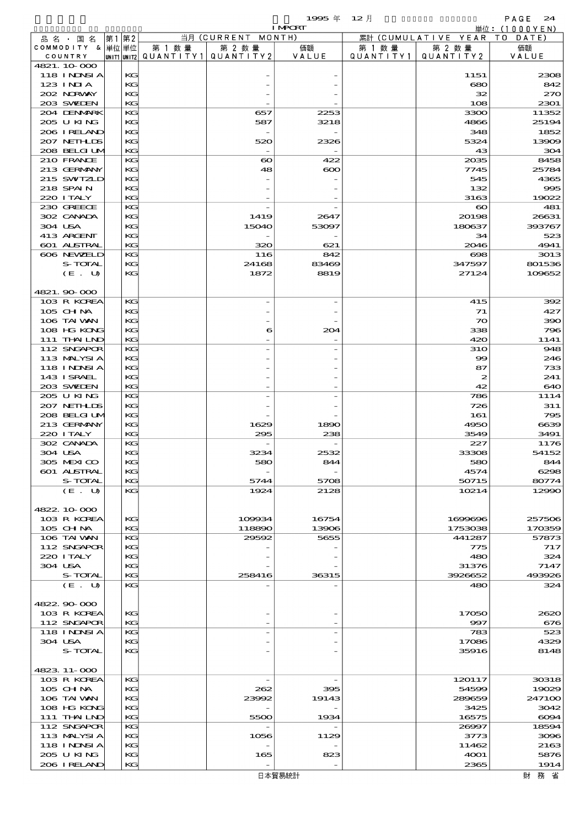|                                  |           |                                                    |                          | 1995年                    | $12$ 月        |                               | PAGE<br>24        |
|----------------------------------|-----------|----------------------------------------------------|--------------------------|--------------------------|---------------|-------------------------------|-------------------|
|                                  |           |                                                    | 当月 (CURRENT              | <b>I MPCRT</b><br>MONTH) |               | (CUMULATIVE YEAR              | 単位:(1000YEN)      |
| 品名・国名<br>COMMODITY & 単位単位        | 第1 第2     | 第 1 数 量                                            | 第 2 数 量                  | 価額                       | 累計<br>第 1 数 量 | 第 2 数量                        | T O<br>DATE<br>価額 |
| COUNTRY                          |           | $ $ UNIT1 $ $ UNIT2 $ $ Q $\cup$ A N T I T Y 1 $ $ | QUANTITY2                | VALUE                    | QUANTITY1     | QUANTITY2                     | VALUE             |
| 4821.10.000                      |           |                                                    |                          |                          |               |                               |                   |
| 118 INNSI A<br>$123$ $1$ NIA     | KG        |                                                    |                          |                          |               | 1151                          | 2308              |
| 202 NRWAY                        | KG<br>KG  |                                                    |                          |                          |               | 680<br>32                     | 842<br>270        |
| 203 SWIEN                        | KG        |                                                    |                          |                          |               | 108                           | 2301              |
| 204 DENMARK                      | KG        |                                                    | 657                      | 2253                     |               | 3300                          | 11352             |
| 205 U KING                       | KG        |                                                    | 587                      | 3218                     |               | 4866                          | 25194             |
| 206 I RELAND                     | KG        |                                                    | $\overline{\phantom{a}}$ |                          |               | 348                           | 1852              |
| 207 NETHLIS<br>208 BELGI UM      | KG<br>KG  |                                                    | 520                      | 2326                     |               | 5324<br>43                    | 13909<br>304      |
| 210 FRANCE                       | KG        |                                                    | $\boldsymbol{\infty}$    | 422                      |               | 2035                          | 8458              |
| 213 GERMANY                      | KG        |                                                    | 48                       | $\boldsymbol{\infty}$    |               | 7745                          | 25784             |
| 215 SWIZLD                       | KG        |                                                    |                          |                          |               | 545                           | 4365              |
| 218 SPAIN                        | KG        |                                                    |                          |                          |               | 132                           | 995               |
| 220 I TALY<br>230 GREECE         | KG<br>KG  |                                                    |                          |                          |               | 3163<br>$\boldsymbol{\infty}$ | 19022<br>481      |
| 302 CANADA                       | KG        |                                                    | 1419                     | 2647                     |               | 20198                         | 26631             |
| 304 USA                          | KG        |                                                    | 15040                    | 53097                    |               | 180637                        | 393767            |
| 413 ARCENT                       | KG        |                                                    |                          |                          |               | 34                            | 523               |
| 601 ALSTRAL                      | KG        |                                                    | 320                      | 621                      |               | 2046                          | 4941              |
| 606 NEWELD                       | KG        |                                                    | 116                      | 842                      |               | $\infty$                      | 3013              |
| S-TOTAL<br>(E. U)                | KG<br>KG  |                                                    | 24168<br>1872            | 83469<br>8819            |               | 347597<br>27124               | 801536<br>109652  |
|                                  |           |                                                    |                          |                          |               |                               |                   |
| 4821.90.000                      |           |                                                    |                          |                          |               |                               |                   |
| 103 R KOREA                      | KG        |                                                    |                          |                          |               | 415                           | 392               |
| $105$ CHNA                       | KG        |                                                    |                          |                          |               | 71                            | 427               |
| 106 TAI WAN                      | KG        |                                                    |                          |                          |               | $\infty$                      | 390               |
| 108 HG KONG<br>111 THAILND       | KG<br>KG  |                                                    | 6                        | 204                      |               | 338<br>420                    | 796<br>1141       |
| 112 SNGAPOR                      | KG        |                                                    |                          |                          |               | <b>31O</b>                    | 948               |
| 113 MALYSIA                      | KG        |                                                    |                          |                          |               | $\infty$                      | 246               |
| <b>118 INNSIA</b>                | KG        |                                                    |                          |                          |               | 87                            | 733               |
| 143 I SRAEL                      | KG        |                                                    |                          |                          |               | 2                             | 241               |
| 203 SWIEN<br>205 U KING          | KG<br>KG  |                                                    |                          |                          |               | 42<br>786                     | 640<br>1114       |
| 207 NEIHLIS                      | KG        |                                                    |                          |                          |               | 726                           | 311               |
| 208 BELGI UM                     | KG        |                                                    |                          |                          |               | 161                           | 795               |
| 213 GERMANY                      | KG        |                                                    | 1629                     | 1890                     |               | 4950                          | 6639              |
| 220 I TALY                       | KG        |                                                    | 295                      | 238                      |               | 3549                          | 3491              |
| 302 CANADA<br>304 USA            | KG<br>KG. |                                                    | 3234                     | 2532                     |               | 227<br>33308                  | 1176<br>54152     |
| 305 MEXICO                       | KG        |                                                    | 580                      | 844                      |               | 580                           | 844               |
| 601 ALSTRAL                      | KG        |                                                    |                          |                          |               | 4574                          | 6298              |
| S-TOTAL                          | KG        |                                                    | 5744                     | 5708                     |               | 50715                         | 80774             |
| (E. U)                           | KG        |                                                    | 1924                     | 2128                     |               | 10214                         | 12990             |
|                                  |           |                                                    |                          |                          |               |                               |                   |
| 4822.10.000<br>103 R KOREA       | KG        |                                                    | 109934                   | 16754                    |               | 1699696                       | 257506            |
| 105 CHNA                         | KG        |                                                    | 118890                   | 13906                    |               | 1753038                       | 170359            |
| 106 TAI VAN                      | KG        |                                                    | 29592                    | 5655                     |               | 441287                        | 57873             |
| 112 SNGAPOR                      | KG        |                                                    |                          |                          |               | 775                           | 717               |
| 220 I TALY                       | KG        |                                                    |                          |                          |               | 480                           | 324               |
| 304 USA<br>S-TOTAL               | KG<br>KG  |                                                    | 258416                   | 36315                    |               | 31376<br>3926652              | 7147<br>493926    |
| (E. U)                           | KG        |                                                    |                          |                          |               | 480                           | 324               |
|                                  |           |                                                    |                          |                          |               |                               |                   |
| 4822.90.000                      |           |                                                    |                          |                          |               |                               |                   |
| 103 R KOREA                      | KG        |                                                    |                          |                          |               | 17050                         | 2620              |
| 112 SNGAPOR<br><b>118 INNSIA</b> | KG<br>KG  |                                                    |                          |                          |               | 997<br>783                    | 676<br>523        |
| 304 USA                          | KG        |                                                    |                          |                          |               | 17086                         | 4329              |
| S-TOTAL                          | KG        |                                                    |                          |                          |               | 35916                         | 8148              |
|                                  |           |                                                    |                          |                          |               |                               |                   |
| 4823 11-000                      |           |                                                    |                          |                          |               |                               |                   |
| 103 R KOREA                      | KG        |                                                    | $\overline{\phantom{a}}$ |                          |               | 120117                        | 30318             |
| 105 CHNA                         | KG        |                                                    | 262                      | 395                      |               | 54599                         | 19029             |
| 106 TAI VAN<br>108 HG KONG       | KG<br>KG  |                                                    | 23992                    | 19143                    |               | 289659<br>3425                | 247100<br>3042    |
| 111 THAILND                      | KG        |                                                    | 5500                     | 1934                     |               | 16575                         | 6094              |
| 112 SNGAPOR                      | KG        |                                                    |                          |                          |               | 26997                         | 18594             |
| 113 MALYSIA                      | KG        |                                                    | 1056                     | 1129                     |               | 3773                          | 3096              |
| 118 INNSI A                      | KG        |                                                    |                          |                          |               | 11462                         | 2163              |
| 205 U KING<br>206 IRELAND        | KG<br>KG  |                                                    | 165                      | 823                      |               | 4001<br>2365                  | 5876<br>1914      |
|                                  |           |                                                    |                          |                          |               |                               |                   |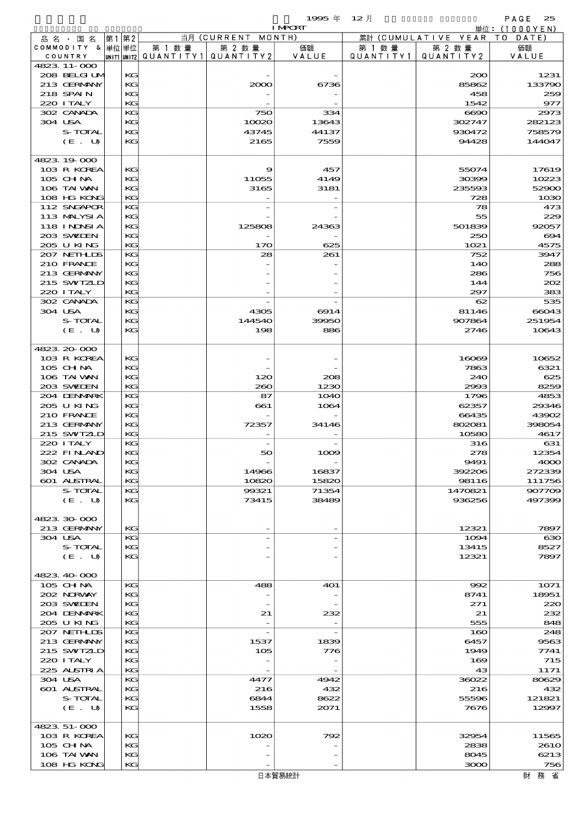|         |                             |      |          |                                                     |                          | <b>I MPORT</b> |                      |                              | 単位: (1000YEN)   |
|---------|-----------------------------|------|----------|-----------------------------------------------------|--------------------------|----------------|----------------------|------------------------------|-----------------|
|         | 品名・国名                       | 第1第2 |          |                                                     | 当月 (CURRENT MONTH)       |                |                      | 累計 (CUMULATIVE YEAR TO DATE) |                 |
|         | COMMODITY & 単位単位<br>COUNTRY |      |          | 第 1 数量<br> UNIT1  UNIT2   QUANT I TY1   QUANT I TY2 | 第 2 数量                   | 価額<br>VALUE    | 第 1 数 量<br>QUANTITY1 | 第 2 数量<br>QUANTITY 2         | 価額<br>VALUE     |
|         | 4823 11-000                 |      |          |                                                     |                          |                |                      |                              |                 |
|         | 208 BELGI UM                |      | KG       |                                                     |                          |                |                      | 200                          | 1231            |
|         | 213 GERMANY                 |      | KG       |                                                     | 2000                     | 6736           |                      | 85862                        | 133790          |
|         | 218 SPAIN                   |      | KG       |                                                     |                          |                |                      | 458                          | 259             |
|         | 220 I TALY                  |      | KG       |                                                     |                          |                |                      | 1542                         | 977             |
| 304 USA | 302 CANADA                  |      | KG<br>KG |                                                     | 750<br>10020             | 334<br>13643   |                      | 6690<br>302747               | 2973<br>282123  |
|         | S-TOTAL                     |      | KG       |                                                     | 43745                    | 44137          |                      | 930472                       | 758579          |
|         | (E. U)                      |      | KG       |                                                     | 2165                     | 7559           |                      | 94428                        | 144047          |
|         |                             |      |          |                                                     |                          |                |                      |                              |                 |
|         | 4823 19 000                 |      |          |                                                     |                          |                |                      |                              |                 |
|         | 103 R KOREA                 |      | КG       |                                                     | 9                        | 457            |                      | 55074                        | 17619           |
|         | 105 CHNA                    |      | KG       |                                                     | 11055                    | 4149           |                      | 30399                        | 10223           |
|         | 106 TAI VAN<br>108 HG KONG  |      | KG<br>KG |                                                     | 3165                     | 3181           |                      | 235593<br>728                | 52900<br>1030   |
|         | 112 SNGAPOR                 |      | KG       |                                                     |                          |                |                      | 78                           | 473             |
|         | 113 MALYSIA                 |      | KG       |                                                     |                          |                |                      | 55                           | 229             |
|         | <b>118 INNSI A</b>          |      | KG       |                                                     | 125808                   | 24363          |                      | 501839                       | 92057           |
|         | 203 SWIDEN                  |      | KG       |                                                     |                          |                |                      | 250                          | 694             |
|         | 205 U KING                  |      | KG       |                                                     | 170                      | 625            |                      | 1021                         | 4575            |
|         | 207 NETHLIS                 |      | KG       |                                                     | 28                       | 261            |                      | 752                          | 3947            |
|         | 210 FRANCE                  |      | KG       |                                                     |                          |                |                      | 14O                          | 288             |
|         | 213 GERMANY<br>215 SWIZLD   |      | KG<br>KG |                                                     |                          |                |                      | 286                          | 756<br>202      |
|         | 220 I TALY                  |      | KG       |                                                     |                          |                |                      | 144<br>297                   | 383             |
|         | 302 CANADA                  |      | KG       |                                                     |                          |                |                      | 62                           | 535             |
| 304 USA |                             |      | KG       |                                                     | 4305                     | 6914           |                      | 81146                        | 66043           |
|         | S-TOTAL                     |      | KG       |                                                     | 144540                   | 39950          |                      | 907864                       | 251954          |
|         | (E. U)                      |      | KG       |                                                     | 198                      | 886            |                      | 2746                         | 10643           |
|         |                             |      |          |                                                     |                          |                |                      |                              |                 |
|         | 4823 20 000                 |      |          |                                                     |                          |                |                      |                              |                 |
|         | 103 R KOREA                 |      | KG       |                                                     |                          |                |                      | 16069                        | 10652           |
|         | 105 CH NA<br>106 TAI WAN    |      | KG<br>KG |                                                     | 120                      | 208            |                      | 7863<br>240                  | 6321<br>625     |
|         | 203 SWIDEN                  |      | KG       |                                                     | 260                      | 1230           |                      | 2993                         | 8259            |
|         | 204 DENMRK                  |      | KG       |                                                     | 87                       | <b>1O4O</b>    |                      | 1796                         | 4853            |
|         | 205 U KING                  |      | KG       |                                                     | 661                      | 1064           |                      | 62357                        | 29346           |
|         | 210 FRANCE                  |      | KG       |                                                     |                          |                |                      | 66435                        | 43902           |
|         | 213 GERMANY                 |      | KG       |                                                     | 72357                    | 34146          |                      | 802081                       | 398054          |
|         | 215 SWIZLD                  |      | KG       |                                                     |                          |                |                      | 10580                        | 4617            |
|         | 220 I TALY                  |      | KG       |                                                     | $\overline{\phantom{a}}$ |                |                      | 316                          | 631             |
|         | 222 FINAND<br>302 CANADA    |      | KG<br>KG |                                                     | 50                       | 1009           |                      | 278<br>9491                  | 12354<br>4000   |
| 304 USA |                             |      | KG       |                                                     | 14966                    | 16837          |                      | 392206                       | 272339          |
|         | 601 ALSTRAL                 |      | KG       |                                                     | 10820                    | 15820          |                      | 98116                        | 111756          |
|         | S-TOTAL                     |      | KG       |                                                     | 99321                    | 71354          |                      | 1470821                      | 907709          |
|         | (E. U)                      |      | KG       |                                                     | 73415                    | 38489          |                      | 936256                       | 497399          |
|         |                             |      |          |                                                     |                          |                |                      |                              |                 |
|         | 4823 30 000                 |      |          |                                                     |                          |                |                      |                              |                 |
| 304 USA | 213 GERMANY                 |      | KG<br>KG |                                                     |                          |                |                      | 12321<br>1094                | 7897<br>630     |
|         | S-TOTAL                     |      | KG       |                                                     |                          |                |                      | 13415                        | 8527            |
|         | (E. U)                      |      | KG       |                                                     |                          |                |                      | 12321                        | 7897            |
|         |                             |      |          |                                                     |                          |                |                      |                              |                 |
|         | 4823 40 000                 |      |          |                                                     |                          |                |                      |                              |                 |
|         | 105 CHNA                    |      | KG       |                                                     | 488                      | 401            |                      | 992                          | 1071            |
|         | 202 NORWAY                  |      | KG       |                                                     |                          |                |                      | 8741                         | 18951           |
|         | 203 SWIEN                   |      | KG       |                                                     |                          |                |                      | 271                          | 220             |
|         | 204 DENMARK<br>205 U KING   |      | KG<br>KG |                                                     | 21                       | 232            |                      | 21<br>555                    | 232<br>848      |
|         | 207 NETHLIS                 |      | KG       |                                                     | $\overline{\phantom{a}}$ |                |                      | 160                          | 248             |
|         | 213 GERMANY                 |      | KG       |                                                     | 1537                     | 1839           |                      | 6457                         | 9563            |
|         | 215 SWIZLD                  |      | KG       |                                                     | 105                      | 776            |                      | 1949                         | 7741            |
|         | 220 I TALY                  |      | KG       |                                                     |                          |                |                      | 169                          | 715             |
|         | 225 ALSTRIA                 |      | KG       |                                                     |                          |                |                      | 43                           | 1171            |
| 304 USA |                             |      | KG       |                                                     | 4477                     | 4942           |                      | 36022                        | 80629           |
|         | 601 ALSTRAL                 |      | KG       |                                                     | 216                      | 432            |                      | 216                          | 432             |
|         | S-TOTAL<br>(E. U)           |      | KG<br>КC |                                                     | 6844<br>1558             | 8622<br>2071   |                      | 55596<br>7676                | 121821<br>12997 |
|         |                             |      |          |                                                     |                          |                |                      |                              |                 |
|         | 4823 51-000                 |      |          |                                                     |                          |                |                      |                              |                 |
|         | 103 R KOREA                 |      | KG       |                                                     | 1020                     | 792            |                      | 32954                        | 11565           |
|         | $105$ CHNA                  |      | KG       |                                                     |                          |                |                      | 2838                         | 261O            |
|         | 106 TAI VAN                 |      | KG       |                                                     |                          |                |                      | 8045                         | 6213            |
|         | 108 HG KONG                 |      | KG       |                                                     |                          |                |                      | 3000                         | 756             |

 $\overline{\phantom{a}}$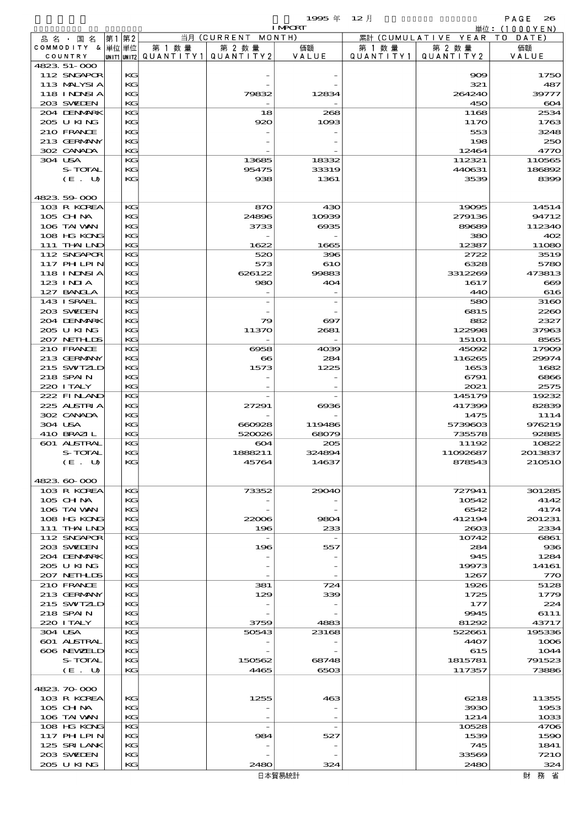|                            |          |                                       |                          | <b>I MPORT</b>           |           |                              | 単位:(1000YEN)     |
|----------------------------|----------|---------------------------------------|--------------------------|--------------------------|-----------|------------------------------|------------------|
| 品名・国名                      | 第1 第2    |                                       | 当月 (CURRENT MONTH)       |                          |           | 累計 (CUMULATIVE YEAR TO DATE) |                  |
| COMMODITY & 単位単位           |          | 第 1 数量                                | 第 2 数量                   | 価額                       | 第 1 数量    | 第 2 数量                       | 価額               |
| COUNTRY                    |          | UNIT1 UNIT2  QUANT   TY1  QUANT   TY2 |                          | VALUE                    | QUANTITY1 | QUANTITY 2                   | VALUE            |
| 4823 51-000<br>112 SNGAPOR | KG       |                                       |                          |                          |           | 909                          | 1750             |
| 113 MALYSIA                | KG       |                                       |                          |                          |           | 321                          | 487              |
| 118 I NDSI A               | KG       |                                       | 79832                    | 12834                    |           | 264240                       | 39777            |
| 203 SWIEN                  | KG       |                                       |                          |                          |           | 450                          | 604              |
| 204 DENMARK                | KG       |                                       | 18                       | 268                      |           | 1168                         | 2534             |
| 205 U KING                 | KG       |                                       | 920                      | 1093                     |           | 1170                         | 1763             |
| 210 FRANCE                 | KG       |                                       |                          |                          |           | 553                          | 3248             |
| 213 GERMANY                | KG       |                                       |                          |                          |           | 198                          | 250              |
| 302 CANADA                 | KG       |                                       |                          |                          |           | 12464                        | 4770             |
| 304 USA<br>S-TOTAL         | KG<br>KG |                                       | 13685<br>95475           | 18332<br>33319           |           | 112321<br>440631             | 110565<br>186892 |
| (E. U)                     | KG       |                                       | 938                      | 1361                     |           | 3539                         | 8399             |
|                            |          |                                       |                          |                          |           |                              |                  |
| 4823.59-000                |          |                                       |                          |                          |           |                              |                  |
| 103 R KOREA                | KG       |                                       | 870                      | 430                      |           | 19095                        | 14514            |
| 105 CH NA                  | KG       |                                       | 24896                    | 10939                    |           | 279136                       | 94712            |
| 106 TAI VAN                | KG       |                                       | 3733                     | $\cos 5$                 |           | 89689                        | 112340           |
| 108 HG KONG                | KG       |                                       |                          |                          |           | 380                          | 402              |
| 111 THAILND                | KG       |                                       | 1622                     | 1665                     |           | 12387                        | 11080            |
| 112 SNGAPOR<br>117 PHLPIN  | KG       |                                       | 520                      | 396                      |           | 2722                         | 3519             |
| 118 INNSI A                | КC<br>KG |                                       | 573<br>626122            | 610<br>99883             |           | 6328<br>3312269              | 5780<br>473813   |
| $123$ INIA                 | KG       |                                       | 980                      | 404                      |           | 1617                         | 600              |
| 127 BANCLA                 | KG       |                                       |                          |                          |           | 440                          | 616              |
| 143 I SRAEL                | KG       |                                       |                          |                          |           | 580                          | 3160             |
| 203 SVELEN                 | KG       |                                       |                          |                          |           | 6815                         | 2260             |
| 204 DENMARK                | KG       |                                       | 79                       | $\boldsymbol{\infty}$    |           | 882                          | 2327             |
| 205 U KING                 | KG       |                                       | 11370                    | 2681                     |           | 122998                       | 37963            |
| 207 NETHLIS                | KG       |                                       |                          |                          |           | <b>15101</b>                 | 8565             |
| 210 FRANCE                 | KG       |                                       | 6958                     | 4039                     |           | 45092                        | 17909            |
| 213 GERMANY                | KG       |                                       | $\bf{66}$                | 284                      |           | 116265                       | 29974            |
| 215 SWIZLD<br>218 SPAIN    | KG<br>KG |                                       | 1573                     | 1225                     |           | 1653<br>6791                 | 1682<br>6866     |
| 220 I TALY                 | KG       |                                       |                          |                          |           | 2021                         | 2575             |
| 222 FINAND                 | KG       |                                       |                          |                          |           | 145179                       | 19232            |
| 225 ALSTRIA                | KG       |                                       | 27291                    | ങ്ങ                      |           | 417399                       | 82839            |
| 302 CANADA                 | KG       |                                       |                          |                          |           | 1475                         | 1114             |
| 304 USA                    | KG       |                                       | 660928                   | 119486                   |           | 5739603                      | 976219           |
| 410 BRAZIL                 | KG       |                                       | 520026                   | 68079                    |           | 735578                       | 92885            |
| 601 ALSTRAL                | KG       |                                       | $\boldsymbol{\infty}$    | 205                      |           | 11192                        | 10822            |
| S-TOTAL                    | KG<br>KG |                                       | 1888211                  | 324894                   |           | 11092687                     | 2013837          |
| (E. U)                     |          |                                       | 45764                    | 14637                    |           | 878543                       | 210510           |
| 4823.60-000                |          |                                       |                          |                          |           |                              |                  |
| 103 R KOREA                | KG       |                                       | 73352                    | 29040                    |           | 727941                       | 301285           |
| $105$ CHNA                 | KG       |                                       |                          |                          |           | 10542                        | 4142             |
| 106 TAI VAN                | KG       |                                       |                          |                          |           | 6542                         | 4174             |
| 108 HG KONG                | KG       |                                       | 22006                    | 9804                     |           | 412194                       | 201231           |
| 111 THAILND                | KG       |                                       | 196                      | 233                      |           | 2603                         | 2334             |
| 112 SNGAPOR                | KG       |                                       | $\overline{\phantom{a}}$ |                          |           | 10742                        | 6861             |
| 203 SWIDEN                 | KG       |                                       | 196                      | 557                      |           | 284                          | 936              |
| 204 DENMARK<br>205 U KING  | KG<br>KG |                                       |                          |                          |           | 945<br>19973                 | 1284<br>14161    |
| 207 NETHLIS                | KG       |                                       |                          |                          |           | 1267                         | 770              |
| 210 FRANCE                 | KG       |                                       | 381                      | 724                      |           | 1926                         | 5128             |
| 213 GERMANY                | KG       |                                       | 129                      | 339                      |           | 1725                         | 1779             |
| 215 SWIZLD                 | KG       |                                       |                          |                          |           | 177                          | 224              |
| 218 SPAIN                  | KG       |                                       |                          |                          |           | 9945                         | 6111             |
| 220 I TALY                 | KG       |                                       | 3759                     | 4883                     |           | 81292                        | 43717            |
| 304 USA                    | KG       |                                       | 50543                    | 23168                    |           | 522661                       | 195336           |
| 601 ALSTRAL                | KG       |                                       |                          |                          |           | 4407                         | 1006             |
| 606 NEWELD                 | KG<br>KG |                                       |                          |                          |           | 615                          | 1044             |
| S-TOTAL<br>(E. U)          | KG       |                                       | 150562<br>4465           | 68748<br>6503            |           | 1815781<br>117357            | 791523<br>73886  |
|                            |          |                                       |                          |                          |           |                              |                  |
| 4823.70.000                |          |                                       |                          |                          |           |                              |                  |
| 103 R KOREA                | KG       |                                       | 1255                     | 463                      |           | 6218                         | 11355            |
| 105 CH NA                  | КC       |                                       |                          |                          |           | 3930                         | 1953             |
| 106 TAI VAN                | KG       |                                       |                          |                          |           | 1214                         | 1033             |
| 108 HG KONG                | KG       |                                       | $\overline{\phantom{a}}$ | $\overline{\phantom{a}}$ |           | 10528                        | 4706             |
| 117 PH LPIN                | KG       |                                       | 984                      | 527                      |           | 1539                         | 1590             |
| 125 SRILANK                | KG       |                                       |                          |                          |           | 745                          | 1841             |
| 203 SWIDEN<br>205 U KING   | KG<br>KG |                                       | 2480                     | 324                      |           | 33569<br>2480                | 7210<br>324      |
|                            |          |                                       |                          |                          |           |                              |                  |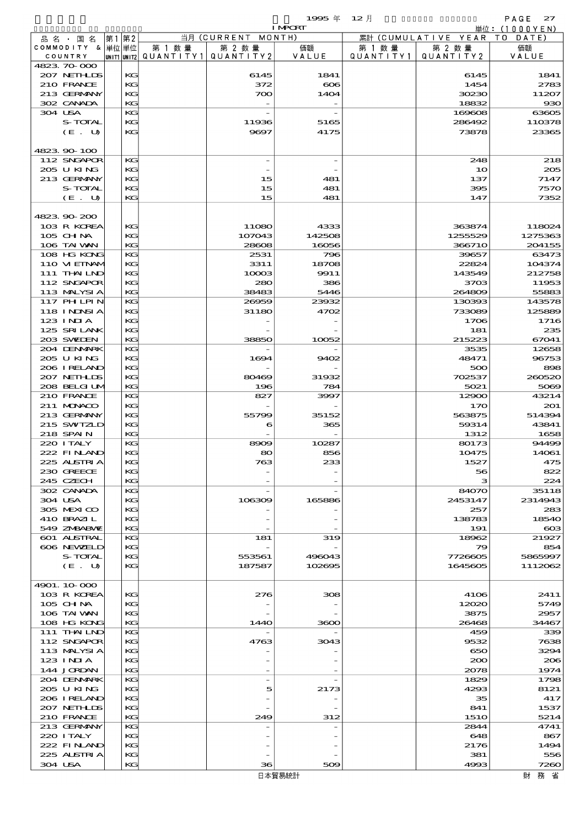$1995 \& 12 \&$ 

|                            |          |                                       |                    | <b>I MPCRT</b>   |           |                              | 単位: <u>(1000YEN)</u> |
|----------------------------|----------|---------------------------------------|--------------------|------------------|-----------|------------------------------|----------------------|
| 品 名 ・ 国 名                  | 第1第2     |                                       | 当月 (CURRENT MONTH) |                  |           | 累計 (CUMULATIVE YEAR TO DATE) |                      |
| COMMODITY & 単位単位           |          | 第 1 数量                                | 第 2 数量             | 価額               | 第 1 数 量   | 第 2 数量                       | 価額                   |
| COUNTRY                    |          | unit1 unit2  QUANT   TY1  QUANT   TY2 |                    | VALUE            | QUANTITY1 | QUANTITY 2                   | VALUE                |
| 4823 70 000                |          |                                       |                    |                  |           |                              |                      |
| 207 NETHLIS<br>210 FRANCE  | KG<br>KG |                                       | 6145<br>372        | 1841<br>$\infty$ |           | 6145<br>1454                 | 1841<br>2783         |
| 213 GERMANY                | KG       |                                       | 700                | 1404             |           | 30230                        | 11207                |
| 302 CANADA                 | KG       |                                       |                    |                  |           | 18832                        | $_{\rm \bf 93C}$     |
| 304 USA                    | KG       |                                       |                    |                  |           | 169608                       | 63605                |
| S-TOTAL                    | KG       |                                       | 11936              | 5165             |           | 286492                       | 110378               |
| (E. U)                     | KG       |                                       | 9697               | 4175             |           | 73878                        | 23365                |
|                            |          |                                       |                    |                  |           |                              |                      |
| 4823.90-100                |          |                                       |                    |                  |           |                              |                      |
| 112 SNGAPOR<br>205 U KING  | KG<br>KG |                                       |                    |                  |           | 248<br>10                    | 218<br>205           |
| 213 GERMANY                | KG       |                                       | 15                 | 481              |           | 137                          | 7147                 |
| S-TOTAL                    | KG       |                                       | 15                 | 481              |           | 395                          | <b>757C</b>          |
| (E. U)                     | KG       |                                       | 15                 | 481              |           | 147                          | 7352                 |
|                            |          |                                       |                    |                  |           |                              |                      |
| 4823.90-200                |          |                                       |                    |                  |           |                              |                      |
| 103 R KOREA                | KG       |                                       | 11080              | 4333             |           | 363874                       | 118024               |
| 105 CH NA                  | KG       |                                       | 107043             | 142508           |           | 1255529                      | 1275363              |
| 106 TAI VAN<br>108 HG KONG | KG<br>KG |                                       | 28608<br>2531      | 16056<br>796     |           | 366710<br>39657              | 204155<br>63473      |
| 110 VI EINAM               | KG       |                                       | 3311               | 18708            |           | 22824                        | 104374               |
| 111 THAILND                | KG       |                                       | 10003              | 9911             |           | 143549                       | 212758               |
| 112 SNGAPOR                | KG       |                                       | 280                | 386              |           | 3703                         | 11953                |
| 113 MALYSIA                | KG       |                                       | 38483              | 5446             |           | 264809                       | 55883                |
| 117 PH LPIN                | KG       |                                       | 26959              | 23932            |           | 130393                       | 143578               |
| 118 I NDSI A               | KG       |                                       | 31180              | 4702             |           | 733089                       | 125889               |
| 123 INIA                   | KG       |                                       |                    |                  |           | 1706                         | 1716                 |
| 125 SRILANK                | KG       |                                       |                    |                  |           | 181                          | 235                  |
| 203 SWIJEN<br>204 DENMARK  | KG<br>KG |                                       | 38850              | 10052            |           | 215223<br>3535               | 67041<br>12658       |
| 2005 U KING                | KG       |                                       | 1694               | 9402             |           | 48471                        | 96753                |
| 206 I RELAND               | KG       |                                       |                    |                  |           | 500                          | 898                  |
| 207 NETHLIS                | KG       |                                       | 80469              | 31932            |           | 702537                       | 260520               |
| 208 BELGI UM               | KG       |                                       | 196                | 784              |           | 5021                         | 5069                 |
| 210 FRANCE                 | KG       |                                       | 827                | 3997             |           | 12900                        | 43214                |
| 211 MONACO                 | KG       |                                       |                    |                  |           | 170                          | 201                  |
| 213 GERMANY<br>215 SWTZLD  | KG<br>KG |                                       | 55799<br>6         | 35152<br>365     |           | 563875<br>59314              | 514394<br>43841      |
| 218 SPAIN                  | KG       |                                       |                    |                  |           | 1312                         | 1658                 |
| 220 I TALY                 | KG       |                                       | 8909               | 10287            |           | 80173                        | 94499                |
| 222 FINAND                 | KG       |                                       | 80                 | 856              |           | 10475                        | 14061                |
| 225 ALSTRIA                | KG       |                                       | 763                | 233              |           | 1527                         | 475                  |
| 230 GREECE                 | KG       |                                       |                    |                  |           | 56                           | 822                  |
| 245 CZECH                  | KG       |                                       |                    |                  |           | з                            | 224                  |
| 302 CANADA<br>304 USA      | KG<br>KG |                                       | 106309             | 165886           |           | 84070<br>2453147             | 35118<br>2314943     |
| 305 MEXICO                 | KG       |                                       |                    |                  |           | 257                          | 283                  |
| 410 BRAZIL                 | КG       |                                       |                    |                  |           | 138783                       | 1854C                |
| 549 ZMBABMZ                | KG       |                                       |                    |                  |           | 191                          | $\infty$             |
| 601 ALSTRAL                | KG       |                                       | 181                | 319              |           | 18962                        | 21927                |
| 606 NEWELD                 | KG       |                                       |                    |                  |           | 79                           | 854                  |
| S-TOTAL                    | KG       |                                       | 553561             | 496043           |           | 7726605                      | 5865997              |
| (E. U)                     | KG       |                                       | 187587             | 102695           |           | 1645605                      | 1112062              |
| 4901.10-000                |          |                                       |                    |                  |           |                              |                      |
| 103 R KOREA                | KG       |                                       | 276                | 308              |           | 4106                         | 2411                 |
| $105$ CHNA                 | KG       |                                       |                    |                  |           | 12020                        | 5749                 |
| 106 TAI VAN                | KG       |                                       |                    |                  |           | 3875                         | 2957                 |
| 108 HG KONG                | KG       |                                       | 1440               | 3600             |           | 26468                        | 34467                |
| 111 THAILND                | KG       |                                       |                    |                  |           | 459                          | 339                  |
| 112 SNGAPOR                | KG       |                                       | 4763               | 3043             |           | 9532                         | 7638                 |
| 113 MALYSIA<br>123 INIA    | KG<br>KG |                                       |                    |                  |           | 650<br>200                   | 3294<br>200          |
| 144 JORDAN                 | KG       |                                       |                    |                  |           | 2078                         | 1974                 |
| 204 DENMARK                | KG       |                                       |                    |                  |           | 1829                         | 1798                 |
| 2005 U KING                | KG       |                                       | 5                  | 2173             |           | 4293                         | 8121                 |
| 206 I RELAND               | KG       |                                       |                    |                  |           | 35                           | 417                  |
| 207 NETHLIS                | KG       |                                       |                    |                  |           | 841                          | 1537                 |
| 210 FRANCE                 | KG       |                                       | 249                | 312              |           | <b>1510</b>                  | 5214                 |
| 213 GERMANY                | KG       |                                       |                    |                  |           | 2844<br>648                  | 4741                 |
| 220 I TALY<br>222 FINAND   | KG<br>KG |                                       |                    |                  |           | 2176                         | 867<br>1494          |
| 225 ALSTRIA                | KG       |                                       |                    |                  |           | 381                          | 556                  |

 $304 \text{ USA}$  KG 36  $30$  509 4993 7260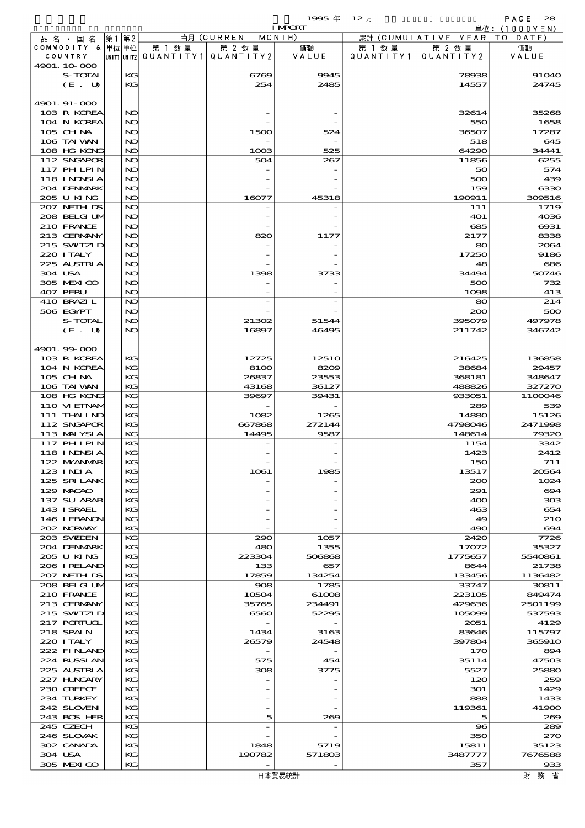$1995 \n& 12 \nparallel$  PAGE 28

|                            |    |          |                                       |               | <b>I MPORT</b>  |           |                              | 単位: (1000YEN)         |
|----------------------------|----|----------|---------------------------------------|---------------|-----------------|-----------|------------------------------|-----------------------|
| 品名・国名                      | 第1 | 第2       |                                       | 当月(CURRENT    | MONTH)          |           | 累計 (CUMULATIVE YEAR TO DATE) |                       |
| COMMODITY & 単位単位           |    |          | 第 1 数量                                | 第 2 数量        | 価額              | 第 1 数量    | 第 2 数量                       | 価額                    |
| COUNTRY                    |    |          | unit1 unit2  QUANT   TY1  QUANT   TY2 |               | VALUE           | QUANTITY1 | QUANTITY 2                   | VALUE                 |
| 4901. 10 000<br>S-TOTAL    |    | KG       |                                       | 6769          | 9945            |           | 78938                        | <b>91040</b>          |
| (E. U)                     |    | KG       |                                       | 254           | 2485            |           | 14557                        | 24745                 |
|                            |    |          |                                       |               |                 |           |                              |                       |
| 4901. 91-000               |    |          |                                       |               |                 |           |                              |                       |
| 103 R KOREA                |    | NO       |                                       |               |                 |           | 32614                        | 35268                 |
| 104 N KOREA                |    | NO       |                                       |               |                 |           | 550                          | 1658                  |
| 105 CH NA                  |    | NO       |                                       | 1500          | 524             |           | 36507                        | 17287                 |
| 106 TAI VAN                |    | NC       |                                       |               |                 |           | 518                          | 645                   |
| 108 HG KONG<br>112 SNGAPOR |    | NO<br>NO |                                       | 1003          | 525             |           | 64290                        | 34441<br>6255         |
| 117 PHLPIN                 |    | NO       |                                       | 504           | 267             |           | 11856<br>50                  | 574                   |
| 118 I NDSI A               |    | NO       |                                       |               |                 |           | 500                          | 439                   |
| 204 DENMARK                |    | NC       |                                       |               |                 |           | 159                          | 6330                  |
| 205 U KING                 |    | NO       |                                       | 16077         | 45318           |           | 190911                       | 309516                |
| 207 NETHLIS                |    | NO       |                                       |               |                 |           | 111                          | 1719                  |
| 208 BELGI UM               |    | NO       |                                       |               |                 |           | <b>401</b>                   | 4036                  |
| 210 FRANCE                 |    | NO       |                                       |               |                 |           | 685                          | 6931                  |
| 213 GERMANY                |    | NO       |                                       | 820           | 1177            |           | 2177                         | 8338                  |
| 215 SWIZLD<br>220 I TALY   |    | NO<br>NO |                                       |               |                 |           | 80<br>17250                  | 2064<br>9186          |
| 225 ALSTRIA                |    | NO       |                                       |               |                 |           | 48                           | 686                   |
| 304 USA                    |    | NO       |                                       | 1398          | 3733            |           | 34494                        | 50746                 |
| 305 MEXICO                 |    | NO       |                                       |               |                 |           | 500                          | 732                   |
| 407 PERU                   |    | NO       |                                       |               |                 |           | 1098                         | 413                   |
| 410 BRAZIL                 |    | NO       |                                       |               |                 |           | 80                           | 214                   |
| 506 EGYPT                  |    | NO       |                                       |               |                 |           | 200                          | 500                   |
| S-TOTAL                    |    | NO       |                                       | 21302         | 51544           |           | 395079                       | 497978                |
| (E. U)                     |    | NO       |                                       | 16897         | 46495           |           | 211742                       | 346742                |
| 4901.99-000                |    |          |                                       |               |                 |           |                              |                       |
| 103 R KOREA                |    | KG       |                                       | 12725         | 1251O           |           | 216425                       | 136858                |
| 104 N KOREA                |    | KG       |                                       | 8100          | 8209            |           | 38684                        | 29457                 |
| $105$ CHNA                 |    | KG       |                                       | 26837         | 23553           |           | 368181                       | 348647                |
| 106 TAI VAN                |    | KG       |                                       | 43168         | 36127           |           | 488826                       | 327270                |
| 108 HG KONG                |    | KG       |                                       | 39697         | 39431           |           | 933051                       | 1100046               |
| 110 VI EINAM               |    | KG       |                                       |               |                 |           | 289                          | 539                   |
| 111 THAILND                |    | KG       |                                       | 1082          | 1265            |           | 14880                        | 15126                 |
| 112 SNGAPOR<br>113 MALYSIA |    | KG<br>KG |                                       | 667868        | 272144<br>9587  |           | 4798046<br>148614            | 2471998<br>79320      |
| 117 PHLPIN                 |    | KG       |                                       | 14495         |                 |           | 1154                         | 3342                  |
| 118 INNSI A                |    | KG       |                                       |               |                 |           | 1423                         | 2412                  |
| 122 NYANAR                 |    | KG       |                                       |               |                 |           | 150                          | 711                   |
| $123$ INJA                 |    | KС       |                                       | 1061          | 1985            |           | 13517                        | 20564                 |
| 125 SRILANK                |    | KG       |                                       |               |                 |           | 200                          | 1024                  |
| 129 MACAO                  |    | KG       |                                       |               |                 |           | 291                          | $\boldsymbol{\infty}$ |
| 137 SU ARAB                |    | KG       |                                       |               |                 |           | 400                          | 308                   |
| 143 ISRAEL<br>146 LEBANON  |    | KG       |                                       |               |                 |           | 463                          | 654                   |
| 202 NORWAY                 |    | KG<br>KG |                                       |               |                 |           | 49<br>490                    | <b>21O</b><br>694     |
| 203 SWIDEN                 |    | KG       |                                       | 290           | 1057            |           | 2420                         | 7726                  |
| 204 DENMARK                |    | KG       |                                       | 480           | 1355            |           | 17072                        | 35327                 |
| 205 U KING                 |    | KG       |                                       | 223304        | 506868          |           | 1775657                      | 5540861               |
| 206 I RELAND               |    | KG       |                                       | 133           | 657             |           | 8644                         | 21738                 |
| 207 NETHLIS                |    | KG       |                                       | 17859         | 134254          |           | 133456                       | 1136482               |
| 208 BELGI UM               |    | KG       |                                       | 908           | 1785            |           | 33747                        | 30811                 |
| 210 FRANCE                 |    | KG       |                                       | 10504         | 61008           |           | 223105                       | 849474                |
| 213 GERMANY<br>215 SWIZLD  |    | KG<br>KG |                                       | 35765<br>6560 | 234491<br>52295 |           | 429636<br>105099             | 2501199<br>537593     |
| 217 PORTUGL                |    | KG       |                                       |               |                 |           | 2051                         | 4129                  |
| 218 SPAIN                  |    | KG       |                                       | 1434          | 3163            |           | 83646                        | 115797                |
| 220 I TALY                 |    | KG       |                                       | 26579         | 24548           |           | 397804                       | 365910                |
| 222 FINAND                 |    | KG       |                                       |               |                 |           | 170                          | 894                   |
| 224 RUSSI AN               |    | KG       |                                       | 575           | 454             |           | 35114                        | 47503                 |
| 225 ALSTRIA                |    | KG       |                                       | 308           | 3775            |           | 5527                         | 25880                 |
| 227 H.NGARY                |    | KG       |                                       |               |                 |           | 120                          | 259                   |
| 230 GREECE<br>234 TURKEY   |    | KG<br>KG |                                       |               |                 |           | 301<br>888                   | 1429<br>1433          |
| 242 SLOVEN                 |    | KG       |                                       |               |                 |           | 119361                       | 41900                 |
| 243 BOS HER                |    | KG       |                                       | 5             | 269             |           | 5                            | 269                   |
| 245 CZECH                  |    | KG       |                                       |               |                 |           | 96                           | 289                   |
| 246 SLOVAK                 |    | KG       |                                       |               |                 |           | 350                          | 270                   |
| 302 CANADA                 |    | KG       |                                       | 1848          | 5719            |           | 15811                        | 35123                 |
| 304 USA                    |    | KG       |                                       | 190782        | 571803          |           | 3487777                      | 7676588               |
| 305 MEXICO                 |    | KG       |                                       |               |                 |           | 357                          | 933                   |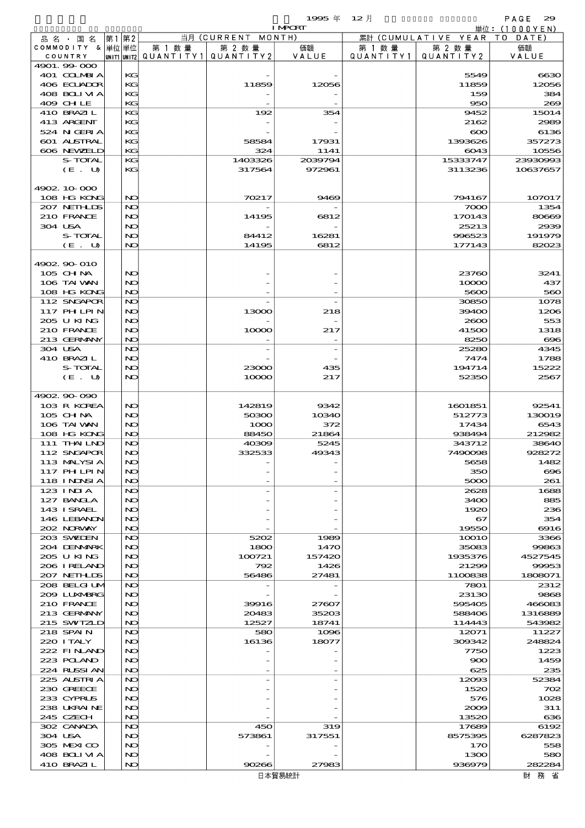$1995 \# 12$   $\frac{1}{2}$   $\frac{1}{2}$   $\frac{1}{2}$   $\frac{1}{2}$   $\frac{1}{2}$   $\frac{1}{2}$   $\frac{1}{2}$   $\frac{1}{2}$   $\frac{1}{2}$   $\frac{1}{2}$   $\frac{1}{2}$   $\frac{1}{2}$   $\frac{1}{2}$   $\frac{1}{2}$   $\frac{1}{2}$   $\frac{1}{2}$   $\frac{1}{2}$   $\frac{1}{2}$   $\frac{1}{2}$   $\frac{1}{2}$   $\frac{1}{2}$ 

|                            |          |        |                                       | <b>I MPORT</b> |                   |                              | 単位: (1000YEN)    |
|----------------------------|----------|--------|---------------------------------------|----------------|-------------------|------------------------------|------------------|
| 品 名 ・ 国 名                  | 第1第2     |        | 当月 (CURRENT MONTH)                    |                |                   | 累計 (CUMULATIVE YEAR TO DATE) |                  |
| COMMODITY & 単位単位           |          | 第 1 数量 | 第 2 数量                                | 価額             | 第 1 数量            | 第 2 数量                       | 価額               |
| COUNTRY<br>4901.99-000     |          |        | UNIT1 UNIT2  QUANT   TY1  QUANT   TY2 | VALUE          | Q U A N T I T Y 1 | QUANTITY 2                   | VALUE            |
| 401 COLMBIA                | KG       |        |                                       |                |                   | 5549                         | 6630             |
| 406 ECUADOR                | KG       |        | 11859                                 | 12056          |                   | 11859                        | 12056            |
| 408 BOLIVIA                | KG       |        |                                       |                |                   | 159                          | 384              |
| 409 CHLE                   | KG       |        |                                       |                |                   | 950                          | 269              |
| 410 BRAZIL                 | KG       |        | 192                                   | 354            |                   | 9452                         | 15014            |
| 413 ARCENT<br>524 N GERIA  | КC<br>KG |        |                                       |                |                   | 2162<br>$\infty$             | 2989<br>6136     |
| 601 ALSTRAL                | КC       |        | 58584                                 | 17931          |                   | 1393626                      | 357273           |
| 606 NEWELD                 | KG       |        | 324                                   | 1141           |                   | 6043                         | 10556            |
| S-TOTAL                    | KG       |        | 1403326                               | 2039794        |                   | 15333747                     | 23930993         |
| (E. U)                     | KG       |        | 317564                                | 972961         |                   | 3113236                      | 10637657         |
|                            |          |        |                                       |                |                   |                              |                  |
| 4902.10.000                |          |        |                                       |                |                   |                              |                  |
| 108 HG KONG                | NO       |        | 70217                                 | 9469           |                   | 794167                       | 107017           |
| 207 NETHLIS<br>210 FRANCE  | NO<br>NO |        | 14195                                 | 6812           |                   | 7000<br>170143               | 1354<br>80669    |
| 304 USA                    | NO       |        |                                       |                |                   | 25213                        | 2939             |
| S-TOTAL                    | NO       |        | 84412                                 | 16281          |                   | 996523                       | 191979           |
| $(E_U U)$                  | NO       |        | 14195                                 | 6812           |                   | 177143                       | 82023            |
|                            |          |        |                                       |                |                   |                              |                  |
| 4902.90-010                |          |        |                                       |                |                   |                              |                  |
| 105 CH NA                  | NO       |        |                                       |                |                   | 23760                        | 3241             |
| 106 TAI VAN                | NO       |        |                                       |                |                   | 10000                        | 437              |
| 108 HG KONG<br>112 SNGAPOR | NO<br>NO |        |                                       |                |                   | 5600<br>30850                | 560<br>1078      |
| 117 PHLPIN                 | NO       |        | 13000                                 | 218            |                   | 39400                        | 1206             |
| 205 U KING                 | NO       |        |                                       |                |                   | 2600                         | 553              |
| 210 FRANCE                 | NO       |        | 10000                                 | 217            |                   | 41500                        | 1318             |
| 213 GERMANY                | NO       |        |                                       |                |                   | 8250                         | $\infty$         |
| 304 USA                    | NO       |        |                                       |                |                   | 25280                        | 4345             |
| 410 BRAZIL                 | NO       |        |                                       |                |                   | 7474                         | 1788             |
| S-TOTAL                    | NO       |        | 23000                                 | 435            |                   | 194714                       | 15222            |
| (E. U)                     | NO       |        | 10000                                 | 217            |                   | 52350                        | 2567             |
| 4902.90-090                |          |        |                                       |                |                   |                              |                  |
| 103 R KOREA                | NO       |        | 142819                                | 9342           |                   | 1601851                      | 92541            |
| 105 CH NA                  | NO       |        | 50300                                 | 10340          |                   | 512773                       | 130019           |
| 106 TAI VAN                | NO       |        | 1000                                  | 372            |                   | 17434                        | 6543             |
| 108 HG KONG                | NO       |        | 88450                                 | 21864          |                   | 938494                       | 212982           |
| 111 THAILND                | NO       |        | 40309                                 | 5245           |                   | 343712                       | 38640            |
| 112 SNGAPOR                | NO<br>NO |        | 332533                                | 49343          |                   | 7490098                      | 928272           |
| 113 MALYSIA<br>117 PH LPIN | NO       |        |                                       |                |                   | 5658<br>350                  | 1482<br>$\infty$ |
| <b>118 INNSIA</b>          | NO       |        |                                       |                |                   | 5000                         | 261              |
| 123 INIA                   | NO       |        |                                       |                |                   | 2628                         | 1688             |
| 127 BANCLA                 | NO       |        |                                       |                |                   | 3400                         | 885              |
| 143 ISRAEL                 | NO       |        |                                       |                |                   | 1920                         | 236              |
| 146 LEBANON                | NO       |        |                                       |                |                   | 67                           | 354              |
| 202 NRWAY                  | NO       |        |                                       |                |                   | 19550                        | $\Theta$ 16      |
| 203 SWIDEN                 | NO<br>NO |        | 5202                                  | 1989           |                   | <b>10010</b><br>35083        | 3366             |
| 204 DENMARK<br>205 U KING  | NO       |        | 1800<br>100721                        | 1470<br>157420 |                   | 1935376                      | 99863<br>4527545 |
| 206 I RELAND               | NO       |        | 792                                   | 1426           |                   | 21299                        | 99953            |
| 207 NETHLIS                | NO       |        | 56486                                 | 27481          |                   | 1100838                      | 1808071          |
| 208 BELGI UM               | NO       |        |                                       |                |                   | 7801                         | 2312             |
| 2009 LUXMBRG               | NO       |        |                                       |                |                   | 23130                        | 9868             |
| 210 FRANCE                 | NO       |        | 39916                                 | 27607          |                   | 595405                       | 466083           |
| 213 GERMANY                | NO       |        | 20483                                 | 35203          |                   | 588406                       | 1316889          |
| 215 SWIZLD<br>218 SPAIN    | NO<br>NO |        | 12527<br>580                          | 18741<br>1096  |                   | 114443<br>12071              | 543982<br>11227  |
| 220 I TALY                 | NO       |        | 16136                                 | 18077          |                   | 309342                       | 248824           |
| 222 FINAND                 | NO       |        |                                       |                |                   | 7750                         | 1223             |
| 223 POLAND                 | NO       |        |                                       |                |                   | 900                          | 1459             |
| 224 RUSSIAN                | NO       |        |                                       |                |                   | 625                          | 235              |
| 225 ALSTRIA                | NO       |        |                                       |                |                   | 12093                        | 52384            |
| 230 GREECE                 | NO       |        |                                       |                |                   | 1520                         | 702              |
| 233 CYPRUS                 | NO       |        |                                       |                |                   | 576                          | 1028             |
| 238 UKRAINE<br>245 CZECH   | NO<br>NO |        |                                       |                |                   | 2009<br>13520                | 311<br>636       |
| 302 CANADA                 | NO       |        | 450                                   | 319            |                   | 17689                        | 6192             |
| 304 USA                    | NO       |        | 573861                                | 317551         |                   | 8575395                      | 6287823          |
| 305 MEXICO                 | NO       |        |                                       |                |                   | 170                          | 558              |
| 408 BOLIVIA                | NO       |        |                                       |                |                   | 1300                         | 580              |
| 410 BRAZIL                 | NO       |        | 90266                                 | 27983          |                   | 936979                       | 282284           |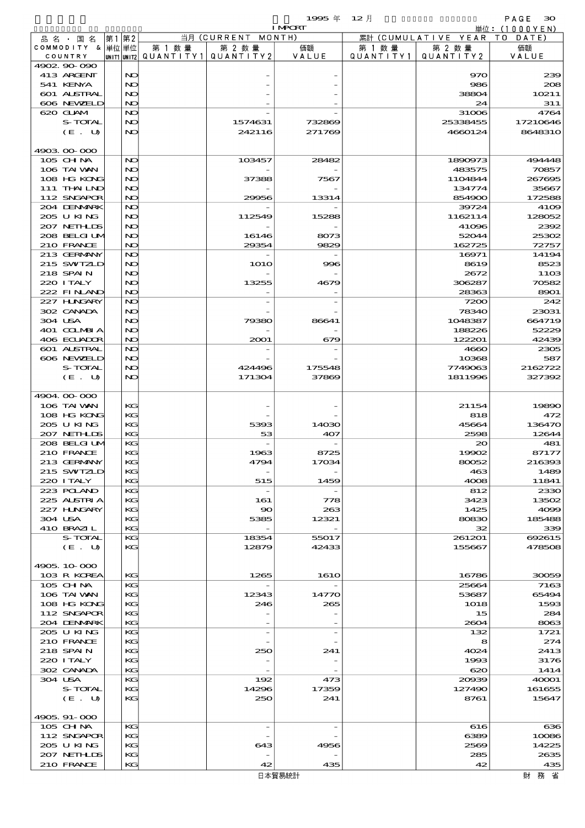|                             |          |        |                                                  | <b>I MPORT</b> |        |                                 | 単位: (1000YEN)    |
|-----------------------------|----------|--------|--------------------------------------------------|----------------|--------|---------------------------------|------------------|
| 品名・国名                       | 第1第2     |        | 当月 (CURRENT MONTH)                               |                |        | 累計 (CUMULATIVE YEAR TO DATE)    |                  |
| COMMODITY & 単位単位<br>COUNTRY |          | 第 1 数量 | 第 2 数量<br> UNIT1 UNIT2  QUANT   TY1  QUANT   TY2 | 価額<br>VALUE    | 第 1 数量 | 第 2 数量<br>QUANTITY1   QUANTITY2 | 価額<br>VALUE      |
| 4902.90-090                 |          |        |                                                  |                |        |                                 |                  |
| 413 ARGENT                  | NO       |        |                                                  |                |        | 970                             | 230              |
| 541 KENYA                   | NO       |        |                                                  |                |        | 986                             | 200              |
| 601 ALSTRAL                 | NO       |        |                                                  |                |        | 38804                           | 10211            |
| 606 NEWELD<br>620 GLAM      | NO<br>NO |        |                                                  |                |        | 24                              | 311              |
| S-TOTAL                     | NO       |        | 1574631                                          | 732869         |        | 31006<br>25338455               | 4764<br>17210646 |
| (E. U)                      | NO       |        | 242116                                           | 271769         |        | 4660124                         | 864831C          |
|                             |          |        |                                                  |                |        |                                 |                  |
| 4903 00 000                 |          |        |                                                  |                |        |                                 |                  |
| 105 CH NA                   | NO       |        | 103457                                           | 28482          |        | 1890973                         | 494448           |
| 106 TAI VAN                 | NO       |        |                                                  |                |        | 483575                          | 70857            |
| 108 HG KONG<br>111 THAILND  | NO<br>NC |        | 37388                                            | 7567           |        | 1104844<br>134774               | 26769E<br>35667  |
| 112 SNGAPOR                 | NO       |        | 29956                                            | 13314          |        | 854900                          | 172586           |
| 204 DENMARK                 | NO       |        |                                                  |                |        | 39724                           | 4100             |
| 205 U KING                  | NO       |        | 112549                                           | 15288          |        | 1162114                         | 128052           |
| 207 NETHLIS                 | NO       |        |                                                  |                |        | 41096                           | 2392             |
| 208 BELGI UM                | NC       |        | 16146                                            | 8073           |        | 52044                           | 25302            |
| 210 FRANCE                  | NO       |        | 29354                                            | 9829           |        | 162725                          | 72757            |
| 213 GERMANY<br>215 SWIZLD   | NO<br>NO |        | <b>1O1O</b>                                      | 996            |        | 16971<br>8619                   | 14194<br>8523    |
| 218 SPAIN                   | NO       |        |                                                  |                |        | 2672                            | 1100             |
| 220 I TALY                  | NC       |        | 13255                                            | 4679           |        | 306287                          | 70582            |
| 222 FINLAND                 | NO       |        |                                                  |                |        | 28363                           | 8901             |
| 227 H.NGARY                 | NO       |        |                                                  |                |        | 7200                            | 242              |
| 302 CANADA                  | NO       |        |                                                  |                |        | 78340                           | 23031            |
| 304 USA                     | NO       |        | 79380                                            | 86641          |        | 1048387                         | 664719           |
| 401 COLMBIA<br>406 ECUADOR  | NC<br>NO |        | 2001                                             | 679            |        | 188226<br>122201                | 52229<br>42439   |
| 601 ALSTRAL                 | NO       |        |                                                  |                |        | 4660                            | 2305             |
| 606 NEWELD                  | NO       |        |                                                  |                |        | 10368                           | 587              |
| S-TOTAL                     | NO       |        | 424496                                           | 175548         |        | 7749063                         | 2162722          |
| (E. U)                      | NO       |        | 171304                                           | 37869          |        | 1811996                         | 327392           |
|                             |          |        |                                                  |                |        |                                 |                  |
| 4904.00.000                 |          |        |                                                  |                |        |                                 |                  |
| 106 TAI VAN<br>108 HG KONG  | KG<br>KG |        |                                                  |                |        | 21154<br>818                    | 19890<br>472     |
| 205 U KING                  | KG       |        | 5393                                             | 14030          |        | 45664                           | 136470           |
| 207 NETHLIS                 | KG       |        | 53                                               | 407            |        | 2598                            | 12644            |
| 208 BELGI UM                | KG       |        |                                                  |                |        | $\infty$                        | 481              |
| 210 FRANCE                  | KG       |        | 1963                                             | 8725           |        | 19902                           | 87177            |
| 213 GERMANY                 | КG       |        | 4794                                             | 17034          |        | 80052                           | 216390           |
| 215 SWIZLD                  | KС       |        |                                                  |                |        | 463                             | 1485             |
| 220 I TALY<br>223 POLAND    | KG<br>KG |        | 515<br>$\overline{\phantom{a}}$                  | 1459           |        | 4008<br>812                     | 11841<br>233     |
| 225 ALSTRIA                 | KG       |        | 161                                              | 778            |        | 3423                            | 13502            |
| 227 HNGARY                  | KG       |        | 90                                               | 263            |        | 1425                            | 4000             |
| 304 USA                     | KG       |        | 5385                                             | 12321          |        | 80830                           | 185488           |
| 410 BRAZIL                  | KG       |        |                                                  |                |        | 32                              | 335              |
| S-TOTAL                     | KG       |        | 18354                                            | 55017          |        | 261201                          | 692615           |
| (E. U)                      | KG       |        | 12879                                            | 42433          |        | 155667                          | 478506           |
| 4905, 10-000                |          |        |                                                  |                |        |                                 |                  |
| 103 R KOREA                 | KG       |        | 1265                                             | <b>1610</b>    |        | 16786                           | 30059            |
| 105 CH NA                   | KG       |        |                                                  |                |        | 25664                           | 7163             |
| 106 TAI VAN                 | KG       |        | 12343                                            | 14770          |        | 53687                           | 65494            |
| 108 HG KONG                 | KG       |        | 246                                              | 265            |        | 1018                            | 159C             |
| 112 SNGAPOR                 | KG       |        |                                                  |                |        | 15                              | 284              |
| 204 DENMARK<br>205 U KING   | KG<br>KG |        | $\overline{\phantom{a}}$                         |                |        | 2604<br>132                     | 8063<br>1721     |
| 210 FRANCE                  | KG       |        |                                                  |                |        | 8                               | 274              |
| 218 SPAIN                   | KG       |        | 250                                              | 241            |        | 4024                            | 2413             |
| 220 I TALY                  | KG       |        |                                                  |                |        | 1993                            | 3176             |
| 302 CANADA                  | KG       |        |                                                  |                |        | 620                             | 1414             |
| 304 USA                     | KG       |        | 192                                              | 473            |        | 20039                           | 40001            |
| S-TOTAL<br>(E. U)           | KG<br>KG |        | 14296<br>250                                     | 17359<br>241   |        | 127490<br>8761                  | 161655<br>15647  |
|                             |          |        |                                                  |                |        |                                 |                  |
| 4905, 91-000                |          |        |                                                  |                |        |                                 |                  |
| 105 CH NA                   | KG       |        | $\overline{\phantom{a}}$                         |                |        | 616                             | $\alpha$         |
| 112 SNGAPOR                 | KG       |        |                                                  |                |        | 6389                            | 10086            |
| 205 U KING                  | KG       |        | 643                                              | 4956           |        | 2569                            | 14225            |
| 207 NETHLIS                 | KG       |        |                                                  |                |        | 285                             | 2635             |
| 210 FRANCE                  | KG       |        | 42                                               | 435            |        | 42                              | 435              |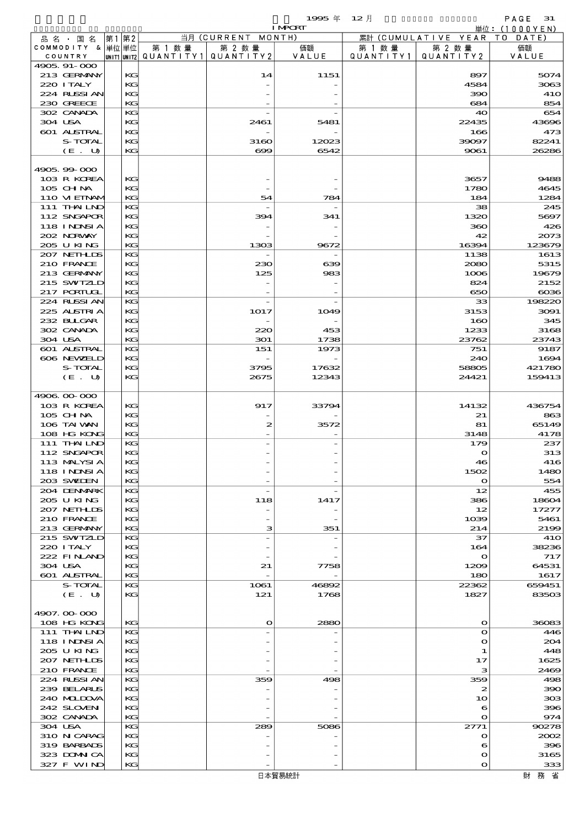$1995 \nless 12 \nless 12$ 

|                            |          |                                       |                    | <b>I MPORT</b> |           |                              | 単位: (1000YEN)  |
|----------------------------|----------|---------------------------------------|--------------------|----------------|-----------|------------------------------|----------------|
| 品名・国名                      | 第1 第2    |                                       | 当月 (CURRENT MONTH) |                |           | 累計 (CUMULATIVE YEAR TO DATE) |                |
| COMMODITY & 単位単位           |          | 第 1 数量                                | 第 2 数量             | 価額             | 第 1 数 量   | 第 2 数量                       | 価額             |
| COUNTRY<br>4905, 91-000    |          | UNIT1 UNIT2  QUANT   TY1  QUANT   TY2 |                    | VALUE          | QUANTITY1 | QUANTITY 2                   | VALUE          |
| 213 GERMANY                | KG       |                                       | 14                 | 1151           |           | 897                          | 5074           |
| 220 I TALY                 | KG       |                                       |                    |                |           | 4584                         | 3063           |
| 224 RUSSI AN               | KG       |                                       |                    |                |           | 390                          | <b>41O</b>     |
| 230 GREECE                 | KG       |                                       |                    |                |           | 684                          | 854            |
| 302 CANADA                 | KG       |                                       |                    |                |           | 40                           | 654            |
| 304 USA                    | KG       |                                       | 2461               | 5481           |           | 22435                        | 43696          |
| 601 ALSTRAL                | KG       |                                       |                    |                |           | 166                          | 473            |
| S-TOTAL                    | KG       |                                       | 3160<br>ಱ          | 12023<br>6542  |           | 39097<br>9061                | 82241          |
| (E. U)                     | KG       |                                       |                    |                |           |                              | 26286          |
| 4905.99-000                |          |                                       |                    |                |           |                              |                |
| 103 R KOREA                | KG       |                                       |                    |                |           | 3657                         | 9488           |
| 105 CHNA                   | KG       |                                       |                    |                |           | 1780                         | 4645           |
| 110 VIEINAM                | KG       |                                       | 54                 | 784            |           | 184                          | 1284           |
| 111 THAILND                | KG       |                                       |                    |                |           | 38                           | 245            |
| 112 SNGAPOR                | KG       |                                       | 394                | 341            |           | 1320                         | 5697           |
| 118 INNSI A                | KG       |                                       |                    |                |           | 360                          | 426            |
| 202 NORWAY                 | KG       |                                       |                    |                |           | 42                           | 2073           |
| 205 U KING<br>207 NETHLIS  | KG<br>KG |                                       | 1303               | 9672           |           | 16394<br>1138                | 123679<br>1613 |
| 210 FRANCE                 | KG       |                                       | 230                | 639            |           | 2080                         | 5315           |
| 213 GERMANY                | KG       |                                       | 125                | 983            |           | 1006                         | 19679          |
| 215 SWIZLD                 | KG       |                                       |                    |                |           | 824                          | 2152           |
| $217$ PORTUGL              | KG       |                                       |                    |                |           | 650                          | $\alpha$       |
| 224 RUSSI AN               | KG       |                                       | $\overline{a}$     |                |           | 33                           | 198220         |
| 225 ALSTRIA                | KG       |                                       | 1017               | 1049           |           | 3153                         | 3091           |
| 232 BULGAR                 | KG       |                                       |                    |                |           | 160                          | 345            |
| 302 CANADA                 | KG       |                                       | 220                | 453            |           | 1233                         | 3168           |
| 304 USA<br>601 ALSTRAL     | KG       |                                       | 301                | 1738           |           | 23762<br>751                 | 23743<br>9187  |
| 606 NEWELD                 | KG<br>KG |                                       | 151                | 1973           |           | 240                          | 1694           |
| S-TOTAL                    | KG       |                                       | 3795               | 17632          |           | 58805                        | 421780         |
| (E. U)                     | KG       |                                       | 2675               | 12343          |           | 24421                        | 159413         |
|                            |          |                                       |                    |                |           |                              |                |
| 4906 00 000                |          |                                       |                    |                |           |                              |                |
| 103 R KOREA                | KG       |                                       | 917                | 33794          |           | 14132                        | 436754         |
| 105 CH NA                  | KG       |                                       |                    |                |           | 21                           | 863            |
| 106 TAI VAN                | KG       |                                       | 2                  | 3572           |           | 81                           | 65149          |
| 108 HG KONG<br>111 THAILND | KG<br>KG |                                       |                    |                |           | 3148<br>179                  | 4178<br>237    |
| 112 SNGAPOR                | KG       |                                       |                    |                |           | $\mathbf o$                  | 313            |
| 113 MALYSIA                | KG       |                                       |                    |                |           | 46                           | 416            |
| 118 I NINSI A              | KG       |                                       |                    |                |           | 1502                         | 1480           |
| 203 SVELEN                 | KG       |                                       |                    |                |           | $\mathbf o$                  | 554            |
| 204 DENMARK                | KG       |                                       |                    |                |           | 12                           | 455            |
| 205 U KING                 | KG       |                                       | 118                | 1417           |           | 386                          | 18604          |
| 207 NETHLIS                | KG       |                                       |                    |                |           | 12                           | 17277          |
| 210 FRANCE                 | KG       |                                       |                    |                |           | 1039                         | 5461           |
| 213 GERMANY<br>215 SWIZLD  | KG<br>KG |                                       | з                  | 351            |           | 214<br>37                    | 2199<br>41O    |
| 220 I TALY                 | KG       |                                       |                    |                |           | 164                          | 38236          |
| 222 FINAND                 | KG       |                                       |                    |                |           | $\mathbf o$                  | 717            |
| 304 USA                    | KG       |                                       | 21                 | 7758           |           | 1209                         | 64531          |
| 601 ALSTRAL                | KG       |                                       |                    |                |           | 180                          | 1617           |
| S-TOTAL                    | KG       |                                       | 1061               | 46892          |           | 22362                        | 659451         |
| (E. U)                     | KG       |                                       | 121                | 1768           |           | 1827                         | 83503          |
|                            |          |                                       |                    |                |           |                              |                |
| 4907.00-000<br>108 HG KONG |          |                                       |                    |                |           |                              |                |
| 111 THAILND                | KG<br>KG |                                       | $\mathbf o$        | 2880           |           | $\mathbf o$<br>$\mathbf o$   | 36083<br>446   |
| 118 I NDSI A               | KG       |                                       |                    |                |           | $\mathbf o$                  | 204            |
| 205 U KING                 | KG       |                                       |                    |                |           | 1                            | 448            |
| 207 NETHLIS                | KG       |                                       |                    |                |           | 17                           | 1625           |
| 210 FRANCE                 | KG       |                                       |                    |                |           | з                            | 2469           |
| 224 RUSSI AN               | KG       |                                       | 359                | 498            |           | 359                          | 498            |
| 239 BELARUS                | KG       |                                       |                    |                |           | 2                            | 390            |
| 240 MIDOVA                 | KG       |                                       |                    |                |           | 10                           | 308            |
| 242 SLOVEN<br>302 CANADA   | KG<br>KG |                                       |                    |                |           | 6<br>$\mathbf o$             | 396<br>974     |
| 304 USA                    | KG       |                                       | 289                | 5086           |           | 2771                         | 90278          |
| 310 N CARAG                | KG       |                                       |                    |                |           | $\mathbf o$                  | 2002           |
| 319 BARBADS                | KG       |                                       |                    |                |           | 6                            | 396            |
| 323 DOMNICA                | КG       |                                       |                    |                |           | $\mathbf o$                  | 3165           |
| 327 F WIND                 | KG       |                                       |                    |                |           | O                            | 333            |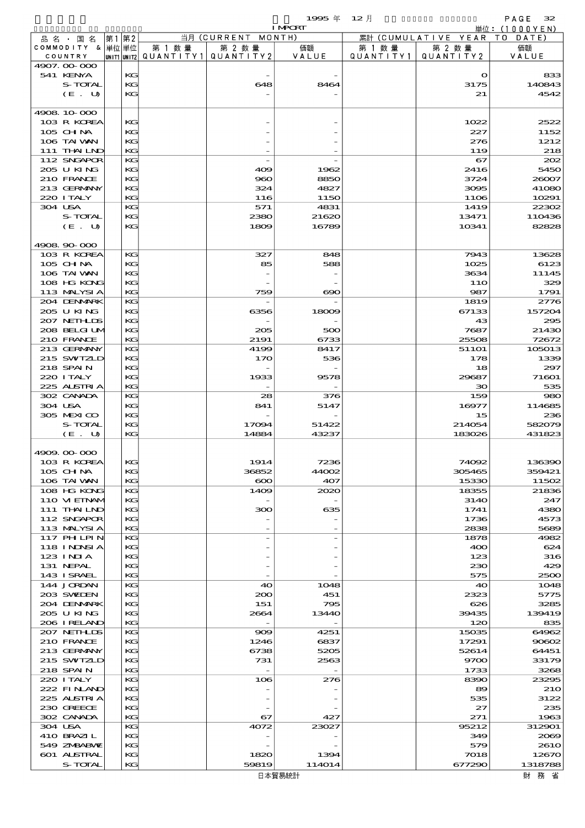$1995 \n& 12 \nparallel$  PAGE 32

|                             |          |        |                                                  | <b>I MPORT</b> |                     |                              | 単位: (1000YEN)   |
|-----------------------------|----------|--------|--------------------------------------------------|----------------|---------------------|------------------------------|-----------------|
| 品名・国名                       | 第1 第2    |        | 当月 (CURRENT MONTH)                               |                |                     | 累計 (CUMULATIVE YEAR TO DATE) |                 |
| COMMODITY & 単位単位<br>COUNTRY |          | 第 1 数量 | 第 2 数量<br> UNIT1 UNIT2  QUANT   TY1  QUANT   TY2 | 価額<br>VALUE    | 第 1 数量<br>QUANTITY1 | 第 2 数量<br>QUANTITY 2         | 価額<br>VALUE     |
| 4907.00-000                 |          |        |                                                  |                |                     |                              |                 |
| 541 KENYA                   | KG       |        |                                                  |                |                     | $\mathbf o$                  | 833             |
| S-TOTAL                     | KG       |        | 648                                              | 8464           |                     | 3175                         | 140843          |
| (E. U)                      | KG       |        |                                                  |                |                     | 21                           | 4542            |
|                             |          |        |                                                  |                |                     |                              |                 |
| 4908 10 000                 | КC       |        |                                                  |                |                     |                              | 2522            |
| 103 R KOREA<br>105 CHNA     | KG       |        |                                                  |                |                     | 1022<br>227                  | 1152            |
| 106 TAI VAN                 | KG       |        |                                                  |                |                     | 276                          | 1212            |
| 111 THAILND                 | KG       |        |                                                  |                |                     | 119                          | 218             |
| 112 SNGAPOR                 | KG       |        |                                                  |                |                     | 67                           | 202             |
| 205 U KING                  | KG       |        | 409                                              | 1962           |                     | 2416                         | 5450            |
| 210 FRANCE                  | KG       |        | 960                                              | 8850           |                     | 3724                         | 26007           |
| 213 GERMANY                 | KG       |        | 324                                              | 4827           |                     | 3095                         | 41080           |
| 220 I TALY<br>304 USA       | KG<br>KG |        | 116                                              | 1150<br>4831   |                     | 1106                         | 10291           |
| S-TOTAL                     | KG       |        | 571<br>2380                                      | 21620          |                     | 1419<br>13471                | 22302<br>110436 |
| (E. U)                      | KG       |        | 1809                                             | 16789          |                     | 10341                        | 82828           |
|                             |          |        |                                                  |                |                     |                              |                 |
| 4908 90 000                 |          |        |                                                  |                |                     |                              |                 |
| 103 R KOREA                 | KС       |        | 327                                              | 848            |                     | 7943                         | 13628           |
| 105 CHNA                    | KG       |        | 85                                               | 588            |                     | 1025                         | 6123            |
| 106 TAI VAN                 | KG       |        |                                                  |                |                     | 3634                         | 11145           |
| 108 HG KONG                 | KG<br>KG |        |                                                  |                |                     | 11O<br>987                   | 329             |
| 113 MALYSIA<br>204 DENMARK  | KG       |        | 759                                              | $\infty$       |                     | 1819                         | 1791<br>2776    |
| 205 U KING                  | KG       |        | 6356                                             | 18009          |                     | 67133                        | 157204          |
| 207 NETHLIS                 | KG       |        |                                                  |                |                     | 43                           | 295             |
| 208 BELGI UM                | KG       |        | 205                                              | 500            |                     | 7687                         | 21430           |
| 210 FRANCE                  | KG       |        | 2191                                             | 6733           |                     | 25508                        | 72672           |
| 213 GERMANY                 | KG       |        | 4199                                             | 8417           |                     | 51101                        | 105013          |
| 215 SWIZLD                  | KG       |        | 170                                              | 536            |                     | 178                          | 1339            |
| 218 SPAIN<br>220 I TALY     | KG<br>KG |        |                                                  |                |                     | 18                           | 297<br>71601    |
| 225 ALSTRIA                 | KG       |        | 1933                                             | 9578           |                     | 29687<br>30                  | 535             |
| 302 CANADA                  | KС       |        | 28                                               | 376            |                     | 159                          | 980             |
| 304 USA                     | KG       |        | 841                                              | 5147           |                     | 16977                        | 114685          |
| 305 MEXICO                  | KG       |        |                                                  |                |                     | 15                           | 236             |
| S-TOTAL                     | KG       |        | 17094                                            | 51422          |                     | 214054                       | 582079          |
| (E. U)                      | KG       |        | 14884                                            | 43237          |                     | 183026                       | 431823          |
|                             |          |        |                                                  |                |                     |                              |                 |
| 4909.00-000<br>103 R KOREA  | KG       |        | 1914                                             | 7230           |                     | 74092                        | 136390          |
| 105 CH NA                   | KG       |        | 36852                                            | 44002          |                     | 305465                       | 359421          |
| 106 TAI VAN                 | KG       |        | $\infty$                                         | 407            |                     | 15330                        | 11502           |
| 108 HG KONG                 | KG       |        | 1409                                             | 2020           |                     | 18355                        | 21836           |
| 110 VIEINAM                 | KG       |        |                                                  |                |                     | 314O                         | 247             |
| 111 THAILND                 | KС       |        | 300                                              | 635            |                     | 1741                         | 4380            |
| 112 SNGAPOR                 | KG       |        |                                                  |                |                     | 1736                         | 4573            |
| 113 MALYSIA                 | KG       |        |                                                  |                |                     | 2838                         | 5689            |
| 117 PHLPIN<br>118 I NDSI A  | KG<br>KG |        |                                                  |                |                     | 1878<br>400                  | 4982<br>624     |
| $123$ INIA                  | KG       |        |                                                  |                |                     | 123                          | 316             |
| 131 NEPAL                   | KG       |        |                                                  |                |                     | 230                          | 429             |
| 143 I SRAEL                 | KG       |        |                                                  |                |                     | 575                          | 2500            |
| 144 JORDAN                  | KG       |        | 40                                               | 1048           |                     | 40                           | 1048            |
| 203 SWIDEN                  | KG       |        | 200                                              | 451            |                     | 2323                         | 5775            |
| 204 DENMARK                 | KС       |        | 151                                              | 795            |                     | 626                          | 3285            |
| 205 U KING<br>206 IRELAND   | KG<br>KG |        | 2664                                             | 13440          |                     | 39435<br>120                 | 139419<br>835   |
| 207 NETHLIDS                | KG       |        | $\infty$                                         | 4251           |                     | 15035                        | 64962           |
| 210 FRANCE                  | KG       |        | 1246                                             | 6837           |                     | 17291                        | 90602           |
| 213 GERMANY                 | KС       |        | 6738                                             | 5205           |                     | 52614                        | 64451           |
| 215 SWIZLD                  | KG       |        | 731                                              | 2563           |                     | 9700                         | 33179           |
| 218 SPAIN                   | KG       |        |                                                  |                |                     | 1733                         | 3268            |
| 220 I TALY                  | KG       |        | 106                                              | 276            |                     | 8390                         | 23295           |
| 222 FINAND                  | KG       |        |                                                  |                |                     | 89                           | 210             |
| 225 ALSTRIA<br>230 GREECE   | KG<br>KG |        |                                                  |                |                     | 535<br>27                    | 3122<br>235     |
| 302 CANADA                  | KG       |        | 67                                               | 427            |                     | 271                          | 1963            |
| 304 USA                     | KG       |        | 4072                                             | 23027          |                     | 95212                        | 312901          |
| 410 BRAZIL                  | KG       |        |                                                  |                |                     | 349                          | 2069            |
| 549 ZNBABVE                 | KС       |        |                                                  |                |                     | 579                          | 261O            |
| 601 ALSTRAL                 | KG       |        | 1820                                             | 1394           |                     | 7018                         | 12670           |
| S-TOTAL                     | KG       |        | 59819                                            | 114014         |                     | 677290                       | 1318788         |

日本貿易統計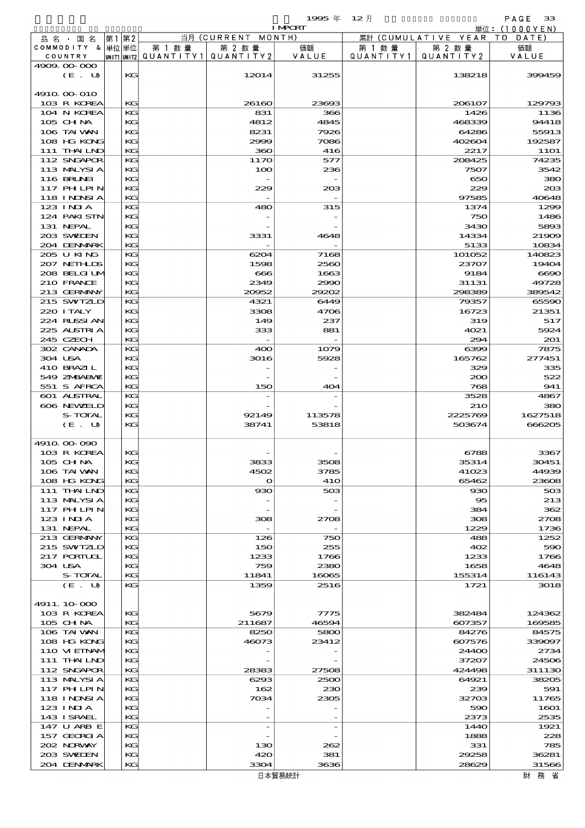|                          |          |                                       |                          | <b>I MPORT</b> |           |                              | 単位:(1000YEN)   |
|--------------------------|----------|---------------------------------------|--------------------------|----------------|-----------|------------------------------|----------------|
| 品名・国名                    | 第1第2     |                                       | 当月 (CURRENT MONTH)       |                |           | 累計 (CUMULATIVE YEAR TO DATE) |                |
| COMMODITY & 単位単位         |          | 第 1 数量                                | 第 2 数量                   | 価額             | 第 1 数 量   | 第 2 数量                       | 価額             |
| COUNTRY                  |          | UNIT1 UNIT2  QUANT I TY1  QUANT I TY2 |                          | VALUE          | QUANTITY1 | QUANTITY 2                   | VALUE          |
| 4909.00-000              |          |                                       |                          |                |           |                              |                |
| (E. U)                   | KG       |                                       | 12014                    | 31255          |           | 138218                       | 399459         |
|                          |          |                                       |                          |                |           |                              |                |
| 4910 00 010              |          |                                       |                          |                |           |                              |                |
| 103 R KOREA              | KG<br>KG |                                       | 26160                    | 23693          |           | 206107                       | 129793         |
| 104 N KOREA<br>105 CH NA | KG       |                                       | 831<br>4812              | 366<br>4845    |           | 1426<br>468339               | 1136<br>94418  |
| 106 TAI VAN              | KG       |                                       | 8231                     | 7926           |           | 64286                        | 55913          |
| 108 HG KONG              | KG       |                                       | 2999                     | 7086           |           | 402604                       | 192587         |
| 111 THAILND              | $K$ $G$  |                                       | 360                      | 416            |           | 2217                         | <b>11O1</b>    |
| 112 SNGAPOR              | KG       |                                       | 1170                     | 577            |           | 208425                       | 74235          |
| 113 MALYSIA              | KG       |                                       | 100                      | 236            |           | 7507                         | 3542           |
| 116 BRUNEI               | KG       |                                       |                          |                |           | 650                          | 380            |
| 117 PHLPIN               | KG       |                                       | 229                      | 203            |           | 229                          | 20B            |
| 118 I NDSI A             | KG       |                                       |                          |                |           | 97585                        | 40648          |
| 123 INIA                 | KG       |                                       | 480                      | 315            |           | 1374                         | 1299           |
| 124 PAKISTN              | KG       |                                       |                          |                |           | 750                          | 1486           |
| 131 NEPAL                | KG       |                                       |                          |                |           | 3430                         | 5893           |
| 203 SWIEN                | KG       |                                       | 3331                     | 4648           |           | 14334                        | 21909          |
| 204 DENMARK              | $K$ $G$  |                                       |                          |                |           | 5133                         | 10834          |
| 205 U KING               | KG       |                                       | 6204                     | 7168           |           | 101052                       | 140823         |
| 207 NETHLIS              | KG       |                                       | 1598                     | 2560           |           | 23707                        | 19404          |
| 208 BELGI UM             | KG       |                                       | $\bf{666}$               | 1663           |           | 9184                         | 6690           |
| 210 FRANCE               | KG       |                                       | 2349                     | 2990           |           | 31131                        | 49728          |
| 213 GERMANY              | KG       |                                       | 20952                    | 29202          |           | 298389                       | 389542         |
| 215 SWIZLD               | KG       |                                       | 4321                     | 6449           |           | 79357                        | 65590          |
| 220 I TALY               | KG       |                                       | 3308                     | 4706           |           | 16723                        | 21351          |
| 224 RUSSI AN             | KG       |                                       | 149                      | 237            |           | 319                          | 517            |
| 225 ALSTRIA              | KG       |                                       | 333                      | 881            |           | 4021                         | 5924           |
| 245 CZECH                | $K$ $G$  |                                       |                          |                |           | 294                          | 201            |
| 302 CANADA<br>304 USA    | KG<br>KG |                                       | 400<br>3016              | 1079<br>5928   |           | 6399<br>165762               | 7875<br>277451 |
| 410 BRAZIL               | KG       |                                       |                          |                |           | 329                          | 335            |
| 549 ZMBABMZ              | KG       |                                       |                          |                |           | 200                          | 522            |
| 551 S AFRCA              | KG       |                                       | 150                      | 404            |           | 768                          | 941            |
| 601 ALSTRAL              | KG       |                                       |                          |                |           | 3528                         | 4867           |
| 606 NEWELD               | KG       |                                       |                          |                |           | 210                          | 380            |
| S-TOTAL                  | KG       |                                       | 92149                    | 113578         |           | 2225769                      | 1627518        |
| (E. U)                   | KG       |                                       | 38741                    | 53818          |           | 503674                       | 666205         |
|                          |          |                                       |                          |                |           |                              |                |
| 4910 00 000              |          |                                       |                          |                |           |                              |                |
| 103 R KOREA              | KG       |                                       |                          |                |           | 6788                         | 3367           |
| 105 CHNA                 | KG       |                                       | ححت                      | 3506           |           | 35314                        | 30451          |
| 106 TAI VAN              | KG       |                                       | 4502                     | 3785           |           | 41023                        | 44939          |
| 108 HG KONG              | KG       |                                       | $\Omega$                 | <b>41O</b>     |           | 65462                        | 23608          |
| 111 THAILND              | KG       |                                       | 930                      | 503            |           | 930                          | 503            |
| 113 MALYSIA              | KG       |                                       |                          |                |           | 95                           | 213            |
| 117 PHLPIN               | KG       |                                       |                          |                |           | 384                          | 362            |
| 123 INIA                 | KG       |                                       | 308                      | 2708           |           | 308                          | 2708           |
| 131 NEPAL                | KG       |                                       |                          |                |           | 1229                         | 1736           |
| 213 GERMANY              | KG       |                                       | 126                      | 750            |           | 488                          | 1252           |
| 215 SWIZLD               | KG       |                                       | 150                      | 255            |           | 402                          | 590            |
| 217 PORTUGL              | KG       |                                       | 1233                     | 1766           |           | 1233                         | 1766           |
| 304 USA<br>S-TOTAL       | KG<br>KG |                                       | 759<br>11841             | 2380<br>16065  |           | 1658<br>155314               | 4648<br>116143 |
| (E. U)                   | KG       |                                       | 1359                     | 2516           |           | 1721                         | 3018           |
|                          |          |                                       |                          |                |           |                              |                |
| 4911.10-000              |          |                                       |                          |                |           |                              |                |
| 103 R KOREA              | KC       |                                       | 5679                     | 7775           |           | 382484                       | 124362         |
| 105 CH NA                | KG       |                                       | 211687                   | 46594          |           | 607357                       | 169585         |
| 106 TAI WAN              | KG       |                                       | 8250                     | 5800           |           | 84276                        | 84575          |
| 108 HG KONG              | KG       |                                       | 46073                    | 23412          |           | 607576                       | 339097         |
| 110 VIEINAM              | KG       |                                       |                          |                |           | 24400                        | 2734           |
| 111 THAILND              | KG       |                                       |                          |                |           | 37207                        | 24506          |
| 112 SNGAPOR              | KG       |                                       | 28383                    | 27508          |           | 424498                       | 311130         |
| 113 MALYSIA              | KG       |                                       | 6293                     | 2500           |           | 64921                        | 38205          |
| 117 PH LPIN              | KG       |                                       | 162                      | 230            |           | 239                          | 591            |
| 118 INNSI A              | KG       |                                       | 7034                     | 2305           |           | 32703                        | 11765          |
| 123 INIA                 | KG       |                                       |                          |                |           | 590                          | 1601           |
| 143 I SRAEL              | KG       |                                       |                          |                |           | 2373                         | 2535           |
| 147 U ARB E              | KG       |                                       | $\overline{\phantom{a}}$ |                |           | 144O                         | 1921           |
| 157 GEORGIA              | KG       |                                       |                          |                |           | 1888                         | 228            |
| 202 NRWAY                | KG       |                                       | 130                      | 262            |           | 331                          | 785            |
| 203 SWELEN               | KG       |                                       | 420                      | 381            |           | 29258                        | 36281          |
| 204 DENMARK              | KG       |                                       | 3304                     | 3636           |           | 28629                        | 31566          |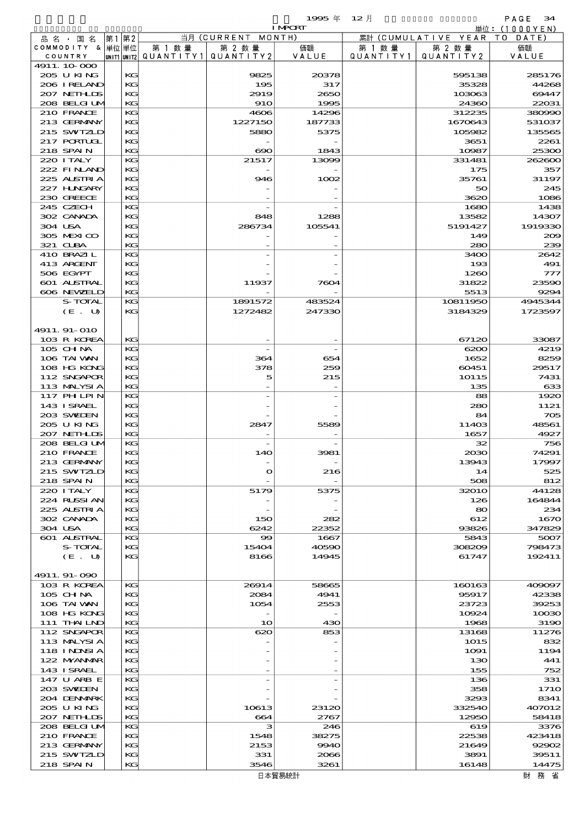$1995 \n& 12 \nparallel$  PAGE 34

|                            |          |        |                                       | <b>I MPCRT</b> |           |                              | 単位: <u>(1000YEN)</u> |
|----------------------------|----------|--------|---------------------------------------|----------------|-----------|------------------------------|----------------------|
| 品 名 ・ 国 名                  | 第1第2     |        | 当月 (CURRENT MONTH)                    |                |           | 累計 (CUMULATIVE YEAR TO DATE) |                      |
| COMMODITY & 単位単位           |          | 第 1 数量 | 第 2 数量                                | 価額             | 第 1 数 量   | 第 2 数量                       | 価額                   |
| COUNTRY                    |          |        | unit1 unit2  QUANT   TY1  QUANT   TY2 | VALUE          | QUANTITY1 | QUANTITY2                    | VALUE                |
| 4911.10.000                |          |        |                                       |                |           |                              |                      |
| 205 U KING                 | KG       |        | 9825                                  | 20378          |           | 595138                       | 285176               |
| 206 I RELAND               | KG       |        | 195                                   | 317            |           | 35328                        | 44268                |
| 207 NETHLIS                | KG       |        | 2919                                  | 2650           |           | 103063                       | 69447                |
| 208 BELGI UM               | KG       |        | <b>910</b>                            | 1995           |           | 24360                        | 22031                |
| 210 FRANCE                 | KG       |        | 4606                                  | 14296          |           | 312235                       | 380990               |
| 213 GERMANY                | КG       |        | 1227150                               | 187733         |           | 1670643                      | 531037               |
| 215 SWIZLD                 | KG       |        | 5880                                  | 5375           |           | 105982                       | 135565               |
| 217 PORTUGL                | KG       |        |                                       |                |           | 3651                         | 2261                 |
| 218 SPAIN                  | KG       |        | $\infty$                              | 1843           |           | 10987                        | 25300                |
| 220 I TALY                 | KG       |        | 21517                                 | 13099          |           | 331481                       | 262600               |
| 222 FINAND                 | КG       |        |                                       |                |           | 175                          | 357                  |
| 225 ALSTRIA                | KG       |        | 946                                   | 1002           |           | 35761                        | 31197                |
| 227 H.NGARY                | KG       |        |                                       |                |           | 50                           | 245                  |
| 230 GREECE                 | KG       |        |                                       |                |           | 3620                         | 1086                 |
| 245 CZECH<br>302 CANADA    | KG       |        |                                       |                |           | 1680                         | 1438                 |
|                            | КG       |        | 848                                   | 1288           |           | 13582                        | 14307                |
| 304 USA                    | KG       |        | 286734                                | 105541         |           | 5191427                      | 1919330              |
| 305 MEXICO<br>321 CLBA     | KG       |        |                                       |                |           | 149                          | 200                  |
|                            | KG       |        |                                       |                |           | 280                          | 239                  |
| 410 BRAZIL                 | KG       |        |                                       |                |           | 3400                         | 2642                 |
| 413 ARCENT                 | KG       |        |                                       |                |           | 193                          | 491                  |
| 506 EGYPT                  | KG       |        |                                       |                |           | 1260                         | 777                  |
| 601 ALSTRAL                | KG       |        | 11937                                 | 7604           |           | 31822                        | 23590                |
| 606 NEWELD                 | KG       |        |                                       |                |           | 5513                         | 9294                 |
| S-TOTAL                    | KG       |        | 1891572                               | 483524         |           | 10811950                     | 4945344              |
| (E. U)                     | KG       |        | 1272482                               | 247330         |           | 3184329                      | 1723597              |
|                            |          |        |                                       |                |           |                              |                      |
| 4911.91-010                | KG       |        |                                       |                |           |                              | 33087                |
| 103 R KOREA<br>105 CHNA    | KG       |        |                                       |                |           | 67120<br>6200                | 4219                 |
| 106 TAI WAN                | KG       |        | 364                                   |                |           |                              | 8259                 |
|                            |          |        |                                       | 654            |           | 1652                         |                      |
| 108 HG KONG                | KG       |        | 378                                   | 259            |           | 60451                        | 29517                |
| 112 SNGAPOR<br>113 MALYSIA | KG<br>KG |        | 5                                     | 215            |           | 10115                        | 7431<br>633          |
| 117 PHLPIN                 | KG       |        |                                       |                |           | 135<br>88                    | 1920                 |
| 143 I SRAEL                | KG       |        |                                       |                |           | 280                          | 1121                 |
| 203 SWIEN                  | KG       |        |                                       |                |           | 84                           | 705                  |
| 205 U KING                 | KG       |        | 2847                                  | 5589           |           | 11403                        | 48561                |
| 207 NETHLIS                | KG       |        |                                       |                |           | 1657                         | 4927                 |
| 208 BELGI UM               | KG       |        |                                       |                |           | 32                           | 756                  |
| 210 FRANCE                 | KG       |        | 140                                   | 3981           |           | 2030                         | 74291                |
| 213 GERMANY                | KG       |        |                                       |                |           | 13943                        | 17997                |
| 215 SWIZLD                 | КG       |        | $\mathbf{o}$                          | 216            |           | 14                           | 525                  |
| 218 SPAIN                  | KG       |        |                                       |                |           | 508                          | 812                  |
| 220 I TALY                 | KG       |        | 5179                                  | 5375           |           | 32010                        | 44128                |
| 224 RUSSI AN               | KG       |        |                                       |                |           | 126                          | 164844               |
| 225 ALSTRIA                | KG       |        |                                       |                |           | 80                           | 234                  |
| 302 CANADA                 | КG       |        | 150                                   | 282            |           | 612                          | 167C                 |
| 304 USA                    | KG       |        | 6242                                  | 22352          |           | 93826                        | 347829               |
| 601 ALSTRAL                | KG       |        | 99                                    | 1667           |           | 5843                         | 5007                 |
| S-TOTAL                    | KG       |        | 15404                                 | 40590          |           | 308209                       | 798473               |
| (E. U)                     | KG       |        | 8166                                  | 14945          |           | 61747                        | 192411               |
|                            |          |        |                                       |                |           |                              |                      |
| 4911.91-090                |          |        |                                       |                |           |                              |                      |
| 103 R KOREA                | KG       |        | 26914                                 | 58665          |           | 160163                       | 409097               |
| $105$ CHNA                 | KG       |        | 2084                                  | 4941           |           | 95917                        | 42338                |
| 106 TAI VAN                | KG       |        | 1054                                  | 2553           |           | 23723                        | 39253                |
| 108 HG KONG                | KG       |        |                                       |                |           | 10924                        | 10000                |
| 111 THAILND                | KG       |        | 10                                    | 430            |           | 1968                         | 319C                 |
| 112 SNGAPOR                | KG       |        | 620                                   | 853            |           | 13168                        | 11276                |
| 113 MALYSIA                | KG       |        |                                       |                |           | 1015                         | 832                  |
| 118 I NDSI A               | KG       |        |                                       |                |           | 1091                         | 1194                 |
| 122 MYANMAR                | KG       |        |                                       |                |           | 130                          | 441                  |
| 143 ISRAEL                 | KG       |        |                                       |                |           | 155                          | 752                  |
| 147 U ARB E                | KG       |        |                                       |                |           | 136                          | 331                  |
| 203 SWIDEN                 | KG       |        |                                       |                |           | 358                          | 171C                 |
| 204 DENMARK                | KG       |        |                                       |                |           | 3293                         | 8341                 |
| 2005 U KING                | KG       |        | 10613                                 | 23120          |           | 332540                       | 407012               |
| 207 NETHLIS                | KG       |        | 664                                   | 2767           |           | 12950                        | 58418                |
| 208 BELGI UM               | KG       |        | з                                     | 246            |           | 619                          | 3376                 |
| 210 FRANCE                 | KG       |        | 1548                                  | 38275          |           | 22538                        | 423418               |
| 213 GERMANY                | KG       |        | 2153                                  | 9940           |           | 21649                        | 92902                |
| 215 SWIZLD                 | KG       |        | 331                                   | 2066           |           | 3891                         | 39511                |
| 218 SPAIN                  | KG       |        | 3546                                  | 3261           |           | 16148                        | 14475                |
|                            |          |        |                                       |                |           |                              |                      |